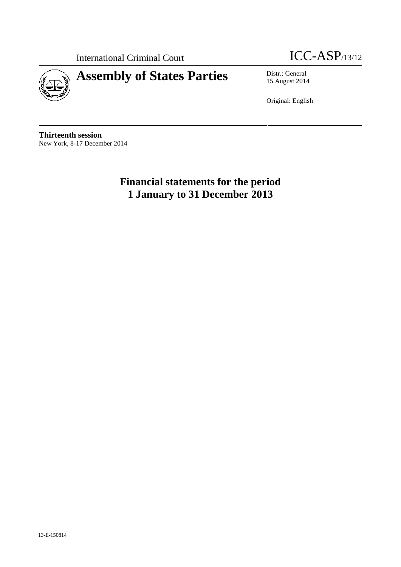



15 August 2014

Original: English

**Thirteenth session** New York, 8-17 December 2014

> **Financial statements for the period 1 January to 31 December 2013**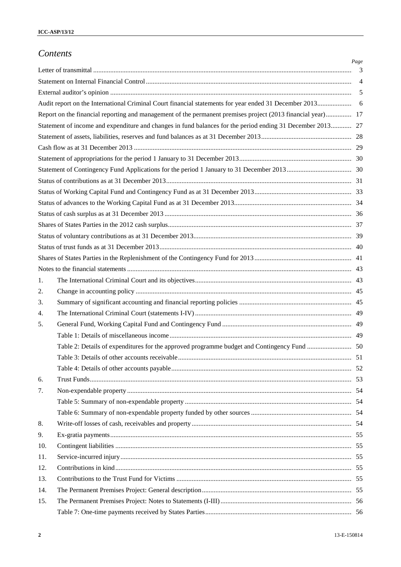# *Contents*

|     | <b>ICC-ASP/13/12</b>                                                                                        |      |
|-----|-------------------------------------------------------------------------------------------------------------|------|
|     | Contents                                                                                                    | Page |
|     |                                                                                                             |      |
|     |                                                                                                             |      |
|     |                                                                                                             |      |
|     |                                                                                                             |      |
|     | Report on the financial reporting and management of the permanent premises project (2013 financial year) 17 |      |
|     | Statement of income and expenditure and changes in fund balances for the period ending 31 December 2013 27  |      |
|     |                                                                                                             |      |
|     |                                                                                                             |      |
|     |                                                                                                             |      |
|     |                                                                                                             |      |
|     |                                                                                                             |      |
|     |                                                                                                             |      |
|     |                                                                                                             |      |
|     |                                                                                                             |      |
|     |                                                                                                             |      |
|     |                                                                                                             |      |
|     |                                                                                                             |      |
|     |                                                                                                             |      |
|     |                                                                                                             |      |
|     |                                                                                                             |      |
| 1.  |                                                                                                             |      |
| 2.  |                                                                                                             |      |
| 3.  |                                                                                                             |      |
| 4.  |                                                                                                             |      |
| 5.  |                                                                                                             |      |
|     |                                                                                                             |      |
|     |                                                                                                             |      |
|     |                                                                                                             |      |
|     |                                                                                                             |      |
| 6.  |                                                                                                             |      |
|     |                                                                                                             |      |
| 7.  |                                                                                                             |      |
|     |                                                                                                             |      |
|     |                                                                                                             |      |
| 8.  |                                                                                                             |      |
| 9.  |                                                                                                             |      |
| 10. |                                                                                                             |      |
| 11. |                                                                                                             |      |
| 12. |                                                                                                             |      |
| 13. |                                                                                                             |      |
| 14. |                                                                                                             |      |
| 15. |                                                                                                             |      |
|     |                                                                                                             |      |
|     |                                                                                                             |      |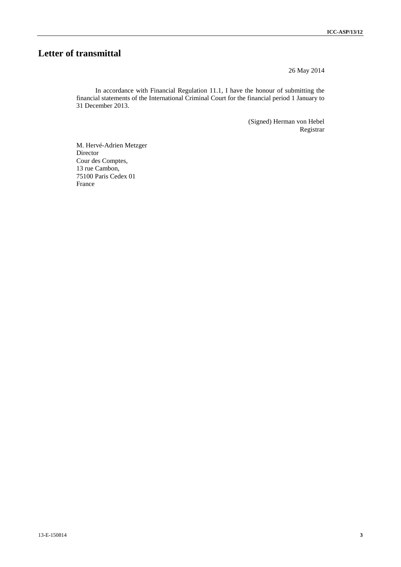# **Letter of transmittal**

26 May 2014

14-**Exercise of Francomittal**<br>
13-AS May 2014<br>
13-As according sine interaction Registration 11.1, I have the broad interioring the<br>
13-Consider SU(2014)<br>
31-Consider SU(2014)<br>
31-As May 2014<br>
2004-As As For May 2014<br>
2004 In accordance with Financial Regulation 11.1, I have the honour of submitting the financial statements of the International Criminal Court for the financial period 1 January to 31 December 2013.

(Signed) Herman von Hebel Registrar

M. Hervé-Adrien Metzger Director Cour des Comptes, 13 rue Cambon, 75100 Paris Cedex 01 France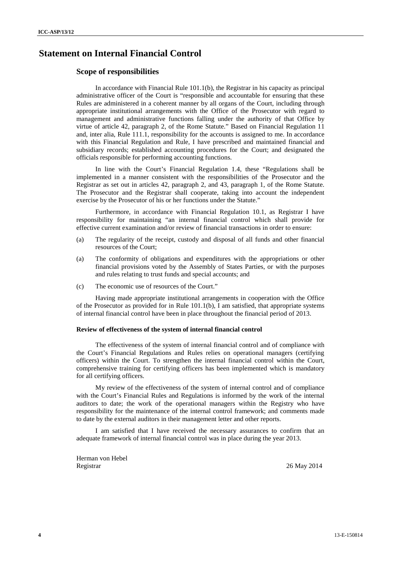# **Statement on Internal Financial Control**

#### **Scope of responsibilities**

**Extreme in the control is a control in the control in the control in the control in the control in the control in the control in the control in the control in the control in the control in the control in the control in t** In accordance with Financial Rule  $101.1(b)$ , the Registrar in his capacity as principal administrative officer of the Court is "responsible and accountable for ensuring that these Rules are administered in a coherent manner by all organs of the Court, including through appropriate institutional arrangements with the Office of the Prosecutor with regard to management and administrative functions falling under the authority of that Office by virtue of article 42, paragraph 2, of the Rome Statute." Based on Financial Regulation 11 and, inter alia, Rule 111.1, responsibility for the accounts is assigned to me. In accordance with this Financial Regulation and Rule, I have prescribed and maintained financial and subsidiary records; established accounting procedures for the Court; and designated the officials responsible for performing accounting functions.

In line with the Court's Financial Regulation 1.4, these "Regulations shall be implemented in a manner consistent with the responsibilities of the Prosecutor and the Registrar as set out in articles 42, paragraph 2, and 43, paragraph 1, of the Rome Statute. The Prosecutor and the Registrar shall cooperate, taking into account the independent exercise by the Prosecutor of his or her functions under the Statute."

Furthermore, in accordance with Financial Regulation 10.1, as Registrar I have responsibility for maintaining "an internal financial control which shall provide for effective current examination and/or review of financial transactions in order to ensure:

- (a) The regularity of the receipt, custody and disposal of all funds and other financial resources of the Court;
- (a) The conformity of obligations and expenditures with the appropriations or other financial provisions voted by the Assembly of States Parties, or with the purposes and rules relating to trust funds and special accounts; and
- (c) The economic use of resources of the Court."

Having made appropriate institutional arrangements in cooperation with the Office of the Prosecutor as provided for in Rule 101.1(b), I am satisfied, that appropriate systems of internal financial control have been in place throughout the financial period of 2013.

#### **Review of effectiveness of the system of internal financial control**

The effectiveness of the system of internal financial control and of compliance with the Court's Financial Regulations and Rules relies on operational managers (certifying officers) within the Court. To strengthen the internal financial control within the Court, comprehensive training for certifying officers has been implemented which is mandatory for all certifying officers.

My review of the effectiveness of the system of internal control and of compliance with the Court's Financial Rules and Regulations is informed by the work of the internal auditors to date; the work of the operational managers within the Registry who have responsibility for the maintenance of the internal control framework; and comments made to date by the external auditors in their management letter and other reports.

I am satisfied that I have received the necessary assurances to confirm that an adequate framework of internal financial control was in place during the year 2013.

Herman von Hebel Registrar 26 May 2014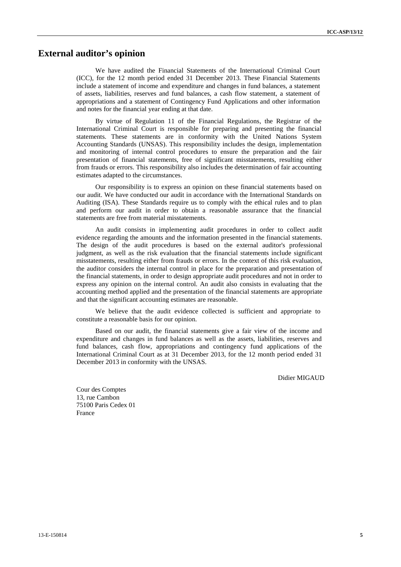### **External auditor's opinion**

We have audited the Financial Statements of the International Criminal Court (ICC), for the 12 month period ended 31 December 2013. These Financial Statements include a statement of income and expenditure and changes in fund balances, a statement of assets, liabilities, reserves and fund balances, a cash flow statement, a statement of appropriations and a statement of Contingency Fund Applications and other information and notes for the financial year ending at that date.

By virtue of Regulation 11 of the Financial Regulations, the Registrar of the International Criminal Court is responsible for preparing and presenting the financial statements. These statements are in conformity with the United Nations System Accounting Standards (UNSAS). This responsibility includes the design, implementation and monitoring of internal control procedures to ensure the preparation and the fair presentation of financial statements, free of significant misstatements, resulting either from frauds or errors. This responsibility also includes the determination of fair accounting estimates adapted to the circumstances.

Our responsibility is to express an opinion on these financial statements based on our audit. We have conducted our audit in accordance with the International Standards on Auditing (ISA). These Standards require us to comply with the ethical rules and to plan and perform our audit in order to obtain a reasonable assurance that the financial statements are free from material misstatements.

**External autifior's opinion**<br> **External autificial**<br>
20. We have added by finemede Somewards of the Decemberated Scholars (Comparison)<br>
20. We have added by the constrained Scholars of Comparison and the distribution of An audit consists in implementing audit procedures in order to collect audit evidence regarding the amounts and the information presented in the financial statements. The design of the audit procedures is based on the external auditor's professional judgment, as well as the risk evaluation that the financial statements include significant misstatements, resulting either from frauds or errors. In the context of this risk evaluation, the auditor considers the internal control in place for the preparation and presentation of the financial statements, in order to design appropriate audit procedures and not in order to express any opinion on the internal control. An audit also consists in evaluating that the accounting method applied and the presentation of the financial statements are appropriate and that the significant accounting estimates are reasonable.

We believe that the audit evidence collected is sufficient and appropriate to constitute a reasonable basis for our opinion.

Based on our audit, the financial statements give a fair view of the income and expenditure and changes in fund balances as well as the assets, liabilities, reserves and fund balances, cash flow, appropriations and contingency fund applications of the International Criminal Court as at 31 December 2013, for the 12 month period ended 31 December 2013 in conformity with the UNSAS.

Didier MIGAUD

Cour des Comptes 13, rue Cambon 75100 Paris Cedex 01 France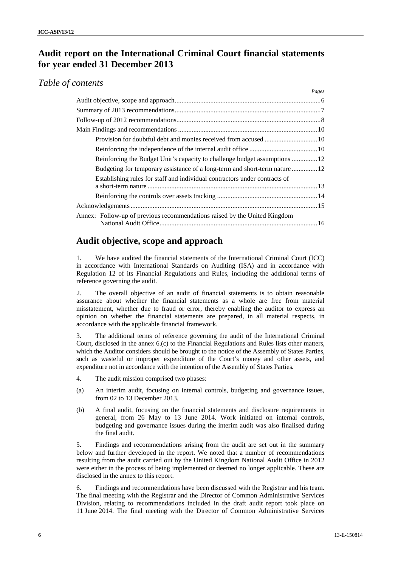# **Audit report on the International Criminal Court financial statements for year ended 31 December 2013**

## *Table of contents*

|                   | for year ended 31 December 2013                                                                                                                                                       |  |
|-------------------|---------------------------------------------------------------------------------------------------------------------------------------------------------------------------------------|--|
| Table of contents | Pages                                                                                                                                                                                 |  |
|                   |                                                                                                                                                                                       |  |
|                   |                                                                                                                                                                                       |  |
|                   |                                                                                                                                                                                       |  |
|                   |                                                                                                                                                                                       |  |
|                   |                                                                                                                                                                                       |  |
|                   |                                                                                                                                                                                       |  |
|                   | Reinforcing the Budget Unit's capacity to challenge budget assumptions  12                                                                                                            |  |
|                   | Budgeting for temporary assistance of a long-term and short-term nature  12                                                                                                           |  |
|                   | Establishing rules for staff and individual contractors under contracts of                                                                                                            |  |
|                   |                                                                                                                                                                                       |  |
|                   |                                                                                                                                                                                       |  |
|                   |                                                                                                                                                                                       |  |
|                   | Annex: Follow-up of previous recommendations raised by the United Kingdom                                                                                                             |  |
|                   |                                                                                                                                                                                       |  |
|                   |                                                                                                                                                                                       |  |
|                   | Audit objective, scope and approach                                                                                                                                                   |  |
|                   | We have audited the financial statements of the International Criminal Court (ICC)                                                                                                    |  |
|                   | in accordance with International Standards on Auditing (ISA) and in accordance with                                                                                                   |  |
|                   | Regulation 12 of its Financial Regulations and Rules, including the additional terms of                                                                                               |  |
|                   | reference governing the audit.                                                                                                                                                        |  |
|                   | The overall objective of an audit of financial statements is to obtain reasonable                                                                                                     |  |
|                   | assurance about whether the financial statements as a whole are free from material<br>misstatement, whether due to fraud or error, thereby enabling the auditor to express an         |  |
|                   | opinion on whether the financial statements are prepared, in all material respects, in                                                                                                |  |
|                   | accordance with the applicable financial framework.                                                                                                                                   |  |
| 3.                | The additional terms of reference governing the audit of the International Criminal                                                                                                   |  |
|                   | Court, disclosed in the annex 6.(c) to the Financial Regulations and Rules lists other matters,                                                                                       |  |
|                   | which the Auditor considers should be brought to the notice of the Assembly of States Parties,                                                                                        |  |
|                   | such as wasteful or improper expenditure of the Court's money and other assets, and<br>expenditure not in accordance with the intention of the Assembly of States Parties.            |  |
| 4.                | The audit mission comprised two phases:                                                                                                                                               |  |
|                   |                                                                                                                                                                                       |  |
| $\left( a\right)$ | An interim audit, focusing on internal controls, budgeting and governance issues,<br>from 02 to 13 December 2013.                                                                     |  |
| (b)               | A final audit, focusing on the financial statements and disclosure requirements in                                                                                                    |  |
|                   | general, from 26 May to 13 June 2014. Work initiated on internal controls,                                                                                                            |  |
|                   | budgeting and governance issues during the interim audit was also finalised during<br>the final audit.                                                                                |  |
| 5.                | Findings and recommendations arising from the audit are set out in the summary                                                                                                        |  |
|                   | below and further developed in the report. We noted that a number of recommendations                                                                                                  |  |
|                   | resulting from the audit carried out by the United Kingdom National Audit Office in 2012<br>were either in the process of being implemented or deemed no longer applicable. These are |  |
|                   | disclosed in the annex to this report.                                                                                                                                                |  |
| 6.                | Findings and recommendations have been discussed with the Registrar and his team.                                                                                                     |  |
|                   | The final meeting with the Registrar and the Director of Common Administrative Services                                                                                               |  |
|                   | Division, relating to recommendations included in the draft audit report took place on<br>11 June 2014. The final meeting with the Director of Common Administrative Services         |  |
|                   |                                                                                                                                                                                       |  |

# **Audit objective, scope and approach**

- 4. The audit mission comprised two phases:
- (a) An interim audit, focusing on internal controls, budgeting and governance issues, from 02 to 13 December 2013.
- (b) A final audit, focusing on the financial statements and disclosure requirements in general, from 26 May to 13 June 2014. Work initiated on internal controls, budgeting and governance issues during the interim audit was also finalised during the final audit.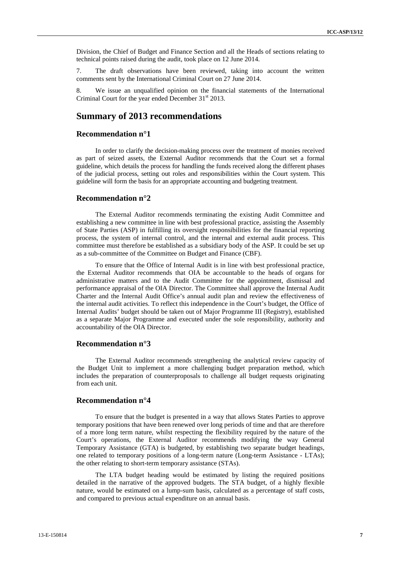Division, the Chief of Budget and Finance Section and all the Heads of sections relating to technical points raised during the audit, took place on 12 June 2014.

7. The draft observations have been reviewed, taking into account the written comments sent by the International Criminal Court on 27 June 2014.

8. We issue an unqualified opinion on the financial statements of the International Criminal Court for the year ended December  $31<sup>st</sup> 2013$ .

### **Summary of 2013 recommendations**

#### **Recommendation n°1**

In order to clarify the decision-making process over the treatment of monies received as part of seized assets, the External Auditor recommends that the Court set a formal guideline, which details the process for handling the funds received along the different phases of the judicial process, setting out roles and responsibilities within the Court system. This guideline will form the basis for an appropriate accounting and budgeting treatment.

#### **Recommendation n°2**

The External Auditor recommends terminating the existing Audit Committee and establishing a new committee in line with best professional practice, assisting the Assembly of State Parties (ASP) in fulfilling its oversight responsibilities for the financial reporting process, the system of internal control, and the internal and external audit process. This committee must therefore be established as a subsidiary body of the ASP. It could be set up as a sub-committee of the Committee on Budget and Finance (CBF).

**EXAMPLE THE CONFIRMATION CONTINUES CONSULTER UNIT (CASHERAT AND A CONTINUES CONSULTER UNIT (CASHERAT AND A CONSULTER UNIT (CASHERAT AND A CONSULTER UNIT (CASHERAT AND A CONSULTER UNIT (CASHERAT AND CONSULTER UNIT (CASHER** To ensure that the Office of Internal Audit is in line with best professional practice, the External Auditor recommends that OIA be accountable to the heads of organs for administrative matters and to the Audit Committee for the appointment, dismissal and performance appraisal of the OIA Director. The Committee shall approve the Internal Audit Charter and the Internal Audit Office's annual audit plan and review the effectiveness of the internal audit activities. To reflect this independence in the Court's budget, the Office of Internal Audits' budget should be taken out of Major Programme III (Registry), established as a separate Major Programme and executed under the sole responsibility, authority and accountability of the OIA Director.

### **Recommendation n°3**

The External Auditor recommends strengthening the analytical review capacity of the Budget Unit to implement a more challenging budget preparation method, which includes the preparation of counterproposals to challenge all budget requests originating from each unit.

### **Recommendation n°4**

To ensure that the budget is presented in a way that allows States Parties to approve temporary positions that have been renewed over long periods of time and that are therefore of a more long term nature, whilst respecting the flexibility required by the nature of the Court's operations, the External Auditor recommends modifying the way General Temporary Assistance (GTA) is budgeted, by establishing two separate budget headings, one related to temporary positions of a long-term nature (Long-term Assistance - LTAs); the other relating to short-term temporary assistance (STAs).

The LTA budget heading would be estimated by listing the required positions detailed in the narrative of the approved budgets. The STA budget, of a highly flexible nature, would be estimated on a lump-sum basis, calculated as a percentage of staff costs, and compared to previous actual expenditure on an annual basis.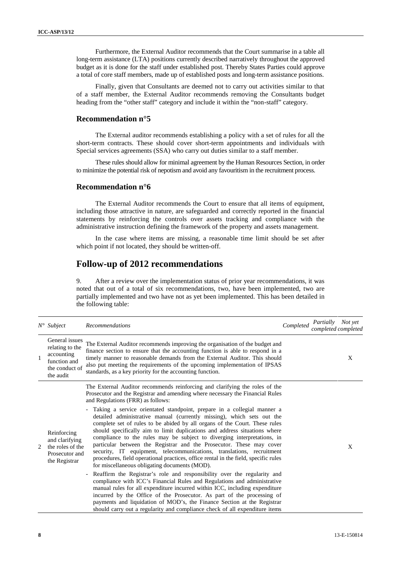### **Recommendation n°5**

### **Recommendation n°6**

## **Follow-up of 2012 recommendations**

|   | <b>ICC-ASP/13/12</b>                                                                           |                                                                                                                                                                                                                                                                                                                                                                                                                                                                                                                                                                                                                                                                                     |                                                    |
|---|------------------------------------------------------------------------------------------------|-------------------------------------------------------------------------------------------------------------------------------------------------------------------------------------------------------------------------------------------------------------------------------------------------------------------------------------------------------------------------------------------------------------------------------------------------------------------------------------------------------------------------------------------------------------------------------------------------------------------------------------------------------------------------------------|----------------------------------------------------|
|   |                                                                                                | Furthermore, the External Auditor recommends that the Court summarise in a table all<br>long-term assistance (LTA) positions currently described narratively throughout the approved<br>budget as it is done for the staff under established post. Thereby States Parties could approve<br>a total of core staff members, made up of established posts and long-term assistance positions.                                                                                                                                                                                                                                                                                          |                                                    |
|   |                                                                                                | Finally, given that Consultants are deemed not to carry out activities similar to that<br>of a staff member, the External Auditor recommends removing the Consultants budget<br>heading from the "other staff" category and include it within the "non-staff" category.                                                                                                                                                                                                                                                                                                                                                                                                             |                                                    |
|   |                                                                                                | <b>Recommendation n°5</b>                                                                                                                                                                                                                                                                                                                                                                                                                                                                                                                                                                                                                                                           |                                                    |
|   |                                                                                                | The External auditor recommends establishing a policy with a set of rules for all the<br>short-term contracts. These should cover short-term appointments and individuals with<br>Special services agreements (SSA) who carry out duties similar to a staff member.                                                                                                                                                                                                                                                                                                                                                                                                                 |                                                    |
|   |                                                                                                | These rules should allow for minimal agreement by the Human Resources Section, in order<br>to minimize the potential risk of nepotism and avoid any favouritism in the recruitment process.                                                                                                                                                                                                                                                                                                                                                                                                                                                                                         |                                                    |
|   |                                                                                                | Recommendation n°6                                                                                                                                                                                                                                                                                                                                                                                                                                                                                                                                                                                                                                                                  |                                                    |
|   |                                                                                                | The External Auditor recommends the Court to ensure that all items of equipment,<br>including those attractive in nature, are safeguarded and correctly reported in the financial<br>statements by reinforcing the controls over assets tracking and compliance with the<br>administrative instruction defining the framework of the property and assets management.                                                                                                                                                                                                                                                                                                                |                                                    |
|   |                                                                                                | In the case where items are missing, a reasonable time limit should be set after<br>which point if not located, they should be written-off.                                                                                                                                                                                                                                                                                                                                                                                                                                                                                                                                         |                                                    |
|   |                                                                                                | <b>Follow-up of 2012 recommendations</b>                                                                                                                                                                                                                                                                                                                                                                                                                                                                                                                                                                                                                                            |                                                    |
|   | 9.                                                                                             | After a review over the implementation status of prior year recommendations, it was<br>noted that out of a total of six recommendations, two, have been implemented, two are<br>partially implemented and two have not as yet been implemented. This has been detailed in<br>the following table:                                                                                                                                                                                                                                                                                                                                                                                   |                                                    |
|   | $N^{\circ}$ Subiect                                                                            | <b>Recommendations</b>                                                                                                                                                                                                                                                                                                                                                                                                                                                                                                                                                                                                                                                              | Completed Partially Not yet<br>completed completed |
|   | General issues<br>relating to the<br>accounting<br>function and<br>the conduct of<br>the audit | The External Auditor recommends improving the organisation of the budget and<br>finance section to ensure that the accounting function is able to respond in a<br>timely manner to reasonable demands from the External Auditor. This should<br>also put meeting the requirements of the upcoming implementation of IPSAS<br>standards, as a key priority for the accounting function.                                                                                                                                                                                                                                                                                              | X                                                  |
|   |                                                                                                | The External Auditor recommends reinforcing and clarifying the roles of the<br>Prosecutor and the Registrar and amending where necessary the Financial Rules<br>and Regulations (FRR) as follows:                                                                                                                                                                                                                                                                                                                                                                                                                                                                                   |                                                    |
| 2 | Reinforcing<br>and clarifying<br>the roles of the<br>Prosecutor and<br>the Registrar           | - Taking a service orientated standpoint, prepare in a collegial manner a<br>detailed administrative manual (currently missing), which sets out the<br>complete set of rules to be abided by all organs of the Court. These rules<br>should specifically aim to limit duplications and address situations where<br>compliance to the rules may be subject to diverging interpretations, in<br>particular between the Registrar and the Prosecutor. These may cover<br>security, IT equipment, telecommunications, translations, recruitment<br>procedures, field operational practices, office rental in the field, specific rules<br>for miscellaneous obligating documents (MOD). | X                                                  |
|   |                                                                                                | Reaffirm the Registrar's role and responsibility over the regularity and<br>compliance with ICC's Financial Rules and Regulations and administrative<br>manual rules for all expenditure incurred within ICC, including expenditure<br>incurred by the Office of the Prosecutor. As part of the processing of<br>payments and liquidation of MOD's, the Finance Section at the Registrar<br>should carry out a regularity and compliance check of all expenditure items                                                                                                                                                                                                             |                                                    |
|   |                                                                                                |                                                                                                                                                                                                                                                                                                                                                                                                                                                                                                                                                                                                                                                                                     | 13-E-150814                                        |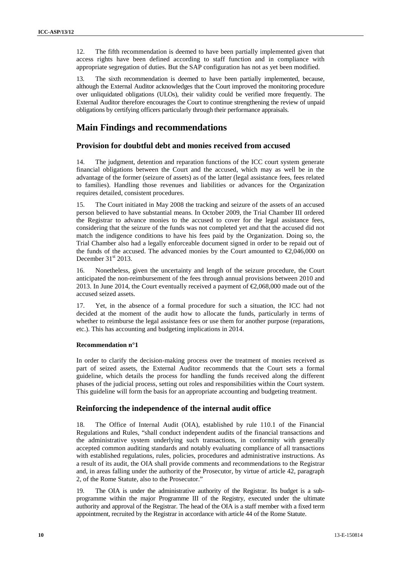12. The fifth recommendation is deemed to have been partially implemented given that access rights have been defined according to staff function and in compliance with appropriate segregation of duties. But the SAP configuration has not as yet been modified.

13. The sixth recommendation is deemed to have been partially implemented, because, although the External Auditor acknowledges that the Court improved the monitoring procedure over unliquidated obligations (ULOs), their validity could be verified more frequently. The External Auditor therefore encourages the Court to continue strengthening the review of unpaid obligations by certifying officers particularly through their performance appraisals.

# **Main Findings and recommendations**

### **Provision for doubtful debt and monies received from accused**

14. The judgment, detention and reparation functions of the ICC court system generate financial obligations between the Court and the accused, which may as well be in the advantage of the former (seizure of assets) as of the latter (legal assistance fees, fees related to families). Handling those revenues and liabilities or advances for the Organization requires detailed, consistent procedures.

**10** 1. The ratio measurement is noted by the second by the second of the second of the second of the second of the second of the second of the second of the second of the second of the second of the second of the second 15. The Court initiated in May 2008 the tracking and seizure of the assets of an accused person believed to have substantial means. In October 2009, the Trial Chamber III ordered the Registrar to advance monies to the accused to cover for the legal assistance fees, considering that the seizure of the funds was not completed yet and that the accused did not match the indigence conditions to have his fees paid by the Organization. Doing so, the Trial Chamber also had a legally enforceable document signed in order to be repaid out of the funds of the accused. The advanced monies by the Court amounted to  $\epsilon$ ,046,000 on December  $31<sup>st</sup>$  2013.

16. Nonetheless, given the uncertainty and length of the seizure procedure, the Court anticipated the non-reimbursement of the fees through annual provisions between 2010 and 2013. In June 2014, the Court eventually received a payment of  $\epsilon$ , 068,000 made out of the accused seized assets.

17. Yet, in the absence of a formal procedure for such a situation, the ICC had not decided at the moment of the audit how to allocate the funds, particularly in terms of whether to reimburse the legal assistance fees or use them for another purpose (reparations, etc.). This has accounting and budgeting implications in 2014.

### **Recommendation n°1**

In order to clarify the decision-making process over the treatment of monies received as part of seized assets, the External Auditor recommends that the Court sets a formal guideline, which details the process for handling the funds received along the different phases of the judicial process, setting out roles and responsibilities within the Court system. This guideline will form the basis for an appropriate accounting and budgeting treatment.

### **Reinforcing the independence of the internal audit office**

18. The Office of Internal Audit (OIA), established by rule 110.1 of the Financial Regulations and Rules, "shall conduct independent audits of the financial transactions and the administrative system underlying such transactions, in conformity with generally accepted common auditing standards and notably evaluating compliance of all transactions with established regulations, rules, policies, procedures and administrative instructions. As a result of its audit, the OIA shall provide comments and recommendations to the Registrar and, in areas falling under the authority of the Prosecutor, by virtue of article 42, paragraph 2, of the Rome Statute, also to the Prosecutor."

19. The OIA is under the administrative authority of the Registrar. Its budget is a sub programme within the major Programme III of the Registry, executed under the ultimate authority and approval of the Registrar. The head of the OIA is a staff member with a fixed term appointment, recruited by the Registrar in accordance with article 44 of the Rome Statute.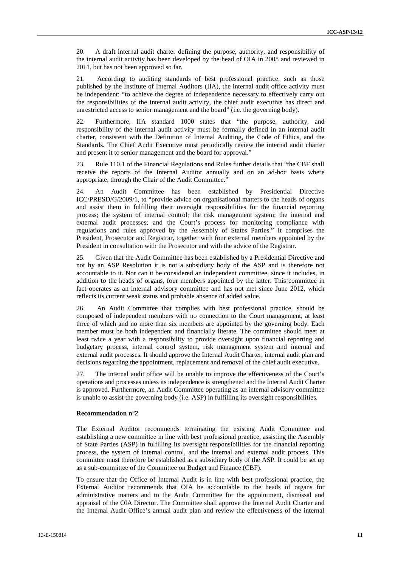20. A draft internal audit charter defining the purpose, authority, and responsibility of the internal audit activity has been developed by the head of OIA in 2008 and reviewed in 2011, but has not been approved so far.

21. According to auditing standards of best professional practice, such as those published by the Institute of Internal Auditors (IIA), the internal audit office activity must be independent: "to achieve the degree of independence necessary to effectively carry out the responsibilities of the internal audit activity, the chief audit executive has direct and unrestricted access to senior management and the board" (i.e. the governing body).

22. Furthermore, IIA standard 1000 states that "the purpose, authority, and responsibility of the internal audit activity must be formally defined in an internal audit charter, consistent with the Definition of Internal Auditing, the Code of Ethics, and the Standards. The Chief Audit Executive must periodically review the internal audit charter and present it to senior management and the board for approval."

23. Rule 110.1 of the Financial Regulations and Rules further details that "the CBF shall receive the reports of the Internal Auditor annually and on an ad-hoc basis where appropriate, through the Chair of the Audit Committee."

24. An Audit Committee has been established by Presidential Directive ICC/PRESD/G/2009/1, to "provide advice on organisational matters to the heads of organs and assist them in fulfilling their oversight responsibilities for the financial reporting process; the system of internal control; the risk management system; the internal and external audit processes; and the Court's process for monitoring compliance with regulations and rules approved by the Assembly of States Parties." It comprises the President, Prosecutor and Registrar, together with four external members appointed by the President in consultation with the Prosecutor and with the advice of the Registrar.

25. Given that the Audit Committee has been established by a Presidential Directive and not by an ASP Resolution it is not a subsidiary body of the ASP and is therefore not accountable to it. Nor can it be considered an independent committee, since it includes, in addition to the heads of organs, four members appointed by the latter. This committee in fact operates as an internal advisory committee and has not met since June 2012, which reflects its current weak status and probable absence of added value.

23. A partial matrix and a control of the particle, and perpendix and perpendix and the particle of the same of the same of the same of the same of the same of the same of the same of the same of the same of the same of t 26. An Audit Committee that complies with best professional practice, should be composed of independent members with no connection to the Court management, at least three of which and no more than six members are appointed by the governing body. Each member must be both independent and financially literate. The committee should meet at least twice a year with a responsibility to provide oversight upon financial reporting and budgetary process, internal control system, risk management system and internal and external audit processes. It should approve the Internal Audit Charter, internal audit plan and decisions regarding the appointment, replacement and removal of the chief audit executive.

27. The internal audit office will be unable to improve the effectiveness of the Court's operations and processes unless its independence is strengthened and the Internal Audit Charter is approved. Furthermore, an Audit Committee operating as an internal advisory committee is unable to assist the governing body (i.e. ASP) in fulfilling its oversight responsibilities.

#### **Recommendation n°2**

The External Auditor recommends terminating the existing Audit Committee and establishing a new committee in line with best professional practice, assisting the Assembly of State Parties (ASP) in fulfilling its oversight responsibilities for the financial reporting process, the system of internal control, and the internal and external audit process. This committee must therefore be established as a subsidiary body of the ASP. It could be set up as a sub-committee of the Committee on Budget and Finance (CBF).

To ensure that the Office of Internal Audit is in line with best professional practice, the External Auditor recommends that OIA be accountable to the heads of organs for administrative matters and to the Audit Committee for the appointment, dismissal and appraisal of the OIA Director. The Committee shall approve the Internal Audit Charter and the Internal Audit Office's annual audit plan and review the effectiveness of the internal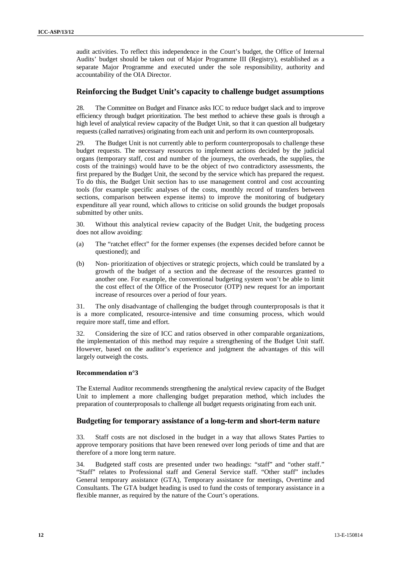audit activities. To reflect this independence in the Court's budget, the Office of Internal Audits' budget should be taken out of Major Programme III (Registry), established as a separate Major Programme and executed under the sole responsibility, authority and accountability of the OIA Director.

### **Reinforcing the Budget Unit's capacity to challenge budget assumptions**

28. The Committee on Budget and Finance asks ICC to reduce budget slack and to improve efficiency through budget prioritization. The best method to achieve these goals is through a high level of analytical review capacity of the Budget Unit, so that it can question all budgetary requests (called narratives) originating from each unit and perform its own counterproposals.

**<sup>12</sup>** 13-E-150814 **ICC-ASP/10/20** 29. The Budget Unit is not currently able to perform counterproposals to challenge these budget requests. The necessary resources to implement actions decided by the judicial organs (temporary staff, cost and number of the journeys, the overheads, the supplies, the costs of the trainings) would have to be the object of two contradictory assessments, the first prepared by the Budget Unit, the second by the service which has prepared the request. To do this, the Budget Unit section has to use management control and cost accounting tools (for example specific analyses of the costs, monthly record of transfers between sections, comparison between expense items) to improve the monitoring of budgetary expenditure all year round, which allows to criticise on solid grounds the budget proposals submitted by other units.

30. Without this analytical review capacity of the Budget Unit, the budgeting process does not allow avoiding:

- (a) The "ratchet effect" for the former expenses (the expenses decided before cannot be questioned); and
- (b) Non- prioritization of objectives or strategic projects, which could be translated by a growth of the budget of a section and the decrease of the resources granted to another one. For example, the conventional budgeting system won't be able to limit the cost effect of the Office of the Prosecutor (OTP) new request for an important increase of resources over a period of four years.

31. The only disadvantage of challenging the budget through counterproposals is that it is a more complicated, resource-intensive and time consuming process, which would require more staff, time and effort.

32. Considering the size of ICC and ratios observed in other comparable organizations, the implementation of this method may require a strengthening of the Budget Unit staff. However, based on the auditor's experience and judgment the advantages of this will largely outweigh the costs.

#### **Recommendation n°3**

The External Auditor recommends strengthening the analytical review capacity of the Budget Unit to implement a more challenging budget preparation method, which includes the preparation of counterproposals to challenge all budget requests originating from each unit.

### **Budgeting for temporary assistance of a long-term and short-term nature**

33. Staff costs are not disclosed in the budget in a way that allows States Parties to approve temporary positions that have been renewed over long periods of time and that are therefore of a more long term nature.

34. Budgeted staff costs are presented under two headings: "staff" and "other staff." "Staff" relates to Professional staff and General Service staff. "Other staff" includes General temporary assistance (GTA), Temporary assistance for meetings, Overtime and Consultants. The GTA budget heading is used to fund the costs of temporary assistance in a flexible manner, as required by the nature of the Court's operations.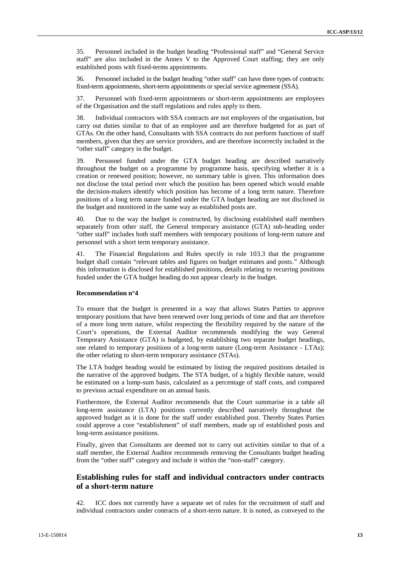35. Personnel included in the budget heading "Professional staff" and "General Service staff" are also included in the Annex V to the Approved Court staffing; they are only established posts with fixed-terms appointments.

36. Personnel included in the budget heading "other staff" can have three types of contracts: fixed-term appointments, short-term appointments or special service agreement (SSA).

37. Personnel with fixed-term appointments or short-term appointments are employees of the Organisation and the staff regulations and rules apply to them.

38. Individual contractors with SSA contracts are not employees of the organisation, but carry out duties similar to that of an employee and are therefore budgeted for as part of GTAs. On the other hand, Consultants with SSA contracts do not perform functions of staff members, given that they are service providers, and are therefore incorrectly included in the "other staff" category in the budget.

39. Personnel funded under the GTA budget heading are described narratively throughout the budget on a programme by programme basis, specifying whether it is a creation or renewed position; however, no summary table is given. This information does not disclose the total period over which the position has been opened which would enable the decision-makers identify which position has become of a long term nature. Therefore positions of a long term nature funded under the GTA budget heading are not disclosed in the budget and monitored in the same way as established posts are.

40. Due to the way the budget is constructed, by disclosing established staff members separately from other staff, the General temporary assistance (GTA) sub-heading under "other staff" includes both staff members with temporary positions of long-term nature and personnel with a short term temporary assistance.

41. The Financial Regulations and Rules specify in rule 103.3 that the programme budget shall contain "relevant tables and figures on budget estimates and posts." Although this information is disclosed for established positions, details relating to recurring positions funded under the GTA budget heading do not appear clearly in the budget.

#### **Recommendation n°4**

13-1 Protonsi included in the higher basining "Protosionis and T and "Goosti was selected to the higher state of the state of the state of the state of the state of the state of the state of the state of the state of the To ensure that the budget is presented in a way that allows States Parties to approve temporary positions that have been renewed over long periods of time and that are therefore of a more long term nature, whilst respecting the flexibility required by the nature of the Court's operations, the External Auditor recommends modifying the way General Temporary Assistance (GTA) is budgeted, by establishing two separate budget headings, one related to temporary positions of a long-term nature (Long-term Assistance - LTAs); the other relating to short-term temporary assistance (STAs).

The LTA budget heading would be estimated by listing the required positions detailed in the narrative of the approved budgets. The STA budget, of a highly flexible nature, would be estimated on a lump-sum basis, calculated as a percentage of staff costs, and compared to previous actual expenditure on an annual basis.

Furthermore, the External Auditor recommends that the Court summarise in a table all long-term assistance (LTA) positions currently described narratively throughout the approved budget as it is done for the staff under established post. Thereby States Parties could approve a core "establishment" of staff members, made up of established posts and long-term assistance positions.

Finally, given that Consultants are deemed not to carry out activities similar to that of a staff member, the External Auditor recommends removing the Consultants budget heading from the "other staff" category and include it within the "non-staff" category.

## **Establishing rules for staff and individual contractors under contracts of a short-term nature**

42. ICC does not currently have a separate set of rules for the recruitment of staff and individual contractors under contracts of a short-term nature. It is noted, as conveyed to the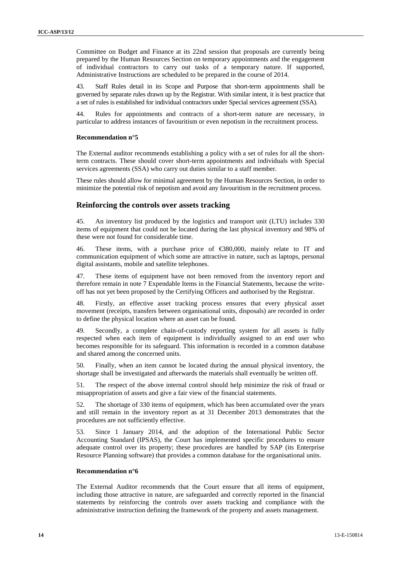**147-4800:**<br> **147-4800:**<br> **147-4800:**<br> **147-4800: 147-1800: 148-1800: 148-1800: 148-1800: 148-1800: 149-1800: 148-1800: 148-1800: 148-1800: 148-1800: 148-1800: 148-1800: 148-1800: 148-1800: 1** Committee on Budget and Finance at its 22nd session that proposals are currently being prepared by the Human Resources Section on temporary appointments and the engagement of individual contractors to carry out tasks of a temporary nature. If supported, Administrative Instructions are scheduled to be prepared in the course of 2014.

43. Staff Rules detail in its Scope and Purpose that short-term appointments shall be governed by separate rules drawn up by the Registrar. With similar intent, it is best practice that a set of rules is established for individual contractors under Special services agreement (SSA).

44. Rules for appointments and contracts of a short-term nature are necessary, in particular to address instances of favouritism or even nepotism in the recruitment process.

#### **Recommendation n°5**

The External auditor recommends establishing a policy with a set of rules for all the shortterm contracts. These should cover short-term appointments and individuals with Special services agreements (SSA) who carry out duties similar to a staff member.

These rules should allow for minimal agreement by the Human Resources Section, in order to minimize the potential risk of nepotism and avoid any favouritism in the recruitment process.

### **Reinforcing the controls over assets tracking**

45. An inventory list produced by the logistics and transport unit (LTU) includes 330 items of equipment that could not be located during the last physical inventory and 98% of these were not found for considerable time.

46. These items, with a purchase price of €380,000, mainly relate to IT and communication equipment of which some are attractive in nature, such as laptops, personal digital assistants, mobile and satellite telephones.

47. These items of equipment have not been removed from the inventory report and therefore remain in note 7 Expendable Items in the Financial Statements, because the write off has not yet been proposed by the Certifying Officers and authorised by the Registrar.

48. Firstly, an effective asset tracking process ensures that every physical asset movement (receipts, transfers between organisational units, disposals) are recorded in order to define the physical location where an asset can be found.

49. Secondly, a complete chain-of-custody reporting system for all assets is fully respected when each item of equipment is individually assigned to an end user who becomes responsible for its safeguard. This information is recorded in a common database and shared among the concerned units.

50. Finally, when an item cannot be located during the annual physical inventory, the shortage shall be investigated and afterwards the materials shall eventually be written off.

51. The respect of the above internal control should help minimize the risk of fraud or misappropriation of assets and give a fair view of the financial statements.

52. The shortage of 330 items of equipment, which has been accumulated over the years and still remain in the inventory report as at 31 December 2013 demonstrates that the procedures are not sufficiently effective.

53. Since 1 January 2014, and the adoption of the International Public Sector Accounting Standard (IPSAS), the Court has implemented specific procedures to ensure adequate control over its property; these procedures are handled by SAP (its Enterprise Resource Planning software) that provides a common database for the organisational units.

### **Recommendation n°6**

The External Auditor recommends that the Court ensure that all items of equipment, including those attractive in nature, are safeguarded and correctly reported in the financial statements by reinforcing the controls over assets tracking and compliance with the administrative instruction defining the framework of the property and assets management.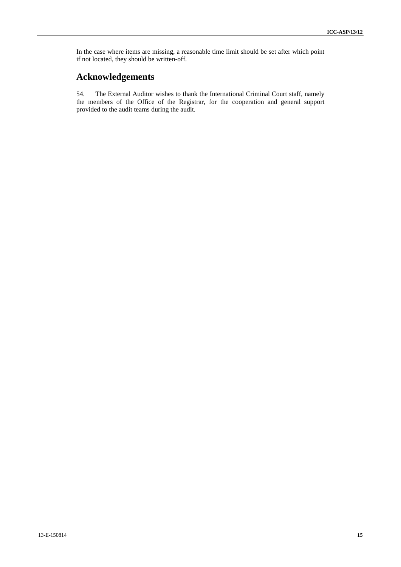In the case where items are missing, a reasonable time limit should be set after which point if not located, they should be written-off.

# **Acknowledgements**

13-150 case where internsit provides a maximal state into the second to see their which your<br>
13-4-E-1508-C-ASP/10/2003-14-150 case internsity and the internsity of the second to the second to the second control of<br>
35. T 54. The External Auditor wishes to thank the International Criminal Court staff, namely the members of the Office of the Registrar, for the cooperation and general support provided to the audit teams during the audit.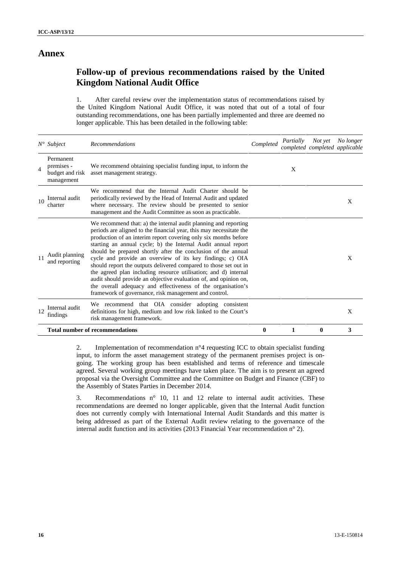## **Annex**

# **Follow-up of previous recommendations raised by the United Kingdom National Audit Office**

|    | <b>ICC-ASP/13/12</b>                                     |                                                                                                                                                                                                                                                                                                                                                                                                                                                                                                                                                                                                                                                                                                                                                                                                                                                                                                                                                                                          |           |                                             |                   |
|----|----------------------------------------------------------|------------------------------------------------------------------------------------------------------------------------------------------------------------------------------------------------------------------------------------------------------------------------------------------------------------------------------------------------------------------------------------------------------------------------------------------------------------------------------------------------------------------------------------------------------------------------------------------------------------------------------------------------------------------------------------------------------------------------------------------------------------------------------------------------------------------------------------------------------------------------------------------------------------------------------------------------------------------------------------------|-----------|---------------------------------------------|-------------------|
|    | <b>Annex</b>                                             |                                                                                                                                                                                                                                                                                                                                                                                                                                                                                                                                                                                                                                                                                                                                                                                                                                                                                                                                                                                          |           |                                             |                   |
|    |                                                          | Follow-up of previous recommendations raised by the United<br><b>Kingdom National Audit Office</b>                                                                                                                                                                                                                                                                                                                                                                                                                                                                                                                                                                                                                                                                                                                                                                                                                                                                                       |           |                                             |                   |
|    |                                                          | After careful review over the implementation status of recommendations raised by<br>the United Kingdom National Audit Office, it was noted that out of a total of four<br>outstanding recommendations, one has been partially implemented and three are deemed no<br>longer applicable. This has been detailed in the following table:                                                                                                                                                                                                                                                                                                                                                                                                                                                                                                                                                                                                                                                   |           |                                             |                   |
|    | $N^{\circ}$ Subject                                      | Recommendations                                                                                                                                                                                                                                                                                                                                                                                                                                                                                                                                                                                                                                                                                                                                                                                                                                                                                                                                                                          | Completed | Partially<br>completed completed applicable | Not yet No longer |
| 4  | Permanent<br>premises -<br>budget and risk<br>management | We recommend obtaining specialist funding input, to inform the<br>asset management strategy.                                                                                                                                                                                                                                                                                                                                                                                                                                                                                                                                                                                                                                                                                                                                                                                                                                                                                             |           | X                                           |                   |
|    | 10 Internal audit<br>charter                             | We recommend that the Internal Audit Charter should be<br>periodically reviewed by the Head of Internal Audit and updated<br>where necessary. The review should be presented to senior<br>management and the Audit Committee as soon as practicable.                                                                                                                                                                                                                                                                                                                                                                                                                                                                                                                                                                                                                                                                                                                                     |           |                                             | X                 |
| 11 | Audit planning<br>and reporting                          | We recommend that: a) the internal audit planning and reporting<br>periods are aligned to the financial year, this may necessitate the<br>production of an interim report covering only six months before<br>starting an annual cycle; b) the Internal Audit annual report<br>should be prepared shortly after the conclusion of the annual<br>cycle and provide an overview of its key findings; c) OIA<br>should report the outputs delivered compared to those set out in<br>the agreed plan including resource utilisation; and d) internal<br>audit should provide an objective evaluation of, and opinion on,<br>the overall adequacy and effectiveness of the organisation's<br>framework of governance, risk management and control.                                                                                                                                                                                                                                             |           |                                             | X                 |
|    | $12$ Internal audit<br>findings                          | We recommend that OIA consider adopting consistent<br>definitions for high, medium and low risk linked to the Court's<br>risk management framework.                                                                                                                                                                                                                                                                                                                                                                                                                                                                                                                                                                                                                                                                                                                                                                                                                                      |           |                                             | X                 |
|    |                                                          | <b>Total number of recommendations</b>                                                                                                                                                                                                                                                                                                                                                                                                                                                                                                                                                                                                                                                                                                                                                                                                                                                                                                                                                   |           |                                             | $\mathbf{3}$      |
|    |                                                          | Implementation of recommendation n°4 requesting ICC to obtain specialist funding<br>2.<br>input, to inform the asset management strategy of the permanent premises project is on-<br>going. The working group has been established and terms of reference and timescale<br>agreed. Several working group meetings have taken place. The aim is to present an agreed<br>proposal via the Oversight Committee and the Committee on Budget and Finance (CBF) to<br>the Assembly of States Parties in December 2014.<br>Recommendations $n^{\circ}$ 10, 11 and 12 relate to internal audit activities. These<br>3.<br>recommendations are deemed no longer applicable, given that the Internal Audit function<br>does not currently comply with International Internal Audit Standards and this matter is<br>being addressed as part of the External Audit review relating to the governance of the<br>internal audit function and its activities (2013 Financial Year recommendation n° 2). |           |                                             |                   |
|    |                                                          |                                                                                                                                                                                                                                                                                                                                                                                                                                                                                                                                                                                                                                                                                                                                                                                                                                                                                                                                                                                          |           |                                             |                   |
| 16 |                                                          |                                                                                                                                                                                                                                                                                                                                                                                                                                                                                                                                                                                                                                                                                                                                                                                                                                                                                                                                                                                          |           |                                             | 13-E-150814       |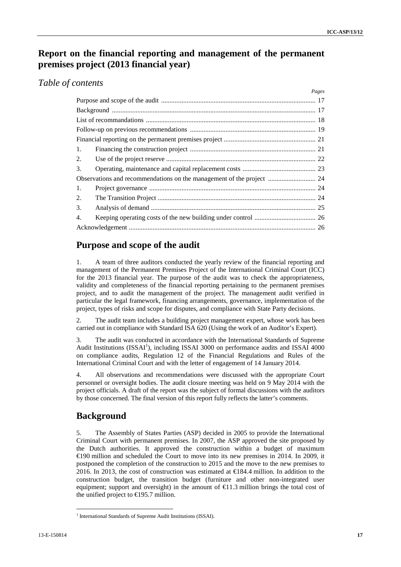# **Report on the financial reporting and management of the permanent premises project (2013 financial year)**

## *Table of contents*

|                   |                                                                                                                                                                                                                                                                                                                                                                                                                                                                                                                                                                                                                                                                                                                                                                                                                                                                                                                                                                                                                                                                                                                                                                                                                                                                                                                                                                                                                                                                                                                                                                                                                                          | <b>ICC-ASP/13/12</b> |
|-------------------|------------------------------------------------------------------------------------------------------------------------------------------------------------------------------------------------------------------------------------------------------------------------------------------------------------------------------------------------------------------------------------------------------------------------------------------------------------------------------------------------------------------------------------------------------------------------------------------------------------------------------------------------------------------------------------------------------------------------------------------------------------------------------------------------------------------------------------------------------------------------------------------------------------------------------------------------------------------------------------------------------------------------------------------------------------------------------------------------------------------------------------------------------------------------------------------------------------------------------------------------------------------------------------------------------------------------------------------------------------------------------------------------------------------------------------------------------------------------------------------------------------------------------------------------------------------------------------------------------------------------------------------|----------------------|
|                   | Report on the financial reporting and management of the permanent<br>premises project (2013 financial year)                                                                                                                                                                                                                                                                                                                                                                                                                                                                                                                                                                                                                                                                                                                                                                                                                                                                                                                                                                                                                                                                                                                                                                                                                                                                                                                                                                                                                                                                                                                              |                      |
| Table of contents |                                                                                                                                                                                                                                                                                                                                                                                                                                                                                                                                                                                                                                                                                                                                                                                                                                                                                                                                                                                                                                                                                                                                                                                                                                                                                                                                                                                                                                                                                                                                                                                                                                          |                      |
|                   | Pages                                                                                                                                                                                                                                                                                                                                                                                                                                                                                                                                                                                                                                                                                                                                                                                                                                                                                                                                                                                                                                                                                                                                                                                                                                                                                                                                                                                                                                                                                                                                                                                                                                    |                      |
|                   |                                                                                                                                                                                                                                                                                                                                                                                                                                                                                                                                                                                                                                                                                                                                                                                                                                                                                                                                                                                                                                                                                                                                                                                                                                                                                                                                                                                                                                                                                                                                                                                                                                          |                      |
|                   |                                                                                                                                                                                                                                                                                                                                                                                                                                                                                                                                                                                                                                                                                                                                                                                                                                                                                                                                                                                                                                                                                                                                                                                                                                                                                                                                                                                                                                                                                                                                                                                                                                          |                      |
|                   |                                                                                                                                                                                                                                                                                                                                                                                                                                                                                                                                                                                                                                                                                                                                                                                                                                                                                                                                                                                                                                                                                                                                                                                                                                                                                                                                                                                                                                                                                                                                                                                                                                          |                      |
|                   |                                                                                                                                                                                                                                                                                                                                                                                                                                                                                                                                                                                                                                                                                                                                                                                                                                                                                                                                                                                                                                                                                                                                                                                                                                                                                                                                                                                                                                                                                                                                                                                                                                          |                      |
|                   | 1.                                                                                                                                                                                                                                                                                                                                                                                                                                                                                                                                                                                                                                                                                                                                                                                                                                                                                                                                                                                                                                                                                                                                                                                                                                                                                                                                                                                                                                                                                                                                                                                                                                       |                      |
|                   | 2.                                                                                                                                                                                                                                                                                                                                                                                                                                                                                                                                                                                                                                                                                                                                                                                                                                                                                                                                                                                                                                                                                                                                                                                                                                                                                                                                                                                                                                                                                                                                                                                                                                       |                      |
|                   | 3.                                                                                                                                                                                                                                                                                                                                                                                                                                                                                                                                                                                                                                                                                                                                                                                                                                                                                                                                                                                                                                                                                                                                                                                                                                                                                                                                                                                                                                                                                                                                                                                                                                       |                      |
|                   | Observations and recommendations on the management of the project  24                                                                                                                                                                                                                                                                                                                                                                                                                                                                                                                                                                                                                                                                                                                                                                                                                                                                                                                                                                                                                                                                                                                                                                                                                                                                                                                                                                                                                                                                                                                                                                    |                      |
|                   | 1.                                                                                                                                                                                                                                                                                                                                                                                                                                                                                                                                                                                                                                                                                                                                                                                                                                                                                                                                                                                                                                                                                                                                                                                                                                                                                                                                                                                                                                                                                                                                                                                                                                       |                      |
|                   | 2.                                                                                                                                                                                                                                                                                                                                                                                                                                                                                                                                                                                                                                                                                                                                                                                                                                                                                                                                                                                                                                                                                                                                                                                                                                                                                                                                                                                                                                                                                                                                                                                                                                       |                      |
|                   | 3.                                                                                                                                                                                                                                                                                                                                                                                                                                                                                                                                                                                                                                                                                                                                                                                                                                                                                                                                                                                                                                                                                                                                                                                                                                                                                                                                                                                                                                                                                                                                                                                                                                       |                      |
|                   | 4.                                                                                                                                                                                                                                                                                                                                                                                                                                                                                                                                                                                                                                                                                                                                                                                                                                                                                                                                                                                                                                                                                                                                                                                                                                                                                                                                                                                                                                                                                                                                                                                                                                       |                      |
|                   |                                                                                                                                                                                                                                                                                                                                                                                                                                                                                                                                                                                                                                                                                                                                                                                                                                                                                                                                                                                                                                                                                                                                                                                                                                                                                                                                                                                                                                                                                                                                                                                                                                          |                      |
|                   |                                                                                                                                                                                                                                                                                                                                                                                                                                                                                                                                                                                                                                                                                                                                                                                                                                                                                                                                                                                                                                                                                                                                                                                                                                                                                                                                                                                                                                                                                                                                                                                                                                          |                      |
|                   | Purpose and scope of the audit                                                                                                                                                                                                                                                                                                                                                                                                                                                                                                                                                                                                                                                                                                                                                                                                                                                                                                                                                                                                                                                                                                                                                                                                                                                                                                                                                                                                                                                                                                                                                                                                           |                      |
|                   | A team of three auditors conducted the yearly review of the financial reporting and<br>management of the Permanent Premises Project of the International Criminal Court (ICC)<br>for the 2013 financial year. The purpose of the audit was to check the appropriateness,<br>validity and completeness of the financial reporting pertaining to the permanent premises<br>project, and to audit the management of the project. The management audit verified in<br>particular the legal framework, financing arrangements, governance, implementation of the<br>project, types of risks and scope for disputes, and compliance with State Party decisions.<br>The audit team includes a building project management expert, whose work has been<br>2.<br>carried out in compliance with Standard ISA 620 (Using the work of an Auditor's Expert).<br>The audit was conducted in accordance with the International Standards of Supreme<br>3.<br>Audit Institutions (ISSAI <sup>1</sup> ), including ISSAI 3000 on performance audits and ISSAI 4000<br>on compliance audits, Regulation 12 of the Financial Regulations and Rules of the<br>International Criminal Court and with the letter of engagement of 14 January 2014.<br>All observations and recommendations were discussed with the appropriate Court<br>4.<br>personnel or oversight bodies. The audit closure meeting was held on 9 May 2014 with the<br>project officials. A draft of the report was the subject of formal discussions with the auditors<br>by those concerned. The final version of this report fully reflects the latter's comments.<br><b>Background</b> |                      |
|                   | The Assembly of States Parties (ASP) decided in 2005 to provide the International<br>5.<br>Criminal Court with permanent premises. In 2007, the ASP approved the site proposed by<br>the Dutch authorities. It approved the construction within a budget of maximum<br>€190 million and scheduled the Court to move into its new premises in 2014. In 2009, it<br>postponed the completion of the construction to 2015 and the move to the new premises to<br>2016. In 2013, the cost of construction was estimated at $\in$ 84.4 million. In addition to the<br>construction budget, the transition budget (furniture and other non-integrated user<br>equipment; support and oversight) in the amount of $\bigoplus$ 1.3 million brings the total cost of<br>the unified project to $\in$ 195.7 million.                                                                                                                                                                                                                                                                                                                                                                                                                                                                                                                                                                                                                                                                                                                                                                                                                               |                      |
|                   | <sup>1</sup> International Standards of Supreme Audit Institutions (ISSAI).                                                                                                                                                                                                                                                                                                                                                                                                                                                                                                                                                                                                                                                                                                                                                                                                                                                                                                                                                                                                                                                                                                                                                                                                                                                                                                                                                                                                                                                                                                                                                              |                      |
| 13-E-150814       |                                                                                                                                                                                                                                                                                                                                                                                                                                                                                                                                                                                                                                                                                                                                                                                                                                                                                                                                                                                                                                                                                                                                                                                                                                                                                                                                                                                                                                                                                                                                                                                                                                          | 17                   |

# **Purpose and scope of the audit**

# **Background**

<sup>&</sup>lt;sup>1</sup> International Standards of Supreme Audit Institutions (ISSAI).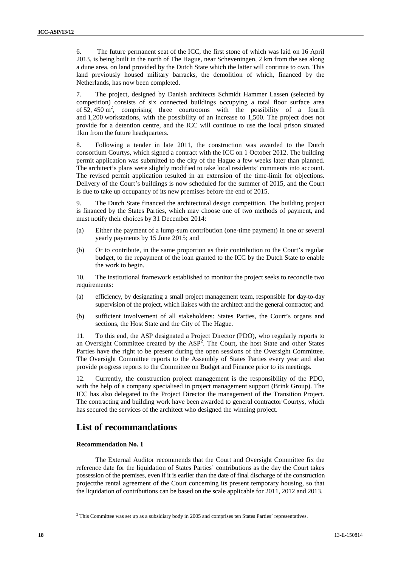6. The future permanent seat of the ICC, the first stone of which was laid on 16 April 2013, is being built in the north of The Hague, near Scheveningen, 2 km from the sea along a dune area, on land provided by the Dutch State which the latter will continue to own. This land previously housed military barracks, the demolition of which, financed by the Netherlands, has now been completed.

7. The project, designed by Danish architects Schmidt Hammer Lassen (selected by competition) consists of six connected buildings occupying a total floor surface area of 52, 450 m 2 , comprising three courtrooms with the possibility of a fourth and 1,200 workstations, with the possibility of an increase to 1,500. The project does not provide for a detention centre, and the ICC will continue to use the local prison situated 1km from the future headquarters.

**<sup>18</sup>** 13-E-150814 **ICC-ASP/10/20** 8. Following a tender in late 2011, the construction was awarded to the Dutch consortium Courtys, which signed a contract with the ICC on 1 October 2012. The building permit application was submitted to the city of the Hague a few weeks later than planned. The architect's plans were slightly modified to take local residents' comments into account. The revised permit application resulted in an extension of the time-limit for objections. Delivery of the Court's buildings is now scheduled for the summer of 2015, and the Court is due to take up occupancy of its new premises before the end of 2015.

9. The Dutch State financed the architectural design competition. The building project is financed by the States Parties, which may choose one of two methods of payment, and must notify their choices by 31 December 2014:

- (a) Either the payment of a lump-sum contribution (one-time payment) in one or several yearly payments by 15 June 2015; and
- (b) Or to contribute, in the same proportion as their contribution to the Court's regular budget, to the repayment of the loan granted to the ICC by the Dutch State to enable the work to begin.

10. The institutional framework established to monitor the project seeks to reconcile two requirements:

- (a) efficiency, by designating a small project management team, responsible for day-to-day supervision of the project, which liaises with the architect and the general contractor; and
- (b) sufficient involvement of all stakeholders: States Parties, the Court's organs and sections, the Host State and the City of The Hague.

11. To this end, the ASP designated a Project Director (PDO), who regularly reports to an Oversight Committee created by the  $ASP<sup>2</sup>$ . The Court, the host State and other States Parties have the right to be present during the open sessions of the Oversight Committee. The Oversight Committee reports to the Assembly of States Parties every year and also provide progress reports to the Committee on Budget and Finance prior to its meetings.

12. Currently, the construction project management is the responsibility of the PDO, with the help of a company specialised in project management support (Brink Group). The ICC has also delegated to the Project Director the management of the Transition Project. The contracting and building work have been awarded to general contractor Courtys, which has secured the services of the architect who designed the winning project.

## **List of recommandations**

#### **Recommendation No. 1**

The External Auditor recommends that the Court and Oversight Committee fix the reference date for the liquidation of States Parties' contributions as the day the Court takes possession of the premises, even if it is earlier than the date of final discharge of the construction projectthe rental agreement of the Court concerning its present temporary housing, so that the liquidation of contributions can be based on the scale applicable for 2011, 2012 and 2013.

 $2$  This Committee was set up as a subsidiary body in 2005 and comprises ten States Parties' representatives.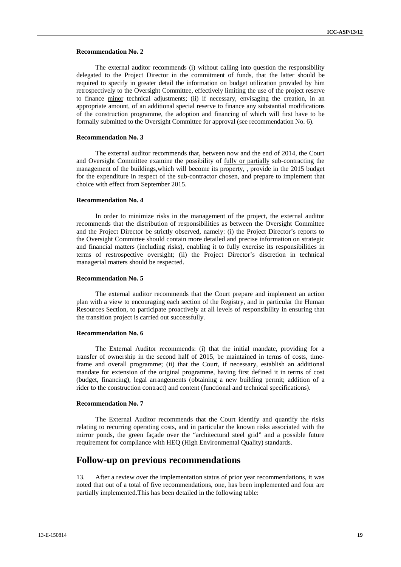#### **Recommendation No. 2**

**ECO-METERSAL TERM**<br> **ECO-METERSAL TERM**<br> **ECO-METERSAL TERM**<br> **ECO-METERSAL TERM**<br> **ECO-METERSAL TERM**<br> **ECO-METERSAL TERM**<br> **ECO-METERSAL TERM**<br> **ECO-METERSAL TERM**<br> **ECO-METERSAL TERM**<br> **ECO-METERSAL TERM**<br> **ECO-METERS** The external auditor recommends (i) without calling into question the responsibility delegated to the Project Director in the commitment of funds, that the latter should be required to specify in greater detail the information on budget utilization provided by him retrospectively to the Oversight Committee, effectively limiting the use of the project reserve to finance minor technical adjustments; (ii) if necessary, envisaging the creation, in an appropriate amount, of an additional special reserve to finance any substantial modifications of the construction programme, the adoption and financing of which will first have to be formally submitted to the Oversight Committee for approval (see recommendation No. 6).

#### **Recommendation No. 3**

The external auditor recommends that, between now and the end of 2014, the Court and Oversight Committee examine the possibility of fully or partially sub-contracting the management of the buildings,which will become its property, , provide in the 2015 budget for the expenditure in respect of the sub-contractor chosen, and prepare to implement that choice with effect from September 2015.

#### **Recommendation No. 4**

In order to minimize risks in the management of the project, the external auditor recommends that the distribution of responsibilities as between the Oversight Committee and the Project Director be strictly observed, namely: (i) the Project Director's reports to the Oversight Committee should contain more detailed and precise information on strategic and financial matters (including risks), enabling it to fully exercise its responsibilities in terms of restrospective oversight; (ii) the Project Director's discretion in technical managerial matters should be respected.

#### **Recommendation No. 5**

The external auditor recommends that the Court prepare and implement an action plan with a view to encouraging each section of the Registry, and in particular the Human Resources Section, to participate proactively at all levels of responsibility in ensuring that the transition project is carried out successfully.

#### **Recommendation No. 6**

The External Auditor recommends: (i) that the initial mandate, providing for a transfer of ownership in the second half of 2015, be maintained in terms of costs, timeframe and overall programme; (ii) that the Court, if necessary, establish an additional mandate for extension of the original programme, having first defined it in terms of cost (budget, financing), legal arrangements (obtaining a new building permit; addition of a rider to the construction contract) and content (functional and technical specifications).

#### **Recommendation No. 7**

The External Auditor recommends that the Court identify and quantify the risks relating to recurring operating costs, and in particular the known risks associated with the mirror ponds, the green façade over the "architectural steel grid" and a possible future requirement for compliance with HEQ (High Environmental Quality) standards.

## **Follow-up on previous recommendations**

13. After a review over the implementation status of prior year recommendations, it was noted that out of a total of five recommendations, one, has been implemented and four are partially implemented.This has been detailed in the following table: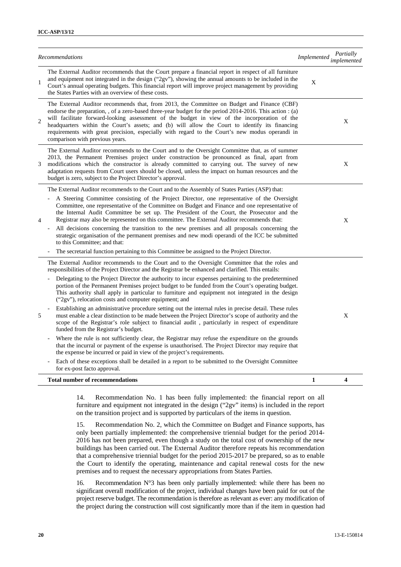|           | <b>ICC-ASP/13/12</b>                                                                                                                                                                                                                                                                                                                                                                                                                                                                                                                                                                                                                                                                                                                                                                                                         |                    |                          |
|-----------|------------------------------------------------------------------------------------------------------------------------------------------------------------------------------------------------------------------------------------------------------------------------------------------------------------------------------------------------------------------------------------------------------------------------------------------------------------------------------------------------------------------------------------------------------------------------------------------------------------------------------------------------------------------------------------------------------------------------------------------------------------------------------------------------------------------------------|--------------------|--------------------------|
|           | <b>Recommendations</b>                                                                                                                                                                                                                                                                                                                                                                                                                                                                                                                                                                                                                                                                                                                                                                                                       | <b>Implemented</b> | Partially<br>implemented |
|           | The External Auditor recommends that the Court prepare a financial report in respect of all furniture<br>and equipment not integrated in the design ("2gv"), showing the annual amounts to be included in the<br>Court's annual operating budgets. This financial report will improve project management by providing<br>the States Parties with an overview of these costs.                                                                                                                                                                                                                                                                                                                                                                                                                                                 | X                  |                          |
|           | The External Auditor recommends that, from 2013, the Committee on Budget and Finance (CBF)<br>endorse the preparation, of a zero-based three-year budget for the period 2014-2016. This action : (a)<br>will facilitate forward-looking assessment of the budget in view of the incorporation of the<br>headquarters within the Court's assets; and (b) will allow the Court to identify its financing<br>requirements with great precision, especially with regard to the Court's new modus operandi in<br>comparison with previous years.                                                                                                                                                                                                                                                                                  |                    | X                        |
| 3         | The External Auditor recommends to the Court and to the Oversight Committee that, as of summer<br>2013, the Permanent Premises project under construction be pronounced as final, apart from<br>modifications which the constructor is already committed to carrying out. The survey of new<br>adaptation requests from Court users should be closed, unless the impact on human resources and the<br>budget is zero, subject to the Project Director's approval.                                                                                                                                                                                                                                                                                                                                                            |                    | X                        |
| 4         | The External Auditor recommends to the Court and to the Assembly of States Parties (ASP) that:<br>A Steering Committee consisting of the Project Director, one representative of the Oversight<br>Committee, one representative of the Committee on Budget and Finance and one representative of<br>the Internal Audit Committee be set up. The President of the Court, the Prosecutor and the<br>Registrar may also be represented on this committee. The External Auditor recommends that:<br>All decisions concerning the transition to the new premises and all proposals concerning the<br>strategic organisation of the permanent premises and new modi operandi of the ICC be submitted<br>to this Committee; and that:<br>The secretarial function pertaining to this Committee be assigned to the Project Director. |                    | X                        |
|           | The External Auditor recommends to the Court and to the Oversight Committee that the roles and<br>responsibilities of the Project Director and the Registrar be enhanced and clarified. This entails:<br>Delegating to the Project Director the authority to incur expenses pertaining to the predetermined<br>portion of the Permanent Premises project budget to be funded from the Court's operating budget.<br>This authority shall apply in particular to furniture and equipment not integrated in the design<br>("2gv"), relocation costs and computer equipment; and                                                                                                                                                                                                                                                 |                    |                          |
| 5         | Establishing an administrative procedure setting out the internal rules in precise detail. These rules<br>must enable a clear distinction to be made between the Project Director's scope of authority and the<br>scope of the Registrar's role subject to financial audit, particularly in respect of expenditure<br>funded from the Registrar's budget.<br>Where the rule is not sufficiently clear, the Registrar may refuse the expenditure on the grounds<br>that the incurral or payment of the expense is unauthorised. The Project Director may require that<br>the expense be incurred or paid in view of the project's requirements.                                                                                                                                                                               |                    | X                        |
|           | Each of these exceptions shall be detailed in a report to be submitted to the Oversight Committee<br>for ex-post facto approval.                                                                                                                                                                                                                                                                                                                                                                                                                                                                                                                                                                                                                                                                                             |                    |                          |
|           | <b>Total number of recommendations</b>                                                                                                                                                                                                                                                                                                                                                                                                                                                                                                                                                                                                                                                                                                                                                                                       | 1                  | $\overline{\mathbf{4}}$  |
|           | Recommendation No. 1 has been fully implemented: the financial report on all<br>14.<br>furniture and equipment not integrated in the design ("2gv" items) is included in the report<br>on the transition project and is supported by particulars of the items in question.                                                                                                                                                                                                                                                                                                                                                                                                                                                                                                                                                   |                    |                          |
|           | Recommendation No. 2, which the Committee on Budget and Finance supports, has<br>15.<br>only been partially implemented: the comprehensive triennial budget for the period 2014-<br>2016 has not been prepared, even though a study on the total cost of ownership of the new<br>buildings has been carried out. The External Auditor therefore repeats his recommendation<br>that a comprehensive triennial budget for the period 2015-2017 be prepared, so as to enable<br>the Court to identify the operating, maintenance and capital renewal costs for the new<br>premises and to request the necessary appropriations from States Parties.                                                                                                                                                                             |                    |                          |
|           | Recommendation $N^{\circ}3$ has been only partially implemented: while there has been no<br>16.<br>significant overall modification of the project, individual changes have been paid for out of the<br>project reserve budget. The recommendation is therefore as relevant as ever: any modification of<br>the project during the construction will cost significantly more than if the item in question had                                                                                                                                                                                                                                                                                                                                                                                                                |                    |                          |
| <b>20</b> |                                                                                                                                                                                                                                                                                                                                                                                                                                                                                                                                                                                                                                                                                                                                                                                                                              |                    | 13-E-150814              |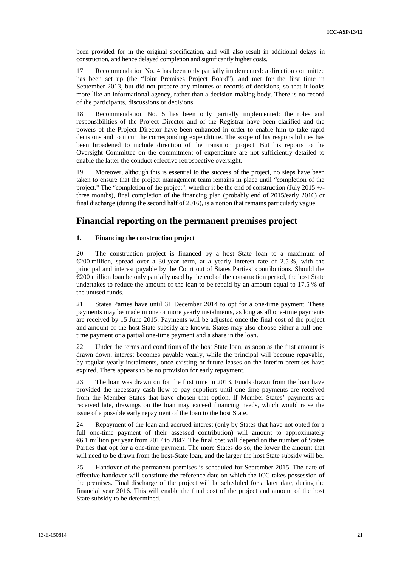been provided for in the original specification, and will also result in additional delays in construction, and hence delayed completion and significantly higher costs.

17. Recommendation No. 4 has been only partially implemented: a direction committee has been set up (the "Joint Premises Project Board"), and met for the first time in September 2013, but did not prepare any minutes or records of decisions, so that it looks more like an informational agency, rather than a decision-making body. There is no record of the participants, discussions or decisions.

**1508** provided for an the expiral spectrum as event in each of a stationary fitch such that is a stationary in the experimental stationary in the experimental stationary in the stationary in the stationary in the station 18. Recommendation No. 5 has been only partially implemented: the roles and responsibilities of the Project Director and of the Registrar have been clarified and the powers of the Project Director have been enhanced in order to enable him to take rapid decisions and to incur the corresponding expenditure. The scope of his responsibilities has been broadened to include direction of the transition project. But his reports to the Oversight Committee on the commitment of expenditure are not sufficiently detailed to enable the latter the conduct effective retrospective oversight.

19. Moreover, although this is essential to the success of the project, no steps have been taken to ensure that the project management team remains in place until "completion of the project." The "completion of the project", whether it be the end of construction (July 2015 +/ three months), final completion of the financing plan (probably end of 2015/early 2016) or final discharge (during the second half of 2016), is a notion that remains particularly vague.

# **Financial reporting on the permanent premises project**

#### **1. Financing the construction project**

20. The construction project is financed by a host State loan to a maximum of €200 million, spread over a 30-year term, at a yearly interest rate of 2.5 %, with the principal and interest payable by the Court out of States Parties' contributions. Should the €200 million loan be only partially used by the end of the construction period, the host State undertakes to reduce the amount of the loan to be repaid by an amount equal to 17.5 % of the unused funds.

21. States Parties have until 31 December 2014 to opt for a one-time payment. These payments may be made in one or more yearly instalments, as long as all one-time payments are received by 15 June 2015. Payments will be adjusted once the final cost of the project and amount of the host State subsidy are known. States may also choose either a full onetime payment or a partial one-time payment and a share in the loan.

22. Under the terms and conditions of the host State loan, as soon as the first amount is drawn down, interest becomes payable yearly, while the principal will become repayable, by regular yearly instalments, once existing or future leases on the interim premises have expired. There appears to be no provision for early repayment.

23. The loan was drawn on for the first time in 2013. Funds drawn from the loan have provided the necessary cash-flow to pay suppliers until one-time payments are received from the Member States that have chosen that option. If Member States' payments are received late, drawings on the loan may exceed financing needs, which would raise the issue of a possible early repayment of the loan to the host State.

24. Repayment of the loan and accrued interest (only by States that have not opted for a full one-time payment of their assessed contribution) will amount to approximately €6.1 million per year from 2017 to 2047. The final cost will depend on the number of States Parties that opt for a one-time payment. The more States do so, the lower the amount that will need to be drawn from the host-State loan, and the larger the host State subsidy will be.

25. Handover of the permanent premises is scheduled for September 2015. The date of effective handover will constitute the reference date on which the ICC takes possession of the premises. Final discharge of the project will be scheduled for a later date, during the financial year 2016. This will enable the final cost of the project and amount of the host State subsidy to be determined.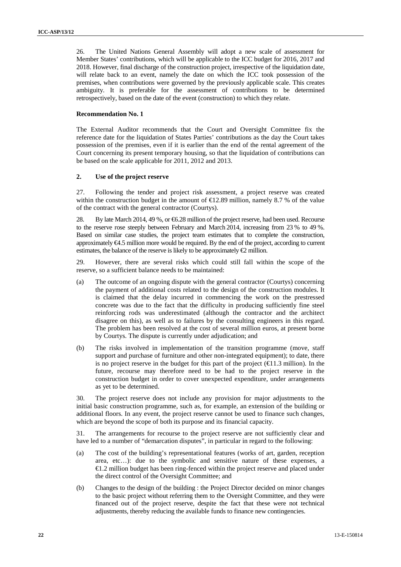26. The United Nations General Assembly will adopt a new scale of assessment for Member States' contributions, which will be applicable to the ICC budget for 2016, 2017 and 2018. However, final discharge of the construction project, irrespective of the liquidation date, will relate back to an event, namely the date on which the ICC took possession of the premises, when contributions were governed by the previously applicable scale. This creates ambiguity. It is preferable for the assessment of contributions to be determined retrospectively, based on the date of the event (construction) to which they relate.

#### **Recommendation No. 1**

The External Auditor recommends that the Court and Oversight Committee fix the reference date for the liquidation of States Parties' contributions as the day the Court takes possession of the premises, even if it is earlier than the end of the rental agreement of the Court concerning its present temporary housing, so that the liquidation of contributions can be based on the scale applicable for 2011, 2012 and 2013.

### **2. Use of the project reserve**

27. Following the tender and project risk assessment, a project reserve was created within the construction budget in the amount of  $\epsilon$  (2.89 million, namely 8.7 % of the value of the contract with the general contractor (Courtys).

28. By late March 2014, 49 %, or €6.28 million of the project reserve, had been used. Recourse to the reserve rose steeply between February and March 2014, increasing from 23 % to 49 %. Based on similar case studies, the project team estimates that to complete the construction, approximately €4.5 million more would be required. By the end of the project, according to current estimates, the balance of the reserve is likely to be approximately  $\bigoplus$  million.

29. However, there are several risks which could still fall within the scope of the reserve, so a sufficient balance needs to be maintained:

- **22** 13: The liquid Ninbur Gurant Automay is not now y and necessarise to the liquid Ninburg Comparison in the state of the state of the state of the state of the state of the state of the state of the state of the state (a) The outcome of an ongoing dispute with the general contractor (Courtys) concerning the payment of additional costs related to the design of the construction modules. It is claimed that the delay incurred in commencing the work on the prestressed concrete was due to the fact that the difficulty in producing sufficiently fine steel reinforcing rods was underestimated (although the contractor and the architect disagree on this), as well as to failures by the consulting engineers in this regard. The problem has been resolved at the cost of several million euros, at present borne by Courtys. The dispute is currently under adjudication; and
	- (b) The risks involved in implementation of the transition programme (move, staff support and purchase of furniture and other non-integrated equipment); to date, there is no project reserve in the budget for this part of the project  $(\text{ } \infty 1.3 \text{ million})$ . In the future, recourse may therefore need to be had to the project reserve in the construction budget in order to cover unexpected expenditure, under arrangements as yet to be determined.

30. The project reserve does not include any provision for major adjustments to the initial basic construction programme, such as, for example, an extension of the building or additional floors. In any event, the project reserve cannot be used to finance such changes, which are beyond the scope of both its purpose and its financial capacity.

31. The arrangements for recourse to the project reserve are not sufficiently clear and have led to a number of "demarcation disputes", in particular in regard to the following:

- (a) The cost of the building's representational features (works of art, garden, reception area, etc…): due to the symbolic and sensitive nature of these expenses, a €1.2 million budget has been ring-fenced within the project reserve and placed under the direct control of the Oversight Committee; and
- (b) Changes to the design of the building : the Project Director decided on minor changes to the basic project without referring them to the Oversight Committee, and they were financed out of the project reserve, despite the fact that these were not technical adjustments, thereby reducing the available funds to finance new contingencies.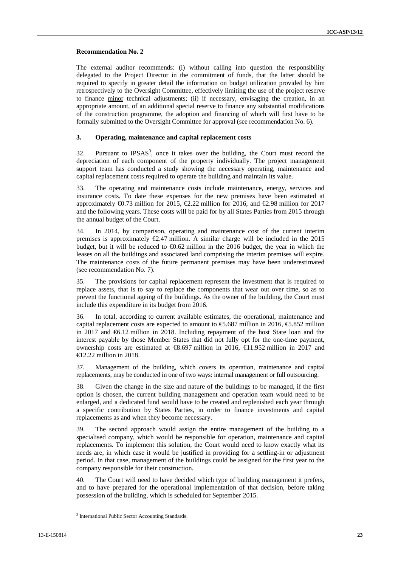#### **Recommendation No. 2**

**ECONDENTIFY 40.2**<br> **ECONOMIST NAME ACCONOMIST CONSULTS (EXCREMENT ACCONOMIST ACCONOMIST CONSULTS)**<br> **ECONOMIST CONSULTS (EXCREMENT ACCONOMIST ACCONOMIST CONSULTS)**<br> **ECONOMIST CONSULTS (EXCREMENT ACCONOMIST ACCONOMIST CO** The external auditor recommends: (i) without calling into question the responsibility delegated to the Project Director in the commitment of funds, that the latter should be required to specify in greater detail the information on budget utilization provided by him retrospectively to the Oversight Committee, effectively limiting the use of the project reserve to finance minor technical adjustments; (ii) if necessary, envisaging the creation, in an appropriate amount, of an additional special reserve to finance any substantial modifications of the construction programme, the adoption and financing of which will first have to be formally submitted to the Oversight Committee for approval (see recommendation No. 6).

#### **3. Operating, maintenance and capital replacement costs**

32. Pursuant to  $IPSAS<sup>3</sup>$ , once it takes over the building, the Court must record the depreciation of each component of the property individually. The project management support team has conducted a study showing the necessary operating, maintenance and capital replacement costs required to operate the building and maintain its value.

33. The operating and maintenance costs include maintenance, energy, services and insurance costs. To date these expenses for the new premises have been estimated at approximately  $\Theta$ .73 million for 2015,  $\Theta$ .22 million for 2016, and  $\Theta$ .98 million for 2017 and the following years. These costs will be paid for by all States Parties from 2015 through the annual budget of the Court.

34. In 2014, by comparison, operating and maintenance cost of the current interim premises is approximately  $\epsilon$ 2.47 million. A similar charge will be included in the 2015 budget, but it will be reduced to  $60.62$  million in the 2016 budget, the year in which the leases on all the buildings and associated land comprising the interim premises will expire. The maintenance costs of the future permanent premises may have been underestimated (see recommendation No. 7).

The provisions for capital replacement represent the investment that is required to replace assets, that is to say to replace the components that wear out over time, so as to prevent the functional ageing of the buildings. As the owner of the building, the Court must include this expenditure in its budget from 2016.

36. In total, according to current available estimates, the operational, maintenance and capital replacement costs are expected to amount to  $\text{ } \text{\&} 5.687$  million in 2016,  $\text{ } \text{\&} 5.852$  million in 2017 and €6.12 million in 2018. Including repayment of the host State loan and the interest payable by those Member States that did not fully opt for the one-time payment, ownership costs are estimated at  $\epsilon$ 8.697 million in 2016,  $\epsilon$ 1.952 million in 2017 and €12.22 million in 2018.

37. Management of the building, which covers its operation, maintenance and capital replacements, may be conducted in one of two ways: internal management or full outsourcing.

38. Given the change in the size and nature of the buildings to be managed, if the first option is chosen, the current building management and operation team would need to be enlarged, and a dedicated fund would have to be created and replenished each year through a specific contribution by States Parties, in order to finance investments and capital replacements as and when they become necessary.

39. The second approach would assign the entire management of the building to a specialised company, which would be responsible for operation, maintenance and capital replacements. To implement this solution, the Court would need to know exactly what its needs are, in which case it would be justified in providing for a settling-in or adjustment period. In that case, management of the buildings could be assigned for the first year to the company responsible for their construction.

The Court will need to have decided which type of building management it prefers, and to have prepared for the operational implementation of that decision, before taking possession of the building, which is scheduled for September 2015.

<sup>&</sup>lt;sup>3</sup> International Public Sector Accounting Standards.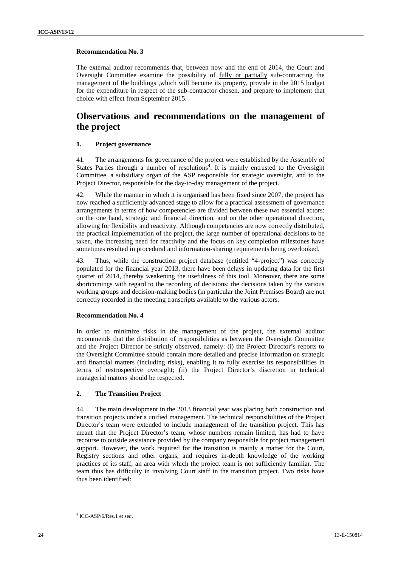#### **Recommendation No. 3**

The external auditor recommends that, between now and the end of 2014, the Court and Oversight Committee examine the possibility of fully or partially sub-contracting the management of the buildings ,which will become its property, provide in the 2015 budget for the expenditure in respect of the sub-contractor chosen, and prepare to implement that choice with effect from September 2015.

# **Observations and recommendations on the management of the project**

### **1. Project governance**

41. The arrangements for governance of the project were established by the Assembly of States Parties through a number of resolutions<sup>4</sup>. It is mainly entrusted to the Oversight Committee, a subsidiary organ of the ASP responsible for strategic oversight, and to the Project Director, responsible for the day-to-day management of the project.

42. While the manner in which it is organised has been fixed since 2007, the project has now reached a sufficiently advanced stage to allow for a practical assessment of governance arrangements in terms of how competencies are divided between these two essential actors: on the one hand, strategic and financial direction, and on the other operational direction, allowing for flexibility and reactivity. Although competencies are now correctly distributed, the practical implementation of the project, the large number of operational decisions to be taken, the increasing need for reactivity and the focus on key completion milestones have sometimes resulted in procedural and information-sharing requirements being overlooked.

43. Thus, while the construction project database (entitled "4-project") was correctly populated for the financial year 2013, there have been delays in updating data for the first quarter of 2014, thereby weakening the usefulness of this tool. Moreover, there are some shortcomings with regard to the recording of decisions: the decisions taken by the various working groups and decision-making bodies (in particular the Joint Premises Board) are not correctly recorded in the meeting transcripts available to the various actors.

#### **Recommendation No. 4**

In order to minimize risks in the management of the project, the external auditor recommends that the distribution of responsibilities as between the Oversight Committee and the Project Director be strictly observed, namely: (i) the Project Director's reports to the Oversight Committee should contain more detailed and precise information on strategic and financial matters (including risks), enabling it to fully exercise its responsibilities in terms of restrospective oversight; (ii) the Project Director's discretion in technical managerial matters should be respected.

### **2. The Transition Project**

**24** 24-000 method with New York (12-000 method with the second of the second of the second of the second of the second of the second of the second of the second of the second of the second of the second of the second of 44. The main development in the 2013 financial year was placing both construction and transition projects under a unified management. The technical responsibilities of the Project Director's team were extended to include management of the transition project. This has meant that the Project Director's team, whose numbers remain limited, has had to have recourse to outside assistance provided by the company responsible for project management support. However, the work required for the transition is mainly a matter for the Court, Registry sections and other organs, and requires in-depth knowledge of the working practices of its staff, an area with which the project team is not sufficiently familiar. The team thus has difficulty in involving Court staff in the transition project. Two risks have thus been identified:

 $4$  ICC-ASP/6/Res.1 et seq.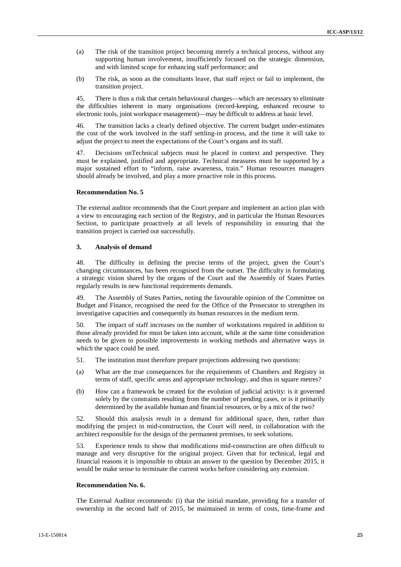- (a) The risk of the transition project becoming merely a technical process, without any supporting human involvement, insufficiently focused on the strategic dimension, and with limited scope for enhancing staff performance; and
- (b) The risk, as soon as the consultants leave, that staff reject or fail to implement, the transition project.

45. There is thus a risk that certain behavioural changes—which are necessary to eliminate the difficulties inherent in many organisations (record-keeping, enhanced recourse to electronic tools, joint workspace management)—may be difficult to address at basic level.

46. The transition lacks a clearly defined objective. The current budget under-estimates the cost of the work involved in the staff settling-in process, and the time it will take to adjust the project to meet the expectations of the Court's organs and its staff.

47. Decisions onTechnical subjects must be placed in context and perspective. They must be explained, justified and appropriate. Technical measures must be supported by a major sustained effort to "inform, raise awareness, train." Human resources managers should already be involved, and play a more proactive role in this process.

#### **Recommendation No. 5**

13. The rise of the massive project becoming mostly a vesting procedure in the same of the same of the same of the same of the same of the same of the same of the same of the same of the same of the same of the same of th The external auditor recommends that the Court prepare and implement an action plan with a view to encouraging each section of the Registry, and in particular the Human Resources Section, to participate proactively at all levels of responsibility in ensuring that the transition project is carried out successfully.

#### **3. Analysis of demand**

48. The difficulty in defining the precise terms of the project, given the Court's changing circumstances, has been recognised from the outset. The difficulty in formulating a strategic vision shared by the organs of the Court and the Assembly of States Parties regularly results in new functional requirements demands.

49. The Assembly of States Parties, noting the favourable opinion of the Committee on Budget and Finance, recognised the need for the Office of the Prosecutor to strengthen its investigative capacities and consequently its human resources in the medium term.

50. The impact of staff increases on the number of workstations required in addition to those already provided for must be taken into account, while at the same time consideration needs to be given to possible improvements in working methods and alternative ways in which the space could be used.

- 51. The institution must therefore prepare projections addressing two questions:
- (a) What are the true consequences for the requirements of Chambers and Registry in terms of staff, specific areas and appropriate technology, and thus in square metres?
- (b) How can a framework be created for the evolution of judicial activity: is it governed solely by the constraints resulting from the number of pending cases, or is it primarily determined by the available human and financial resources, or by a mix of the two?

52. Should this analysis result in a demand for additional space, then, rather than modifying the project in mid-construction, the Court will need, in collaboration with the architect responsible for the design of the permanent premises, to seek solutions.

53. Experience tends to show that modifications mid-construction are often difficult to manage and very disruptive for the original project. Given that for technical, legal and financial reasons it is impossible to obtain an answer to the question by December 2015, it would be make sense to terminate the current works before considering any extension.

#### **Recommendation No. 6.**

The External Auditor recommends: (i) that the initial mandate, providing for a transfer of ownership in the second half of 2015, be maintained in terms of costs, time-frame and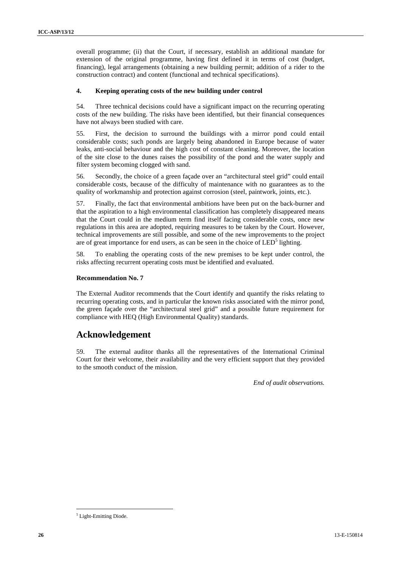overall programme; (ii) that the Court, if necessary, establish an additional mandate for extension of the original programme, having first defined it in terms of cost (budget, financing), legal arrangements (obtaining a new building permit; addition of a rider to the construction contract) and content (functional and technical specifications).

#### **4. Keeping operating costs of the new building under control**

54. Three technical decisions could have a significant impact on the recurring operating costs of the new building. The risks have been identified, but their financial consequences have not always been studied with care.

55. First, the decision to surround the buildings with a mirror pond could entail considerable costs; such ponds are largely being abandoned in Europe because of water leaks, anti-social behaviour and the high cost of constant cleaning. Moreover, the location of the site close to the dunes raises the possibility of the pond and the water supply and filter system becoming clogged with sand.

56. Secondly, the choice of a green façade over an "architectural steel grid" could entail considerable costs, because of the difficulty of maintenance with no guarantees as to the quality of workmanship and protection against corrosion (steel, paintwork, joints, etc.).

**26** 24-800 control propriative (i) that the Court of the control control control control control control control control control control control control control control control control control control control control con 57. Finally, the fact that environmental ambitions have been put on the back-burner and that the aspiration to a high environmental classification has completely disappeared means that the Court could in the medium term find itself facing considerable costs, once new regulations in this area are adopted, requiring measures to be taken by the Court. However, technical improvements are still possible, and some of the new improvements to the project are of great importance for end users, as can be seen in the choice of  $LED<sup>5</sup>$  lighting.

58. To enabling the operating costs of the new premises to be kept under control, the risks affecting recurrent operating costs must be identified and evaluated.

#### **Recommendation No. 7**

The External Auditor recommends that the Court identify and quantify the risks relating to recurring operating costs, and in particular the known risks associated with the mirror pond, the green façade over the "architectural steel grid" and a possible future requirement for compliance with HEQ (High Environmental Quality) standards.

## **Acknowledgement**

59. The external auditor thanks all the representatives of the International Criminal Court for their welcome, their availability and the very efficient support that they provided to the smooth conduct of the mission.

*End of audit observations.*

<sup>5</sup> Light-Emitting Diode.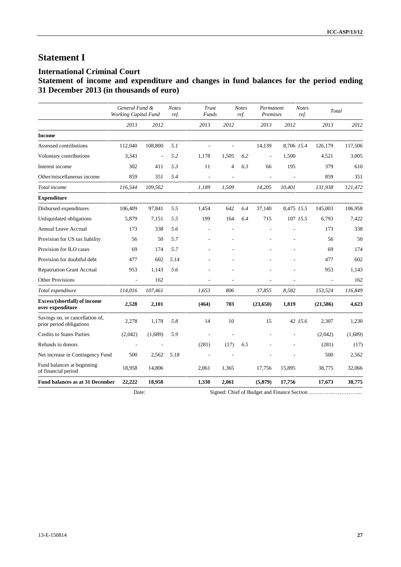# **Statement I**

# **International Criminal Court Statement of income and expenditure and changes in fund balances for the period ending 31 December 2013 (in thousands of euro)**

| <b>Statement I</b><br><b>International Criminal Court</b><br>Statement of income and expenditure and changes in fund balances for the period ending<br>31 December 2013 (in thousands of euro) | General Fund &           |                          |                      |                          |                          |                      |                          |                          |          |         |
|------------------------------------------------------------------------------------------------------------------------------------------------------------------------------------------------|--------------------------|--------------------------|----------------------|--------------------------|--------------------------|----------------------|--------------------------|--------------------------|----------|---------|
|                                                                                                                                                                                                |                          |                          |                      |                          |                          |                      |                          |                          |          |         |
|                                                                                                                                                                                                |                          |                          |                      |                          |                          |                      |                          |                          |          |         |
|                                                                                                                                                                                                |                          | Working Capital Fund     | <b>Notes</b><br>ref. | Trust<br>Funds           |                          | <b>Notes</b><br>ref. | Permanent<br>Premises    | <b>Notes</b><br>ref.     | Total    |         |
|                                                                                                                                                                                                | 2013                     | 2012                     |                      | 2013                     | 2012                     |                      | 2013                     | 2012                     | 2013     | 2012    |
| Income                                                                                                                                                                                         |                          |                          |                      |                          |                          |                      |                          |                          |          |         |
| Assessed contributions                                                                                                                                                                         | 112,040                  | 108,800                  | 5.1                  | $\overline{a}$           | $\overline{a}$           |                      | 14,139                   | 8,706 15.4               | 126,179  | 117,506 |
| Voluntary contributions                                                                                                                                                                        | 3,343                    | $\sim$                   | 5.2                  | 1,178                    | 1,505                    | 6.2                  |                          | 1,500                    | 4,521    | 3,005   |
| Interest income                                                                                                                                                                                | 302                      | 411                      | 5.3                  | 11                       | 4                        | 6.3                  | 66                       | 195                      | 379      | 610     |
| Other/miscellaneous income                                                                                                                                                                     | 859                      | 351                      | 5.4                  | $\overline{\phantom{a}}$ | $\overline{\phantom{a}}$ |                      | $\overline{\phantom{a}}$ | $\overline{\phantom{a}}$ | 859      | 351     |
| Total income                                                                                                                                                                                   | 116,544                  | 109,562                  |                      | 1,189                    | 1,509                    |                      | 14,205                   | 10,401                   | 131,938  | 121,472 |
| <b>Expenditure</b>                                                                                                                                                                             |                          |                          |                      |                          |                          |                      |                          |                          |          |         |
| Disbursed expenditures                                                                                                                                                                         | 106,409                  | 97,841                   | 5.5                  | 1,454                    | 642                      | 6.4                  | 37,140                   | 8,475 15.5               | 145,003  | 106,958 |
| Unliquidated obligations                                                                                                                                                                       | 5,879                    | 7,151                    | 5.5                  | 199                      | 164                      | 6.4                  | 715                      | 107 15.5                 | 6,793    | 7,422   |
| Annual Leave Accrual                                                                                                                                                                           | 173                      | 338                      | 5.6                  |                          |                          |                      |                          |                          | 173      | 338     |
| Provision for US tax liability                                                                                                                                                                 | 56                       | 50                       | 5.7                  |                          |                          |                      |                          |                          | 56       | 50      |
| Provision for ILO cases                                                                                                                                                                        | 69                       | 174                      | 5.7                  |                          |                          |                      |                          |                          | 69       | 174     |
| Provision for doubtful debt                                                                                                                                                                    | 477                      | 602                      | 5.14                 |                          |                          |                      |                          |                          | 477      | 602     |
| <b>Repatriation Grant Accrual</b>                                                                                                                                                              | 953                      | 1,143                    | 5.6                  | $\overline{a}$           |                          |                      |                          |                          | 953      | 1,143   |
| Other Provisions                                                                                                                                                                               | $\overline{\phantom{a}}$ | 162                      |                      | $\overline{\phantom{a}}$ | $\overline{\phantom{a}}$ |                      |                          | $\overline{\phantom{a}}$ | $\sim$   | 162     |
| Total expenditure                                                                                                                                                                              | 114,016                  | 107,461                  |                      | 1,653                    | 806                      |                      | 37,855                   | 8,582                    | 153,524  | 116,849 |
| Excess/(shortfall) of income<br>over expenditure                                                                                                                                               | 2,528                    | 2,101                    |                      | (464)                    | 703                      |                      | (23, 650)                | 1,819                    | (21,586) | 4,623   |
| Savings on, or cancellation of,<br>prior period obligations                                                                                                                                    | 2,278                    | 1,178                    | 5.8                  | 14                       | 10                       |                      | 15                       | 42 15.6                  | 2,307    | 1,230   |
| Credits to States Parties                                                                                                                                                                      | (2,042)                  | $(1,689)$ 5.9            |                      |                          |                          |                      |                          |                          | (2,042)  | (1,689) |
| Refunds to donors                                                                                                                                                                              | $\overline{\phantom{a}}$ | $\overline{\phantom{a}}$ |                      | (281)                    | (17)                     | 6.5                  |                          |                          | (281)    | (17)    |
| Net increase in Contingency Fund                                                                                                                                                               | 500                      | 2,562 5.18               |                      | $\overline{\phantom{a}}$ | $\sim$                   |                      |                          | $\sim$                   | 500      | 2,562   |
| Fund balances at beginning<br>of financial period                                                                                                                                              | 18,958                   | 14,806                   |                      | 2,061                    | 1,365                    |                      | 17,756                   | 15,895                   | 38,775   | 32,066  |
| Fund balances as at 31 December                                                                                                                                                                | 22,222                   | 18,958                   |                      | 1,330                    | 2,061                    |                      | (5, 879)                 | 17,756                   | 17,673   | 38,775  |
|                                                                                                                                                                                                | Date:                    |                          |                      |                          |                          |                      |                          |                          |          |         |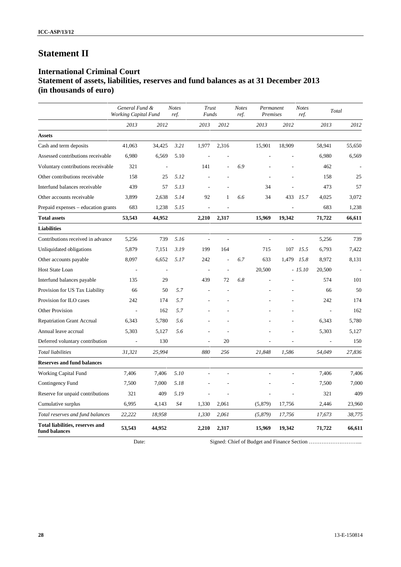# **Statement II**

# **International Criminal Court Statement of assets, liabilities, reserves and fund balances as at 31 December 2013 (in thousands of euro)**

|                                     | General Fund &           |                          | <b>Notes</b> | Trust                    |                          | <b>Notes</b> | Permanent                | <b>Notes</b>             | Total                    |                          |
|-------------------------------------|--------------------------|--------------------------|--------------|--------------------------|--------------------------|--------------|--------------------------|--------------------------|--------------------------|--------------------------|
|                                     | Working Capital Fund     |                          | ref.         | Funds                    |                          | ref.         | Premises                 | ref.                     |                          |                          |
|                                     | 2013                     | 2012                     |              | 2013                     | 2012                     |              | 2013                     | 2012                     | 2013                     | 2012                     |
| <b>Assets</b>                       |                          |                          |              |                          |                          |              |                          |                          |                          |                          |
| Cash and term deposits              | 41,063                   | 34,425                   | 3.21         | 1,977                    | 2,316                    |              | 15,901                   | 18,909                   | 58,941                   | 55,650                   |
| Assessed contributions receivable   | 6,980                    | 6,569                    | 5.10         |                          |                          |              |                          |                          | 6,980                    | 6,569                    |
| Voluntary contributions receivable  | 321                      | $\overline{\phantom{a}}$ |              | 141                      |                          | 6.9          |                          |                          | 462                      | $\overline{\phantom{a}}$ |
| Other contributions receivable      | 158                      | 25                       | 5.12         |                          |                          |              |                          |                          | 158                      | 25                       |
| Interfund balances receivable       | 439                      | 57                       | 5.13         |                          |                          |              | 34                       |                          | 473                      | 57                       |
| Other accounts receivable           | 3,899                    | 2,638                    | 5.14         | 92                       | $\mathbf{1}$             | 6.6          | 34                       | 433 15.7                 | 4,025                    | 3,072                    |
| Prepaid expenses - education grants | 683                      | 1,238                    | 5.15         | $\overline{\phantom{a}}$ | $\overline{a}$           |              |                          | $\overline{\phantom{a}}$ | 683                      | 1,238                    |
| <b>Total assets</b>                 | 53,543                   | 44,952                   |              |                          | 2,210 2,317              |              | 15,969                   | 19,342                   | 71,722                   | 66,611                   |
| <b>Liabilities</b>                  |                          |                          |              |                          |                          |              |                          |                          |                          |                          |
| Contributions received in advance   | 5,256                    | 739                      | 5.16         | $\sim$                   |                          |              |                          |                          | 5,256                    | 739                      |
| Unliquidated obligations            | 5,879                    | 7,151                    | 3.19         | 199                      | 164                      |              | 715                      | 107 15.5                 | 6,793                    | 7,422                    |
| Other accounts payable              | 8,097                    | 6,652                    | 5.17         | 242                      | $\sim$                   | 6.7          | 633                      | 1,479 15.8               | 8,972                    | 8,131                    |
| <b>Host State Loan</b>              | $\overline{\phantom{a}}$ | $\overline{\phantom{a}}$ |              | $\overline{\phantom{a}}$ |                          |              | 20,500                   | $-15.10$                 | 20,500                   | $\sim$                   |
| Interfund balances payable          | 135                      | 29                       |              | 439                      | 72                       | 6.8          | $\overline{\phantom{a}}$ | $\sim$                   | 574                      | 101                      |
| Provision for US Tax Liability      | 66                       | 50                       | 5.7          |                          |                          |              |                          |                          | 66                       | 50                       |
| Provision for ILO cases             | 242                      | 174                      | 5.7          |                          |                          |              |                          |                          | 242                      | 174                      |
| Other Provision                     | $\overline{\phantom{a}}$ | 162                      | 5.7          |                          |                          |              |                          |                          | $\overline{\phantom{a}}$ | 162                      |
| <b>Repatriation Grant Accrual</b>   | 6,343                    | 5,780                    | 5.6          |                          |                          |              |                          |                          | 6,343                    | 5,780                    |
| Annual leave accrual                | 5,303                    | 5,127                    | 5.6          | $\overline{\phantom{a}}$ | $\overline{\phantom{a}}$ |              |                          |                          | 5,303                    | 5,127                    |
| Deferred voluntary contribution     | $\overline{\phantom{a}}$ | 130                      |              |                          | 20                       |              |                          |                          | $\overline{a}$           | 150                      |
| <b>Total liabilities</b>            | 31,321                   | 25,994                   |              | 880                      | 256                      |              | 21,848                   | 1,586                    | 54,049                   | 27,836                   |
| <b>Reserves and fund balances</b>   |                          |                          |              |                          |                          |              |                          |                          |                          |                          |
| Working Capital Fund                | 7,406                    | 7,406                    | $5.10\,$     |                          |                          |              |                          | $\overline{\phantom{a}}$ | 7,406                    | 7,406                    |
|                                     |                          |                          |              |                          |                          |              |                          |                          |                          |                          |
| Contingency Fund                    | 7,500                    | 7,000                    | 5.18         |                          |                          |              |                          |                          | 7,500                    | 7,000                    |
| Reserve for unpaid contributions    | 321                      | 409                      | 5.19         |                          |                          |              |                          | $\sim$                   | 321                      | 409                      |
| Cumulative surplus                  | 6,995                    | 4,143                    | S4           | 1,330                    | 2,061                    |              | (5,879)                  | 17,756                   | 2,446                    | 23,960                   |
| Total reserves and fund balances    | 22,222                   | 18,958                   |              | 1,330 2,061              |                          |              | (5,879)                  | 17,756                   | 17,673                   | 38,775                   |
| Total liabilities, reserves and     | 53,543                   | 44,952                   |              |                          | 2,210 2,317              |              | 15,969                   | 19,342                   | 71,722                   | 66,611                   |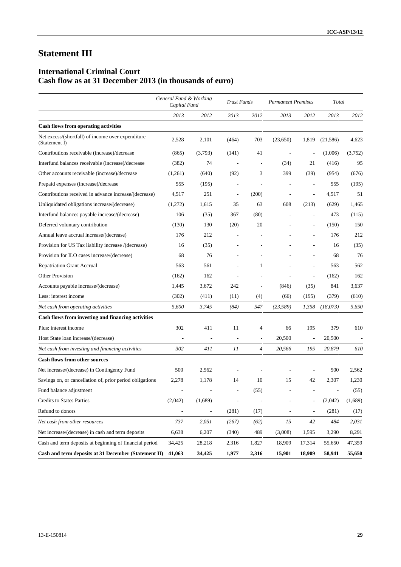# **Statement III**

# **International Criminal Court Cash flow as at 31 December 2013 (in thousands of euro)**

| <b>International Criminal Court</b>                                |                                        |                          |                          |                |                           |                          |                |         |
|--------------------------------------------------------------------|----------------------------------------|--------------------------|--------------------------|----------------|---------------------------|--------------------------|----------------|---------|
| Cash flow as at 31 December 2013 (in thousands of euro)            |                                        |                          |                          |                |                           |                          |                |         |
|                                                                    | General Fund & Working<br>Capital Fund |                          | <b>Trust Funds</b>       |                | <b>Permanent Premises</b> |                          | Total          |         |
|                                                                    | 2013                                   | 2012                     | 2013                     | 2012           | 2013                      | 2012                     | 2013           | 2012    |
| Cash flows from operating activities                               |                                        |                          |                          |                |                           |                          |                |         |
| Net excess/(shortfall) of income over expenditure<br>(Statement I) | 2,528                                  | 2,101                    | (464)                    | 703            | (23,650)                  | 1,819                    | (21, 586)      | 4,623   |
| Contributions receivable (increase)/decrease                       | (865)                                  | (3,793)                  | (141)                    | 41             | $\overline{\phantom{a}}$  | $\overline{\phantom{a}}$ | (1,006)        | (3,752) |
| Interfund balances receivable (increase)/decrease                  | (382)                                  | 74                       | $\overline{\phantom{a}}$ | $\sim$         | (34)                      | 21                       | (416)          | 95      |
| Other accounts receivable (increase)/decrease                      | (1,261)                                | (640)                    | (92)                     | 3              | 399                       | (39)                     | (954)          | (676)   |
| Prepaid expenses (increase)/decrease                               | 555                                    | (195)                    | <b>1</b>                 | . —            | $\overline{\phantom{a}}$  |                          | 555            | (195)   |
| Contributions received in advance increase/(decrease)              | 4,517                                  | 251                      | $\overline{\phantom{a}}$ | (200)          |                           |                          | 4,517          | 51      |
| Unliquidated obligations increase/(decrease)                       | (1,272)                                | 1,615                    | 35                       | 63             | 608                       | (213)                    | (629)          | 1,465   |
| Interfund balances payable increase/(decrease)                     | 106                                    | (35)                     | 367                      | (80)           |                           |                          | 473            | (115)   |
| Deferred voluntary contribution                                    | (130)                                  | 130                      | (20)                     | 20             |                           |                          | (150)          | 150     |
| Annual leave accrual increase/(decrease)                           | 176                                    | 212                      |                          |                |                           |                          | 176            | 212     |
| Provision for US Tax liability increase /(decrease)                | 16                                     | (35)                     |                          |                |                           |                          | 16             | (35)    |
| Provision for ILO cases increase/(decrease)                        | 68                                     | 76                       |                          |                |                           |                          | 68             | 76      |
| <b>Repatriation Grant Accrual</b>                                  | 563                                    | 561                      |                          |                |                           |                          | 563            | 562     |
| Other Provision                                                    | (162)                                  | 162                      |                          |                |                           |                          | (162)          | 162     |
|                                                                    | 1,445                                  | 3,672                    | 242                      |                | (846)                     | (35)                     | 841            | 3,637   |
| Accounts payable increase/(decrease)<br>Less: interest income      | (302)                                  | (411)                    |                          | $\sim$<br>(4)  |                           | (195)                    | (379)          | (610)   |
|                                                                    |                                        |                          | (11)                     |                | (66)                      |                          |                |         |
| Net cash from operating activities                                 | 5,600                                  | 3,745                    | (84)                     | 547            | (23, 589)                 |                          | 1,358 (18,073) | 5,650   |
| Cash flows from investing and financing activities                 |                                        |                          |                          |                |                           |                          |                |         |
| Plus: interest income                                              | $302\,$                                | 411                      | 11                       | $\overline{4}$ | 66                        | 195                      | 379            | 610     |
| Host State loan increase/(decrease)                                | $\overline{\phantom{a}}$               |                          |                          |                | 20,500                    |                          | 20,500         | ÷       |
| Net cash from investing and financing activities                   | 302                                    | 411                      | $\cal II$                | $\overline{4}$ | 20,566                    | 195                      | 20,879         | 610     |
| <b>Cash flows from other sources</b>                               |                                        |                          |                          |                |                           |                          |                |         |
| Net increase/(decrease) in Contingency Fund                        | 500                                    | 2,562                    |                          |                |                           |                          | 500            | 2,562   |
| Savings on, or cancellation of, prior period obligations           | 2,278                                  | 1,178                    | 14                       | 10             | 15                        | 42                       | 2,307          | 1,230   |
| Fund balance adjustment                                            | $\overline{\phantom{a}}$               | $\overline{\phantom{a}}$ | $\overline{\phantom{a}}$ | (55)           | $\overline{\phantom{a}}$  |                          |                | (55)    |
| <b>Credits to States Parties</b>                                   | (2,042)                                | (1,689)                  | $\overline{\phantom{a}}$ | $\sim$         | $\overline{\phantom{a}}$  |                          | (2,042)        | (1,689) |
| Refund to donors                                                   | $\overline{\phantom{a}}$               |                          | (281)                    | (17)           | $\overline{\phantom{a}}$  |                          | (281)          | (17)    |
| Net cash from other resources                                      | 737                                    | 2,051                    | (267)                    | (62)           | 15                        | 42                       | 484            | 2,031   |
|                                                                    | 6,638                                  | 6,207                    | (340)                    | 489            | (3,008)                   | 1,595                    | 3,290          | 8,291   |
| Net increase/(decrease) in cash and term deposits                  |                                        | 28,218                   | 2,316                    | 1,827          | 18,909                    | 17,314                   | 55,650         | 47,359  |
| Cash and term deposits at beginning of financial period            | 34,425                                 |                          |                          |                | 15,901                    | 18,909                   | 58,941         | 55,650  |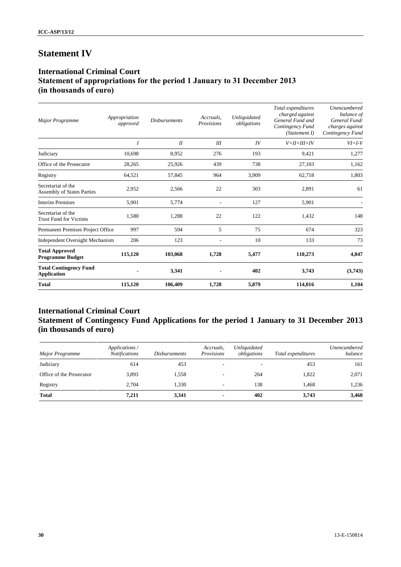# **Statement IV**

# **International Criminal Court Statement of appropriations for the period 1 January to 31 December 2013 (in thousands of euro)**

| <b>Statement IV</b>                                                                                                                                                                      |                                        |                             |                                   |                                       |                                                                                                |                                                                                    |
|------------------------------------------------------------------------------------------------------------------------------------------------------------------------------------------|----------------------------------------|-----------------------------|-----------------------------------|---------------------------------------|------------------------------------------------------------------------------------------------|------------------------------------------------------------------------------------|
| <b>International Criminal Court</b><br>Statement of appropriations for the period 1 January to 31 December 2013<br>(in thousands of euro)                                                |                                        |                             |                                   |                                       |                                                                                                |                                                                                    |
| Major Programme                                                                                                                                                                          | Appropriation<br>approved              | Disbursements               | Accruals,<br>Provisions           | Unliquidated<br>obligations           | Total expenditures<br>charged against<br>General Fund and<br>Contingency Fund<br>(Statement I) | Unencumbered<br>balance of<br>General Fund/<br>charges against<br>Contingency Fund |
|                                                                                                                                                                                          | $\overline{I}$                         | $I\!I$                      | $I\!I\!I$                         | $I\hspace{-.1em}V$                    | $V=II+III+IV$                                                                                  | $VI = I - V$                                                                       |
| Judiciary                                                                                                                                                                                | 10,698                                 | 8,952                       | 276                               | 193                                   | 9,421                                                                                          | 1,277                                                                              |
| Office of the Prosecutor                                                                                                                                                                 | 28,265                                 | 25,926                      | 439                               | 738                                   | 27,103                                                                                         | 1,162                                                                              |
| Registry                                                                                                                                                                                 | 64,521                                 | 57,845                      | 964                               | 3,909                                 | 62,718                                                                                         | 1,803                                                                              |
| Secretariat of the<br>Assembly of States Parties                                                                                                                                         | 2,952                                  | 2,566                       | 22                                | 303                                   | 2,891                                                                                          | 61                                                                                 |
| <b>Interim Premises</b>                                                                                                                                                                  | 5,901                                  | 5,774                       | $\overline{\phantom{a}}$          | 127                                   | 5,901                                                                                          | $\overline{\phantom{a}}$                                                           |
| Secretariat of the<br>Trust Fund for Victims                                                                                                                                             | 1,580                                  | 1,288                       | $22\,$                            | $122\,$                               | 1,432                                                                                          | 148                                                                                |
| Permanent Premises Project Office                                                                                                                                                        | 997                                    | 594                         | $5\overline{)}$                   | 75                                    | 674                                                                                            | 323                                                                                |
| Independent Oversight Mechanism                                                                                                                                                          | 206                                    | 123                         |                                   | 10                                    | 133                                                                                            | 73                                                                                 |
| <b>Total Approved</b><br><b>Programme Budget</b>                                                                                                                                         | 115,120                                | 103,068                     | 1,728                             | 5,477                                 | 110,273                                                                                        | 4,847                                                                              |
| <b>Total Contingency Fund</b><br><b>Application</b>                                                                                                                                      | $\blacksquare$                         | 3,341                       | $\blacksquare$                    | 402                                   | 3,743                                                                                          | (3,743)                                                                            |
|                                                                                                                                                                                          |                                        |                             |                                   |                                       |                                                                                                |                                                                                    |
| <b>Total</b>                                                                                                                                                                             | 115,120                                | 106,409                     | 1,728                             | 5,879                                 | 114,016                                                                                        | 1,104                                                                              |
| <b>International Criminal Court</b><br>Statement of Contingency Fund Applications for the period 1 January to 31 December 2013<br>(in thousands of euro)<br>Major Programme<br>Judiciary | Applications /<br>Notifications<br>614 | <b>Disbursements</b><br>453 | Accruals,<br>Provisions<br>$\sim$ | Unliquidated<br>obligations<br>$\sim$ | Total expenditures<br>453                                                                      | Unencumbered<br>balance<br>161                                                     |
| Office of the Prosecutor                                                                                                                                                                 | 3,893                                  | 1,558                       | $\overline{\phantom{a}}$          | $264\,$                               | 1,822                                                                                          | 2,071                                                                              |
| Registry                                                                                                                                                                                 | 2,704                                  | 1,330                       | $\sim$                            | 138                                   | 1,468                                                                                          | 1,236                                                                              |

# **International Criminal Court**

## **Statement of Contingency Fund Applications for the period 1 January to 31 December 2013 (in thousands of euro)**

| Major Programme          | Applications/<br><b>Notifications</b> | <i>Disbursements</i> | Accruals,<br>Provisions | <b>Unliquidated</b><br>obligations | Total expenditures | Unencumbered<br>balance |
|--------------------------|---------------------------------------|----------------------|-------------------------|------------------------------------|--------------------|-------------------------|
| Judiciary                | 614                                   | 453                  |                         | $\overline{\phantom{a}}$           | 453                | 161                     |
| Office of the Prosecutor | 3,893                                 | 1,558                |                         | 264                                | 1.822              | 2,071                   |
| Registry                 | 2.704                                 | 1.330                |                         | 138                                | 1.468              | 1,236                   |
| <b>Total</b>             | 7,211                                 | 3,341                |                         | 402                                | 3,743              | 3,468                   |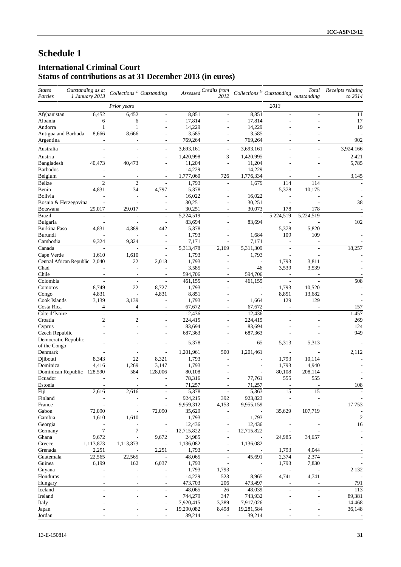# **International Criminal Court Status of contributions as at 31 December 2013 (in euros)**

|                                 |                                       |                          |                                                           |                          |                       |                          |                                                          |                          |                          | <b>ICC-ASP/13/12</b>               |
|---------------------------------|---------------------------------------|--------------------------|-----------------------------------------------------------|--------------------------|-----------------------|--------------------------|----------------------------------------------------------|--------------------------|--------------------------|------------------------------------|
| <b>Schedule 1</b>               |                                       |                          |                                                           |                          |                       |                          |                                                          |                          |                          |                                    |
|                                 |                                       |                          | <b>International Criminal Court</b>                       |                          |                       |                          |                                                          |                          |                          |                                    |
|                                 |                                       |                          | Status of contributions as at 31 December 2013 (in euros) |                          |                       |                          |                                                          |                          |                          |                                    |
| <b>States</b><br>Parties        | Outstanding as at<br>$1$ January 2013 |                          | Collections <sup>a)</sup> Outstanding                     |                          | Assessed Credits from | 2012                     | Collections $\stackrel{b}{\sim}$ Outstanding outstanding |                          |                          | Total Receipts relating<br>to 2014 |
|                                 |                                       |                          | Prior years                                               |                          |                       |                          |                                                          | 2013                     |                          |                                    |
| Afghanistan                     |                                       | 6,452                    | 6,452                                                     |                          | 8,851                 | $\sim$                   | 8,851                                                    |                          | $\overline{a}$           | 11                                 |
| Albania                         |                                       | 6                        | 6                                                         |                          | 17,814                | $\overline{\phantom{a}}$ | 17,814                                                   |                          |                          | 17                                 |
| Andorra<br>Antigua and Barbuda  |                                       | 8,666                    | $\overline{1}$<br>8,666                                   |                          | 14,229<br>3,585       |                          | 14,229<br>3,585                                          |                          |                          | 19<br>$\overline{\phantom{a}}$     |
| Argentina                       |                                       |                          | $\overline{\phantom{a}}$                                  |                          | 769,264               | $\overline{\phantom{a}}$ | 769,264                                                  | $\overline{\phantom{a}}$ | $\overline{\phantom{a}}$ | 902                                |
|                                 |                                       |                          |                                                           |                          |                       |                          |                                                          |                          |                          |                                    |
| Australia                       |                                       |                          | $\overline{\phantom{a}}$                                  | $\overline{\phantom{a}}$ | 3,693,161             | $\overline{\phantom{a}}$ | 3,693,161                                                | $\overline{\phantom{a}}$ | $\overline{\phantom{a}}$ | 3,924,166                          |
| Austria                         |                                       |                          |                                                           |                          | 1,420,998             | 3                        | 1,420,995                                                |                          |                          | 2,421                              |
| Bangladesh                      |                                       | 40,473                   | 40,473                                                    |                          | 11,204                |                          | 11,204                                                   |                          |                          | 5,785                              |
| <b>Barbados</b>                 |                                       |                          |                                                           |                          | 14,229                | $\overline{\phantom{a}}$ | 14,229                                                   |                          |                          |                                    |
| Belgium                         |                                       |                          |                                                           | $\overline{\phantom{a}}$ | 1,777,060             | 726                      | 1,776,334                                                |                          |                          | 3,145                              |
| Belize                          |                                       | 2                        | 2                                                         | $\sim$                   | 1,793                 | $\overline{\phantom{a}}$ | 1,679                                                    | 114                      | 114                      | $\overline{\phantom{a}}$           |
| Benin                           |                                       | 4,831                    | 34                                                        | 4,797                    | 5,378<br>16,022       | $\overline{\phantom{a}}$ | $\overline{\phantom{a}}$                                 | 5,378                    | 10,175                   |                                    |
| Bolivia<br>Bosnia & Herzegovina |                                       |                          | $\overline{\phantom{a}}$                                  |                          | 30,251                |                          | 16,022<br>30,251                                         | $\overline{\phantom{a}}$ |                          | 38                                 |
| <b>Botswana</b>                 |                                       | 29,017                   | 29,017                                                    | $\overline{\phantom{a}}$ | 30,251                | $\overline{\phantom{a}}$ | 30,073                                                   | 178                      | 178                      |                                    |
| <b>Brazil</b>                   |                                       | $\overline{\phantom{0}}$ | $\overline{\phantom{a}}$                                  | $\sim$                   | 5,224,519             | $\overline{\phantom{a}}$ | $\sim$                                                   | 5,224,519                | 5,224,519                | $\overline{\phantom{a}}$           |
| Bulgaria                        |                                       |                          | $\overline{\phantom{a}}$                                  | $\overline{\phantom{a}}$ | 83,694                |                          | 83,694                                                   |                          | $\overline{\phantom{a}}$ | 102                                |
| Burkina Faso                    |                                       | 4,831                    | 4,389                                                     | 442                      | 5,378                 |                          |                                                          | 5,378                    | 5,820                    |                                    |
| Burundi                         |                                       | $\overline{\phantom{a}}$ |                                                           |                          | 1,793                 |                          | 1,684                                                    | 109                      | 109                      |                                    |
| Cambodia                        |                                       | 9,324                    | 9,324                                                     | $\sim$                   | 7,171                 | $\overline{\phantom{a}}$ | 7,171                                                    | $\overline{\phantom{a}}$ | $\overline{\phantom{a}}$ |                                    |
| Canada                          |                                       | $\overline{\phantom{a}}$ | $\overline{\phantom{a}}$                                  | $\sim$                   | 5,313,478             | 2,169                    | 5,311,309                                                | $\sim$                   | $\sim$                   | 18,257                             |
| Cape Verde                      |                                       | 1,610                    | 1,610                                                     | $\overline{\phantom{a}}$ | 1,793                 |                          | 1,793                                                    | $\overline{\phantom{a}}$ | $\overline{\phantom{a}}$ |                                    |
| Central African Republic 2,040  |                                       |                          | 22                                                        | 2,018                    | 1,793                 |                          |                                                          | 1,793                    | 3,811                    |                                    |
| Chad                            |                                       |                          | $\overline{\phantom{a}}$                                  |                          | 3,585                 |                          | 46                                                       | 3,539                    | 3,539                    |                                    |
| Chile                           |                                       | $\overline{\phantom{a}}$ | $\overline{\phantom{a}}$                                  | $\sim$                   | 594,706               | $\sim$                   | 594,706                                                  | $\sim$                   | $\sim$                   |                                    |
| Colombia                        |                                       | $\overline{\phantom{a}}$ | $\overline{\phantom{a}}$                                  | $\overline{\phantom{a}}$ | 461,155               | $\sim$                   | 461,155                                                  | $\sim$                   | $\sim$                   | 508                                |
| Comoros                         |                                       | 8,749                    | 22                                                        | 8,727                    | 1,793                 |                          | $\overline{\phantom{a}}$                                 | 1,793                    | 10,520                   |                                    |
| Congo                           |                                       | 4,831                    | $\overline{\phantom{a}}$                                  | 4,831                    | 8,851                 |                          | $\sim$                                                   | 8,851                    | 13,682                   |                                    |
| Cook Islands                    |                                       | 3,139                    | 3,139                                                     | $\overline{\phantom{a}}$ | 1,793                 |                          | 1,664                                                    | 129                      | 129                      | $\overline{\phantom{a}}$           |
| Costa Rica                      |                                       | 4                        | 4                                                         | $\sim$                   | 67,672                | $\sim$                   | 67,672                                                   | $\sim$                   | $\sim$                   | 157                                |
| Côte d'Ivoire                   |                                       | $\overline{\phantom{a}}$ | $\overline{\phantom{a}}$                                  | $\sim$                   | 12,436                |                          | 12,436                                                   | $\overline{\phantom{a}}$ | $\overline{\phantom{a}}$ | 1,457                              |
| Croatia                         |                                       | $\overline{c}$           | 2                                                         |                          | 224,415               |                          | 224,415                                                  | $\overline{\phantom{a}}$ | $\overline{\phantom{a}}$ | 269                                |
| ${\bf C}$ yprus                 |                                       |                          |                                                           |                          | 83,694                |                          | 83,694                                                   |                          |                          | 124                                |
| Czech Republic                  |                                       |                          |                                                           |                          | 687,363               |                          | 687,363                                                  | $\overline{\phantom{a}}$ | $\sim$                   | 949                                |
| Democratic Republic             |                                       |                          |                                                           |                          |                       |                          |                                                          |                          |                          |                                    |
| of the Congo                    |                                       |                          |                                                           |                          | 5,378                 | $\overline{\phantom{a}}$ | 65                                                       | 5,313                    | 5,313                    |                                    |
| Denmark                         |                                       |                          | $\overline{\phantom{a}}$                                  | $\sim$                   | 1,201,961             | 500                      | 1,201,461                                                | $\sim$                   | $\sim$                   | 2,112                              |
| Djibouti                        |                                       | 8,343                    | 22                                                        | 8,321                    | 1,793                 | $\overline{\phantom{a}}$ | $\sim$                                                   | 1,793                    | 10,114                   | $\overline{\phantom{a}}$           |
| Dominica                        |                                       | 4,416                    | 1,269                                                     | 3,147                    | 1,793                 | $\overline{\phantom{a}}$ | $\overline{\phantom{a}}$                                 | 1,793                    | 4,940                    |                                    |
| Dominican Republic 128,590      |                                       |                          | 584                                                       | 128,006                  | 80,108                |                          |                                                          | 80,108                   | 208,114                  |                                    |
| Ecuador                         |                                       |                          | $\sim$                                                    | $\overline{\phantom{a}}$ | 78,316                | $\overline{\phantom{a}}$ | 77,761                                                   | 555                      | 555                      |                                    |
| Estonia                         |                                       |                          | $\sim$                                                    | $\sim$                   | 71,257                | $\sim$                   | 71,257                                                   | $\sim$                   | $\sim$                   | $108\,$                            |
| Fiji                            |                                       | 2,616                    | 2,616                                                     | $\sim$                   | 5,378                 | $\sim$                   | 5,363                                                    | 15                       | 15                       | $\overline{\phantom{a}}$           |
| Finland                         |                                       |                          |                                                           | $\sim$                   | 924,215               | 392                      | 923,823                                                  | $\overline{\phantom{a}}$ | $\overline{\phantom{a}}$ | $\overline{\phantom{a}}$           |
| France                          |                                       |                          |                                                           | $\sim$                   | 9,959,312             | 4,153                    | 9,955,159                                                | $\overline{\phantom{a}}$ | $\overline{\phantom{a}}$ | 17,753                             |
| Gabon                           |                                       | 72,090                   | $\overline{\phantom{a}}$                                  | 72,090                   | 35,629                | $\overline{\phantom{a}}$ | $\overline{\phantom{a}}$                                 | 35,629                   | 107,719                  | $\overline{\phantom{a}}$           |
| Gambia                          |                                       | 1,610                    | 1,610                                                     | $\sim$                   | 1,793                 | $\sim$                   | 1,793                                                    | $\overline{\phantom{a}}$ | $\overline{\phantom{a}}$ | $\overline{c}$                     |
| Georgia                         |                                       | $\overline{\phantom{a}}$ | $\sim$                                                    | $\sim$                   | 12,436                | $\sim$                   | 12,436                                                   | $\overline{\phantom{a}}$ | $\overline{\phantom{a}}$ | $\overline{16}$                    |
| Germany                         |                                       | $7\phantom{.0}$          | $7\phantom{.0}$                                           | $\sim$                   | 12,715,822            |                          | 12,715,822                                               | $\overline{\phantom{a}}$ |                          |                                    |
| Ghana                           |                                       | 9,672                    | $\overline{\phantom{a}}$                                  | 9,672                    | 24,985                |                          | $\sim$                                                   | 24,985                   | 34,657                   |                                    |
| Greece                          |                                       | 1,113,873                | 1,113,873                                                 | $\overline{\phantom{a}}$ | 1,136,082             |                          | 1,136,082                                                | $\overline{\phantom{a}}$ |                          |                                    |
| Grenada                         |                                       | 2,251                    | $\sim$                                                    | 2,251                    | 1,793                 | $\sim$                   | $\sim$                                                   | 1,793                    | 4,044                    |                                    |
| Guatemala                       |                                       | 22,565                   | 22,565                                                    | $\sim$                   | 48,065                | $\sim$                   | 45,691                                                   | 2,374                    | 2,374                    | $\overline{\phantom{a}}$           |
| Guinea                          |                                       | 6,199                    | 162                                                       | 6,037                    | 1,793                 | $\sim$                   | $\sim$                                                   | 1,793                    | 7,830                    |                                    |
| Guyana                          |                                       |                          | $\overline{\phantom{a}}$                                  | $\sim$                   | 1,793                 | 1,793                    | $\sim$                                                   | $\overline{\phantom{a}}$ | $\overline{\phantom{a}}$ | 2,132                              |
| Honduras                        |                                       |                          |                                                           | $\sim$                   | 14,229                | 523                      | 8,965                                                    | 4,741                    | 4,741                    | $\sim$                             |
| Hungary                         |                                       |                          | $\overline{\phantom{a}}$                                  | $\overline{\phantom{a}}$ | 473,703               | 206                      | 473,497                                                  | $\sim$                   | $\overline{\phantom{a}}$ | 791                                |
| Iceland                         |                                       |                          | ٠                                                         | $\sim$                   | 48,065                | 26                       | 48,039                                                   | $\sim$                   | $\overline{\phantom{a}}$ | 113                                |
| Ireland                         |                                       |                          | $\overline{\phantom{a}}$                                  | $\sim$                   | 744,279               | 347                      | 743,932                                                  | $\overline{\phantom{a}}$ | $\overline{\phantom{a}}$ | 89,381                             |
| Italy                           |                                       |                          |                                                           |                          | 7,920,415             | 3,389                    | 7,917,026                                                |                          | $\overline{\phantom{a}}$ | 14,468                             |
| Japan                           |                                       |                          |                                                           |                          | 19,290,082            | 8,498                    | 19,281,584                                               |                          | $\overline{a}$           | 36,148                             |
| Jordan                          |                                       |                          |                                                           |                          | 39,214                | $\sim$                   | 39,214                                                   | $\overline{\phantom{a}}$ | ÷,                       | $\overline{\phantom{a}}$           |
|                                 |                                       |                          |                                                           |                          |                       |                          |                                                          |                          |                          |                                    |
| 13-E-150814                     |                                       |                          |                                                           |                          |                       |                          |                                                          |                          |                          | 31                                 |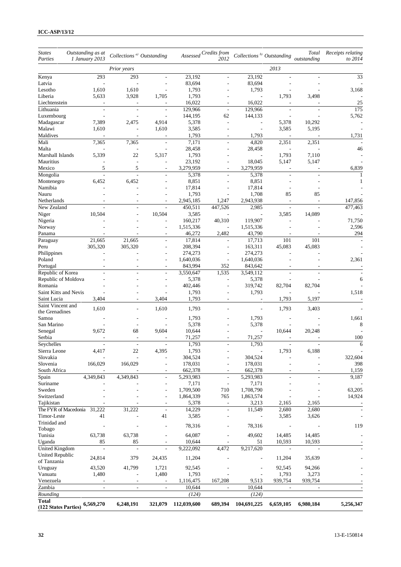| <b>States</b><br>Parties  | Outstanding as at<br>1 January 2013 | Collections <sup>a)</sup> Outstanding |                                    | Assessed Credits from | 2012                                                 | Collections <sup>b)</sup> Outstanding |                                    | outstanding                                | Total Receipts relating<br>to 2014                   |
|---------------------------|-------------------------------------|---------------------------------------|------------------------------------|-----------------------|------------------------------------------------------|---------------------------------------|------------------------------------|--------------------------------------------|------------------------------------------------------|
|                           |                                     | Prior years                           |                                    |                       |                                                      |                                       | 2013                               |                                            |                                                      |
| Kenya                     | 293                                 | 293                                   |                                    | 23,192                | $\sim$                                               | 23,192                                | $\overline{\phantom{a}}$           | $\overline{\phantom{a}}$                   | 33                                                   |
| Latvia<br>Lesotho         | 1,610                               | 1,610                                 | $\overline{\phantom{a}}$<br>$\sim$ | 83,694<br>1,793       | $\overline{\phantom{a}}$<br>$\overline{\phantom{a}}$ | 83,694<br>1,793                       | $\overline{\phantom{a}}$           | $\overline{\phantom{a}}$                   | 3,168                                                |
| Liberia                   | 5,633                               | 3,928                                 | 1,705                              | 1,793                 | $\overline{\phantom{a}}$                             | $\sim$                                | 1,793                              | 3,498                                      | $\overline{\phantom{a}}$                             |
| Liechtenstein             | $\overline{\phantom{0}}$            | $\overline{a}$                        | $\overline{\phantom{a}}$           | 16,022                | $\overline{\phantom{a}}$                             | 16,022                                | $\overline{\phantom{a}}$           | $\overline{\phantom{a}}$                   | 25                                                   |
| Lithuania                 | $\overline{\phantom{a}}$            | $\overline{\phantom{a}}$              | $\sim$                             | 129,966               | $\overline{\phantom{a}}$                             | 129,966                               | $\overline{\phantom{a}}$           | $\overline{\phantom{a}}$                   | 175                                                  |
| Luxembourg                |                                     | $\overline{\phantom{a}}$              | $\sim$                             | 144,195               | 62                                                   | 144,133                               | $\overline{\phantom{a}}$           | $\overline{\phantom{a}}$                   | 5,762                                                |
| Madagascar                | 7,389                               | 2,475                                 | 4,914                              | 5,378                 | $\overline{\phantom{a}}$                             | $\overline{\phantom{a}}$              | 5,378                              | 10,292                                     | $\overline{\phantom{a}}$                             |
| Malawi                    | 1,610                               | $\sim$                                | 1,610                              | 3,585                 | $\sim$                                               | $\sim$                                | 3,585                              | 5,195                                      | $\overline{\phantom{a}}$                             |
| Maldives                  | $\overline{\phantom{a}}$            | $\overline{\phantom{a}}$              | $\overline{\phantom{a}}$           | 1,793                 | $\sim$                                               | 1,793                                 | $\overline{\phantom{a}}$           | $\overline{a}$                             | 1,731                                                |
| Mali                      | 7,365                               | 7,365                                 | $\sim$                             | 7,171                 | $\overline{\phantom{a}}$                             | 4,820                                 | 2,351                              | 2,351                                      | $\overline{\phantom{a}}$                             |
| Malta<br>Marshall Islands | $\overline{\phantom{a}}$            | $\overline{\phantom{a}}$<br>22        | $\sim$                             | 28,458                | $\overline{\phantom{a}}$                             | 28,458<br>$\sim$                      | $\overline{\phantom{a}}$<br>1,793  | $\overline{\phantom{a}}$<br>7,110          | 46                                                   |
| Mauritius                 | 5,339                               | $\overline{\phantom{a}}$              | 5,317                              | 1,793<br>23,192       |                                                      | 18,045                                | 5,147                              | 5,147                                      | $\overline{\phantom{a}}$<br>$\overline{\phantom{a}}$ |
| Mexico                    | 5                                   | 5                                     | $\sim$                             | 3,279,959             |                                                      | 3,279,959                             | $\overline{\phantom{a}}$           | $\overline{\phantom{a}}$                   | 6,839                                                |
| Mongolia                  | $\sim$                              | $\overline{\phantom{a}}$              |                                    | 5,378                 |                                                      | 5,378                                 | $\overline{\phantom{a}}$           | $\overline{\phantom{a}}$                   |                                                      |
| Montenegro                | 6,452                               | 6,452                                 | $\sim$                             | 8,851                 | $\overline{\phantom{a}}$                             | 8,851                                 | $\sim$                             | $\overline{\phantom{a}}$                   |                                                      |
| Namibia                   |                                     |                                       |                                    | 17,814                |                                                      | 17,814                                | $\overline{\phantom{a}}$           |                                            |                                                      |
| Nauru                     |                                     |                                       |                                    | 1,793                 | $\overline{\phantom{a}}$                             | 1,708                                 | 85                                 | 85                                         |                                                      |
| Netherlands               |                                     | $\overline{\phantom{a}}$              | $\overline{\phantom{a}}$           | 2,945,185             | 1,247                                                | 2,943,938                             | $\overline{\phantom{a}}$           | $\overline{\phantom{a}}$                   | 147,856                                              |
| New Zealand               |                                     |                                       |                                    | 450,511               | 447,526                                              | 2,985                                 | $\overline{\phantom{a}}$           | $\overline{\phantom{a}}$                   | 477,463                                              |
| Niger                     | 10,504                              | $\overline{\phantom{a}}$              | 10,504                             | 3,585                 | $\overline{\phantom{a}}$                             |                                       | 3,585                              | 14,089                                     | $\overline{\phantom{a}}$                             |
| Nigeria                   |                                     |                                       |                                    | 160,217               | 40,310                                               | 119,907                               |                                    |                                            | 71,750                                               |
| Norway                    |                                     |                                       | $\overline{\phantom{a}}$           | 1,515,336             | $\overline{\phantom{a}}$                             | 1,515,336                             | $\overline{\phantom{a}}$           | $\overline{\phantom{a}}$                   | 2,596                                                |
| Panama                    |                                     | $\overline{\phantom{a}}$              | $\overline{\phantom{a}}$           | 46,272                | 2,482                                                | 43,790                                | $\overline{\phantom{a}}$           | $\overline{\phantom{a}}$                   | 294                                                  |
| Paraguay                  | 21,665                              | 21,665                                |                                    | 17,814                | $\overline{\phantom{a}}$                             | 17,713                                | 101                                | 101                                        | ٠.                                                   |
| Peru                      | 305,320                             | 305,320                               |                                    | 208,394               | $\sim$                                               | 163,311                               | 45,083                             | 45,083                                     | $\overline{\phantom{a}}$                             |
| Philippines               |                                     |                                       |                                    | 274,273               | $\overline{\phantom{a}}$                             | 274,273<br>1,640,036                  | $\overline{\phantom{a}}$           |                                            |                                                      |
| Poland<br>Portugal        |                                     | $\overline{\phantom{a}}$              | $\sim$                             | 1,640,036<br>843,994  | $\overline{\phantom{a}}$<br>352                      | 843,642                               | $\overline{\phantom{a}}$<br>$\sim$ | $\overline{a}$<br>$\overline{\phantom{a}}$ | 2,361<br>$\sim$                                      |
| Republic of Korea         |                                     |                                       | $\overline{\phantom{a}}$           | 3,550,647             | 1,535                                                | 3,549,112                             | $\overline{\phantom{a}}$           | $\overline{\phantom{a}}$                   |                                                      |
| Republic of Moldova       |                                     |                                       |                                    | 5,378                 | $\overline{\phantom{a}}$                             | 5,378                                 | $\overline{\phantom{a}}$           | $\overline{\phantom{a}}$                   | 6                                                    |
| Romania                   |                                     |                                       |                                    | 402,446               | $\overline{\phantom{a}}$                             | 319,742                               | 82,704                             | 82,704                                     |                                                      |
| Saint Kitts and Nevis     |                                     |                                       | $\sim$                             | 1,793                 | $\overline{\phantom{a}}$                             | 1,793                                 |                                    | $\overline{\phantom{a}}$                   | 1,518                                                |
| Saint Lucia               | 3,404                               | $\overline{\phantom{a}}$              | 3,404                              | 1,793                 | $\sim$                                               | $\sim$                                | 1,793                              | 5,197                                      | $\overline{\phantom{a}}$                             |
| Saint Vincent and         |                                     |                                       |                                    |                       |                                                      |                                       |                                    |                                            |                                                      |
| the Grenadines            | 1,610                               | $\overline{\phantom{a}}$              | 1,610                              | 1,793                 | $\overline{\phantom{a}}$                             | $\sim$                                | 1,793                              | 3,403                                      | $\overline{\phantom{a}}$                             |
| Samoa                     |                                     |                                       |                                    | 1,793                 |                                                      | 1,793                                 | $\overline{a}$                     | $\overline{\phantom{a}}$                   | 1,661                                                |
| San Marino                |                                     |                                       | $\sim$                             | 5,378                 | $\overline{\phantom{a}}$                             | 5,378                                 | $\overline{\phantom{a}}$           | $\overline{\phantom{a}}$                   | 8                                                    |
| Senegal                   | 9,672                               | 68                                    | 9,604                              | 10,644                | $\sim$                                               |                                       | 10,644                             | 20,248                                     | $\sim$                                               |
| Serbia                    | $\sim$                              | $\overline{\phantom{a}}$              | $\sim$                             | 71,257                | $\overline{\phantom{a}}$                             | 71,257                                | $\overline{\phantom{a}}$           | $\overline{\phantom{a}}$                   | 100                                                  |
| Seychelles                | $\overline{\phantom{a}}$            | $\sim$                                | $\sim$                             | 1,793                 | $\sim$                                               | 1,793                                 | $\overline{\phantom{a}}$           | $\overline{\phantom{a}}$                   | 6                                                    |
| Sierra Leone              | 4,417                               | 22                                    | 4,395                              | 1,793                 | $\sim$                                               | $\sim$                                | 1,793                              | 6,188                                      | $\overline{\phantom{a}}$                             |
| Slovakia                  | $\overline{\phantom{a}}$            | $\overline{\phantom{a}}$              | $\sim$                             | 304,524               |                                                      | 304,524                               | $\overline{\phantom{a}}$           | $\overline{\phantom{a}}$                   | 322,604                                              |
| Slovenia                  | 166,029                             | 166,029                               | $\sim$                             | 178,031               | $\sim$                                               | 178,031                               | $\overline{\phantom{a}}$           | $\overline{\phantom{a}}$                   | 398                                                  |
| South Africa              |                                     |                                       | $\overline{a}$                     | 662,378               | $\sim$                                               | 662,378                               | $\overline{\phantom{a}}$           | $\overline{\phantom{a}}$                   | 1,159                                                |
| Spain                     | 4,349,843                           | 4,349,843                             | $\overline{\phantom{a}}$           | 5,293,983             | $\overline{\phantom{a}}$                             | 5,293,983                             | $\blacksquare$                     | $\overline{\phantom{a}}$                   | 9,187                                                |
| Suriname                  |                                     |                                       | $\sim$                             | 7,171                 | $\overline{\phantom{a}}$                             | 7,171                                 | $\overline{\phantom{a}}$           | $\overline{\phantom{a}}$                   | $\overline{\phantom{a}}$                             |
| Sweden                    |                                     |                                       |                                    | 1,709,500             | 710                                                  | 1,708,790                             |                                    | $\overline{\phantom{a}}$                   | 63,205                                               |
| Switzerland               |                                     |                                       | $\overline{\phantom{a}}$           | 1,864,339             | 765                                                  | 1,863,574                             | $\overline{\phantom{a}}$           | $\overline{\phantom{a}}$                   | 14,924                                               |
| Tajikistan                |                                     |                                       | $\overline{\phantom{a}}$           | 5,378                 | $\overline{\phantom{a}}$                             | 3,213                                 | 2,165                              | 2,165                                      | $\overline{\phantom{a}}$                             |
|                           | The FYR of Macedonia 31,222         | 31,222                                | $\sim$                             | 14,229                | $\sim$                                               | 11,549                                | 2,680                              | 2,680                                      | $\overline{a}$                                       |
| Timor-Leste               | 41                                  |                                       | 41                                 | 3,585                 | $\sim$                                               |                                       | 3,585                              | 3,626                                      | $\overline{\phantom{a}}$                             |
| Trinidad and              |                                     |                                       |                                    |                       |                                                      |                                       |                                    |                                            |                                                      |
| Tobago                    | $\overline{\phantom{a}}$            | $\sim$                                | $\sim$                             | 78,316                | $\sim$                                               | 78,316                                | $\sim$                             | $\overline{\phantom{a}}$                   | 119                                                  |
| Tunisia                   | 63,738                              | 63,738                                | $\overline{\phantom{a}}$           | 64,087                | $\overline{\phantom{a}}$                             | 49,602                                | 14,485                             | 14,485                                     | $\overline{\phantom{a}}$                             |
| Uganda                    | 85                                  | 85                                    | $\sim$                             | 10,644                | $\overline{\phantom{a}}$                             | 51                                    | 10,593                             | 10,593                                     | $\overline{\phantom{a}}$                             |
| <b>United Kingdom</b>     | $\overline{\phantom{a}}$            | $\overline{\phantom{a}}$              | $\overline{\phantom{a}}$           | 9,222,092             | 4,472                                                | 9,217,620                             | $\sim$                             | $\overline{\phantom{a}}$                   | $\overline{a}$                                       |
| <b>United Republic</b>    | 24,814                              | 379                                   | 24,435                             | 11,204                | $\overline{a}$                                       | $\sim$                                | 11,204                             | 35,639                                     |                                                      |
| of Tanzania               |                                     |                                       |                                    |                       |                                                      |                                       |                                    |                                            |                                                      |
| Uruguay                   | 43,520                              | 41,799                                | 1,721                              | 92,545                | $\overline{\phantom{a}}$                             |                                       | 92,545                             | 94,266                                     |                                                      |
| Vanuatu                   | 1,480                               | $\overline{\phantom{a}}$              | 1,480                              | 1,793                 | $\overline{\phantom{a}}$                             |                                       | 1,793                              | 3,273                                      |                                                      |
| Venezuela                 | $\sim$                              | $\sim$                                | $\sim$                             | 1,116,475             | 167,208                                              | 9,513                                 | 939,754                            | 939,754                                    |                                                      |
| Zambia                    | $\overline{\phantom{a}}$            | $\overline{\phantom{a}}$              | $\sim$                             | 10,644                | $\sim$                                               | 10,644                                | $\sim$                             | $\sim$                                     |                                                      |
| Rounding                  |                                     |                                       |                                    | (124)                 |                                                      | (124)                                 |                                    |                                            |                                                      |
| Total                     | 6,569,270                           | 6,248,191                             | 321,079                            | 112,039,600           | 689,394                                              | 104,691,225                           | 6,659,105                          | 6,980,184                                  | 5,256,347                                            |
| (122 States Parties)      |                                     |                                       |                                    |                       |                                                      |                                       |                                    |                                            |                                                      |
|                           |                                     |                                       |                                    |                       |                                                      |                                       |                                    |                                            |                                                      |
|                           |                                     |                                       |                                    |                       |                                                      |                                       |                                    |                                            |                                                      |
|                           |                                     |                                       |                                    |                       |                                                      |                                       |                                    |                                            |                                                      |
| 32                        |                                     |                                       |                                    |                       |                                                      |                                       |                                    |                                            | 13-E-150814                                          |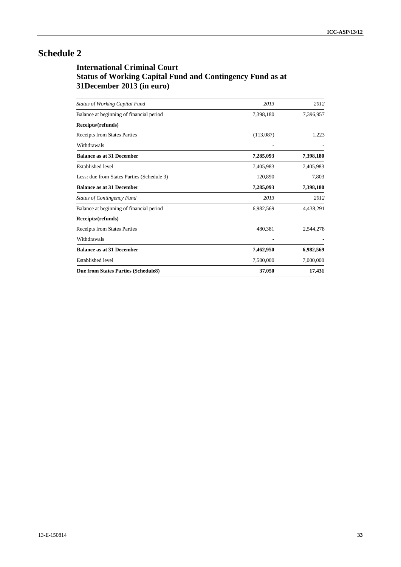## **International Criminal Court Status of Working Capital Fund and Contingency Fund as at 31December 2013 (in euro)**

| 2013<br>2012<br>7,398,180<br>7,396,957<br>(113,087)<br>1,223<br>$\sim$<br>$\sim$<br>7,285,093<br>7,398,180<br>7,405,983<br>7,405,983<br>120,890<br>7,803<br>7,285,093<br>7,398,180<br>2013<br>2012<br>6,982,569<br>4,438,291<br>480,381<br>2,544,278<br>$\sim$<br>$\overline{\phantom{a}}$<br>7,462,950<br>6,982,569<br>7,500,000<br>7,000,000<br>37,050<br>17,431                                                                                                                                                                      | <b>Status of Working Capital Fund and Contingency Fund as at</b><br>31December 2013 (in euro) |  |  |
|-----------------------------------------------------------------------------------------------------------------------------------------------------------------------------------------------------------------------------------------------------------------------------------------------------------------------------------------------------------------------------------------------------------------------------------------------------------------------------------------------------------------------------------------|-----------------------------------------------------------------------------------------------|--|--|
| Balance at beginning of financial period<br>$\textbf{Receipts}/(\text{refunds})$<br>Receipts from States Parties<br>Withdrawals<br><b>Balance as at 31 December</b><br>Established level<br>Less: due from States Parties (Schedule 3)<br><b>Balance as at 31 December</b><br><b>Status of Contingency Fund</b><br>Balance at beginning of financial period<br>Receipts/(refunds)<br>Receipts from States Parties<br>Withdrawals<br><b>Balance as at 31 December</b><br>Established level<br><b>Due from States Parties (Schedule8)</b> | Status of Working Capital Fund                                                                |  |  |
|                                                                                                                                                                                                                                                                                                                                                                                                                                                                                                                                         |                                                                                               |  |  |
|                                                                                                                                                                                                                                                                                                                                                                                                                                                                                                                                         |                                                                                               |  |  |
|                                                                                                                                                                                                                                                                                                                                                                                                                                                                                                                                         |                                                                                               |  |  |
|                                                                                                                                                                                                                                                                                                                                                                                                                                                                                                                                         |                                                                                               |  |  |
|                                                                                                                                                                                                                                                                                                                                                                                                                                                                                                                                         |                                                                                               |  |  |
|                                                                                                                                                                                                                                                                                                                                                                                                                                                                                                                                         |                                                                                               |  |  |
|                                                                                                                                                                                                                                                                                                                                                                                                                                                                                                                                         |                                                                                               |  |  |
|                                                                                                                                                                                                                                                                                                                                                                                                                                                                                                                                         |                                                                                               |  |  |
|                                                                                                                                                                                                                                                                                                                                                                                                                                                                                                                                         |                                                                                               |  |  |
|                                                                                                                                                                                                                                                                                                                                                                                                                                                                                                                                         |                                                                                               |  |  |
|                                                                                                                                                                                                                                                                                                                                                                                                                                                                                                                                         |                                                                                               |  |  |
|                                                                                                                                                                                                                                                                                                                                                                                                                                                                                                                                         |                                                                                               |  |  |
|                                                                                                                                                                                                                                                                                                                                                                                                                                                                                                                                         |                                                                                               |  |  |
|                                                                                                                                                                                                                                                                                                                                                                                                                                                                                                                                         |                                                                                               |  |  |
|                                                                                                                                                                                                                                                                                                                                                                                                                                                                                                                                         |                                                                                               |  |  |
|                                                                                                                                                                                                                                                                                                                                                                                                                                                                                                                                         |                                                                                               |  |  |
|                                                                                                                                                                                                                                                                                                                                                                                                                                                                                                                                         |                                                                                               |  |  |
|                                                                                                                                                                                                                                                                                                                                                                                                                                                                                                                                         |                                                                                               |  |  |
|                                                                                                                                                                                                                                                                                                                                                                                                                                                                                                                                         |                                                                                               |  |  |
|                                                                                                                                                                                                                                                                                                                                                                                                                                                                                                                                         |                                                                                               |  |  |
|                                                                                                                                                                                                                                                                                                                                                                                                                                                                                                                                         |                                                                                               |  |  |
|                                                                                                                                                                                                                                                                                                                                                                                                                                                                                                                                         |                                                                                               |  |  |
|                                                                                                                                                                                                                                                                                                                                                                                                                                                                                                                                         |                                                                                               |  |  |
|                                                                                                                                                                                                                                                                                                                                                                                                                                                                                                                                         |                                                                                               |  |  |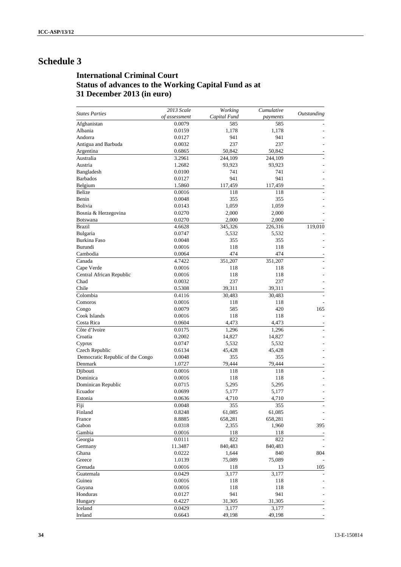# **International Criminal Court Status of advances to the Working Capital Fund as at 31 December 2013 (in euro)**

| <b>International Criminal Court</b><br><b>Status of advances to the Working Capital Fund as at</b><br>31 December 2013 (in euro) |                  |               |               |                                    |
|----------------------------------------------------------------------------------------------------------------------------------|------------------|---------------|---------------|------------------------------------|
| <b>States Parties</b>                                                                                                            | 2013 Scale       | Working       | Cumulative    | Outstanding                        |
|                                                                                                                                  | of assessment    | Capital Fund  | payments      |                                    |
| Afghanistan<br>Albania                                                                                                           | 0.0079<br>0.0159 | 585<br>1,178  | 585<br>1,178  |                                    |
| Andorra                                                                                                                          | 0.0127           | 941           | 941           |                                    |
| Antigua and Barbuda                                                                                                              | 0.0032           | 237           | 237           |                                    |
| Argentina                                                                                                                        | 0.6865           | 50,842        | 50,842        |                                    |
| Australia                                                                                                                        | 3.2961           | 244,109       | 244,109       |                                    |
| Austria                                                                                                                          | 1.2682           | 93,923        | 93,923        |                                    |
| Bangladesh                                                                                                                       | 0.0100           | 741           | 741           |                                    |
| Barbados                                                                                                                         | 0.0127           | 941           | 941           |                                    |
| Belgium                                                                                                                          | 1.5860           | 117,459       | 117,459       |                                    |
| Belize<br>Benin                                                                                                                  | 0.0016<br>0.0048 | 118<br>355    | 118<br>355    |                                    |
| Bolivia                                                                                                                          | 0.0143           | 1,059         | 1,059         |                                    |
| Bosnia & Herzegovina                                                                                                             | 0.0270           | 2,000         | 2,000         |                                    |
| Botswana                                                                                                                         | 0.0270           | 2,000         | 2,000         |                                    |
| Brazil                                                                                                                           | 4.6628           | 345,326       | 226,316       | 119,010                            |
| Bulgaria                                                                                                                         | 0.0747           | 5,532         | 5,532         |                                    |
| Burkina Faso                                                                                                                     | 0.0048           | 355           | 355           |                                    |
| Burundi                                                                                                                          | 0.0016           | 118           | 118           |                                    |
| Cambodia                                                                                                                         | 0.0064           | 474           | 474           |                                    |
| Canada                                                                                                                           | 4.7422           | 351,207       | 351,207       |                                    |
| Cape Verde<br>Central African Republic                                                                                           | 0.0016<br>0.0016 | 118<br>118    | 118<br>118    |                                    |
| Chad                                                                                                                             | 0.0032           | 237           | 237           |                                    |
| Chile                                                                                                                            | 0.5308           | 39,311        | 39,311        |                                    |
| Colombia                                                                                                                         | 0.4116           | 30,483        | 30,483        |                                    |
| Comoros                                                                                                                          | 0.0016           | 118           | 118           |                                    |
| Congo                                                                                                                            | 0.0079           | 585           | 420           | 165                                |
| Cook Islands                                                                                                                     | 0.0016           | 118           | 118           |                                    |
| Costa Rica                                                                                                                       | 0.0604           | 4,473         | 4,473         | $\overline{\phantom{0}}$           |
| Côte d'Ivoire                                                                                                                    | 0.0175           | 1,296         | 1,296         |                                    |
| Croatia                                                                                                                          | 0.2002           | 14,827        | 14,827        |                                    |
| Cyprus<br>Czech Republic                                                                                                         | 0.0747           | 5,532         | 5,532         |                                    |
| Democratic Republic of the Congo                                                                                                 | 0.6134<br>0.0048 | 45,428<br>355 | 45,428<br>355 |                                    |
| Denmark                                                                                                                          | 1.0727           | 79,444        | 79,444        |                                    |
| Djibouti                                                                                                                         | 0.0016           | 118           | 118           |                                    |
| Dominica                                                                                                                         | 0.0016           | 118           | 118           |                                    |
| Dominican Republic                                                                                                               | 0.0715           | 5,295         | 5,295         |                                    |
| Ecuador                                                                                                                          | 0.0699           | 5,177         | 5,177         |                                    |
| Estonia                                                                                                                          | 0.0636           | 4,710         | 4,710         |                                    |
| Fiji                                                                                                                             | 0.0048           | 355           | 355           |                                    |
| Finland                                                                                                                          | 0.8248           | 61,085        | 61,085        |                                    |
| France                                                                                                                           | 8.8885           | 658,281       | 658,281       |                                    |
| Gabon                                                                                                                            | 0.0318           | 2,355         | 1,960         | 395                                |
| Gambia<br>Georgia                                                                                                                | 0.0016<br>0.0111 | 118<br>822    | 118<br>822    | $\sim$<br>$\overline{\phantom{a}}$ |
| Germany                                                                                                                          | 11.3487          | 840,483       | 840,483       | ÷,                                 |
| Ghana                                                                                                                            | 0.0222           | 1,644         | 840           | 804                                |
| Greece                                                                                                                           | 1.0139           | 75,089        | 75,089        | $\overline{\phantom{a}}$           |
| Grenada                                                                                                                          | 0.0016           | 118           | 13            | 105                                |
| Guatemala                                                                                                                        | 0.0429           | 3,177         | 3,177         | $\sim$                             |
| Guinea                                                                                                                           | 0.0016           | 118           | 118           | ÷                                  |
| Guyana                                                                                                                           | 0.0016           | 118           | 118           |                                    |
| Honduras                                                                                                                         | 0.0127           | 941           | 941           |                                    |
| Hungary                                                                                                                          | 0.4227           | 31,305        | 31,305        |                                    |
| Iceland<br>Ireland                                                                                                               | 0.0429           | 3,177         | 3,177         |                                    |
|                                                                                                                                  | 0.6643           | 49,198        | 49,198        |                                    |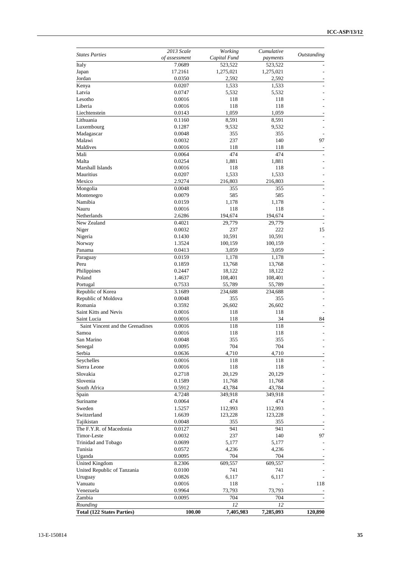|                                                 | 2013 Scale        | Working            | Cumulative               |             |
|-------------------------------------------------|-------------------|--------------------|--------------------------|-------------|
| <b>States Parties</b>                           | of assessment     | Capital Fund       | payments                 | Outstanding |
| Italy                                           | 7.0689            | 523,522            | 523,522                  |             |
| Japan<br>Jordan                                 | 17.2161<br>0.0350 | 1,275,021<br>2,592 | 1,275,021<br>2,592       |             |
| Kenya                                           | 0.0207            | 1,533              | 1,533                    |             |
| Latvia                                          | 0.0747            | 5,532              | 5,532                    |             |
| Lesotho                                         | 0.0016            | 118                | 118                      |             |
| Liberia                                         | 0.0016            | 118                | 118                      |             |
| Liechtenstein                                   | 0.0143            | 1,059              | 1,059                    |             |
| Lithuania                                       | 0.1160            | 8,591              | 8,591                    |             |
| Luxembourg<br>Madagascar                        | 0.1287<br>0.0048  | 9,532<br>355       | 9,532<br>355             |             |
| Malawi                                          | 0.0032            | 237                | 140                      | 97          |
| Maldives                                        | 0.0016            | 118                | 118                      |             |
| Mali                                            | 0.0064            | 474                | 474                      |             |
| Malta                                           | 0.0254            | 1,881              | 1,881                    |             |
| Marshall Islands                                | 0.0016            | 118                | 118                      |             |
| Mauritius                                       | 0.0207            | 1,533              | 1,533                    |             |
| Mexico                                          | 2.9274            | 216,803            | 216,803                  |             |
| Mongolia                                        | 0.0048<br>0.0079  | 355<br>585         | 355<br>585               |             |
| Montenegro<br>Namibia                           | 0.0159            | 1,178              | 1,178                    |             |
| Nauru                                           | 0.0016            | 118                | 118                      |             |
| Netherlands                                     | 2.6286            | 194,674            | 194,674                  |             |
| New Zealand                                     | 0.4021            | 29,779             | 29,779                   |             |
| Niger                                           | 0.0032            | 237                | $222\,$                  | 15          |
| Nigeria                                         | 0.1430            | 10,591             | 10,591                   |             |
| Norway                                          | 1.3524            | 100,159            | 100,159                  |             |
| Panama                                          | 0.0413<br>0.0159  | 3,059<br>1,178     | 3,059<br>1,178           |             |
| Paraguay<br>Peru                                | 0.1859            | 13,768             | 13,768                   |             |
| Philippines                                     | 0.2447            | 18,122             | 18,122                   |             |
| Poland                                          | 1.4637            | 108,401            | 108,401                  |             |
| Portugal                                        | 0.7533            | 55,789             | 55,789                   |             |
| Republic of Korea                               | 3.1689            | 234,688            | 234,688                  |             |
| Republic of Moldova                             | 0.0048            | 355                | 355                      |             |
| Romania                                         | 0.3592            | 26,602             | 26,602                   |             |
| Saint Kitts and Nevis                           | 0.0016            | 118                | 118                      |             |
| Saint Lucia<br>Saint Vincent and the Grenadines | 0.0016<br>0.0016  | 118<br>118         | 34<br>118                | 84          |
| Samoa                                           | 0.0016            | 118                | 118                      |             |
| San Marino                                      | 0.0048            | 355                | 355                      |             |
| Senegal                                         | 0.0095            | 704                | 704                      |             |
| Serbia                                          | 0.0636            | 4,710              | 4,710                    |             |
| Seychelles                                      | 0.0016            | 118                | 118                      |             |
| Sierra Leone                                    | 0.0016            | 118                | 118                      |             |
| Slovakia                                        | 0.2718            | 20,129             | 20,129                   |             |
| Slovenia                                        | 0.1589            | 11,768             | 11,768                   |             |
| South Africa                                    | 0.5912            | 43,784             | 43,784                   |             |
| Spain<br>Suriname                               | 4.7248<br>0.0064  | 349,918<br>474     | 349,918<br>474           |             |
| Sweden                                          | 1.5257            | 112,993            | 112,993                  |             |
| Switzerland                                     | 1.6639            | 123,228            | 123,228                  |             |
| Tajikistan                                      | 0.0048            | 355                | 355                      |             |
| The F.Y.R. of Macedonia                         | 0.0127            | 941                | 941                      | ÷,          |
| Timor-Leste                                     | 0.0032            | 237                | 140                      | 97          |
| Trinidad and Tobago                             | 0.0699            | 5,177              | 5,177                    |             |
| Tunisia                                         | 0.0572            | 4,236              | 4,236                    |             |
| Uganda                                          | 0.0095            | 704                | 704                      |             |
| United Kingdom                                  | 8.2306            | 609,557            | 609,557                  |             |
| United Republic of Tanzania                     | 0.0100<br>0.0826  | 741<br>6,117       | 741<br>6,117             |             |
| Uruguay<br>Vanuatu                              | 0.0016            | 118                | $\overline{\phantom{a}}$ | 118         |
| Venezuela                                       | 0.9964            | 73,793             | 73,793                   |             |
| Zambia                                          | 0.0095            | 704                | 704                      |             |
| Rounding                                        |                   | 12                 | 12                       |             |
| <b>Total (122 States Parties)</b>               | 100.00            | 7,405,983          | 7,285,093                | 120,890     |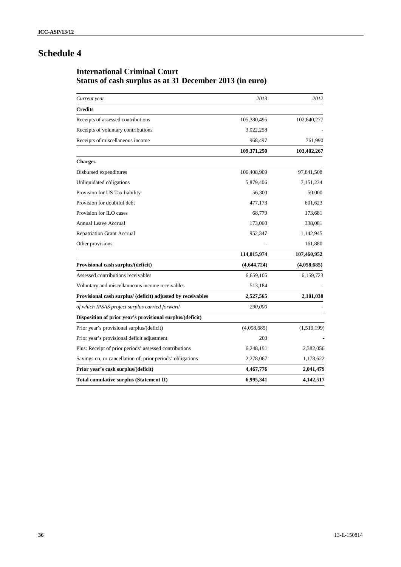# **International Criminal Court Status of cash surplus as at 31 December 2013 (in euro)**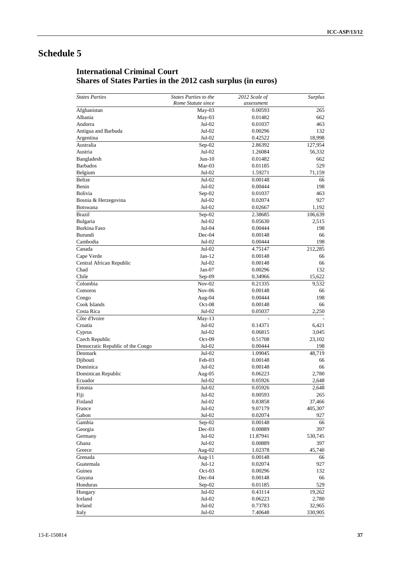# **International Criminal Court Shares of States Parties in the 2012 cash surplus (in euros)**

| <b>International Criminal Court</b>                          |                                                  |                       |                          |
|--------------------------------------------------------------|--------------------------------------------------|-----------------------|--------------------------|
| Shares of States Parties in the 2012 cash surplus (in euros) |                                                  |                       |                          |
| <b>States Parties</b>                                        | <b>States Parties to the</b>                     | 2012 Scale of         | Surplus                  |
| Afghanistan                                                  | Rome Statute since<br>May-03                     | assessment<br>0.00593 | 265                      |
| Albania                                                      | May-03                                           | 0.01482               | 662                      |
| Andorra                                                      | $Jul-02$                                         | 0.01037               | 463                      |
| Antigua and Barbuda                                          | $Jul-02$                                         | 0.00296               | 132                      |
| Argentina                                                    | $Jul-02$                                         | 0.42522               | 18,998                   |
| Australia                                                    | Sep-02                                           | 2.86392               | 127,954                  |
| Austria                                                      | Jul-02                                           | 1.26084               | 56,332                   |
| Bangladesh                                                   | $Jun-10$                                         | 0.01482               | 662                      |
| <b>Barbados</b>                                              | Mar-03                                           | 0.01185               | 529                      |
| Belgium                                                      | $Jul-02$                                         | 1.59271               | 71,159                   |
| Belize                                                       | $Jul-02$                                         | 0.00148               | 66                       |
| Benin<br>Bolivia                                             | $Jul-02$                                         | 0.00444<br>0.01037    | 198                      |
| Bosnia & Herzegovina                                         | Sep-02<br>$Jul-02$                               | 0.02074               | 463<br>927               |
| <b>Botswana</b>                                              | $Jul-02$                                         | 0.02667               | 1,192                    |
| Brazil                                                       | Sep-02                                           | 2.38685               | 106,639                  |
| Bulgaria                                                     | $Jul-02$                                         | 0.05630               | 2,515                    |
| Burkina Faso                                                 | Jul-04                                           | 0.00444               | 198                      |
| Burundi                                                      | Dec-04                                           | 0.00148               | 66                       |
| Cambodia                                                     | $Jul-02$                                         | 0.00444               | 198                      |
| Canada                                                       | $Jul-02$                                         | 4.75147               | 212,285                  |
| Cape Verde                                                   | $Jan-12$                                         | 0.00148               | 66                       |
| Central African Republic                                     | $Jul-02$                                         | 0.00148               | 66                       |
| Chad                                                         | Jan-07                                           | 0.00296               | 132                      |
| Chile                                                        | Sep-09<br>$Nov-02$                               | 0.34966<br>0.21335    | 15,622<br>9,532          |
| Colombia<br>Comoros                                          | $Nov-06$                                         | 0.00148               | 66                       |
| Congo                                                        | Aug-04                                           | 0.00444               | 198                      |
| Cook Islands                                                 | Oct-08                                           | 0.00148               | 66                       |
| Costa Rica                                                   | $Jul-02$                                         | 0.05037               | 2,250                    |
| Côte d'Ivoire                                                | May-13                                           |                       | $\overline{\phantom{a}}$ |
| Croatia                                                      | $Jul-02$                                         | 0.14371               | 6,421                    |
| Cyprus                                                       | $\rm{Jul}\textrm{-}02$                           | 0.06815               | 3,045                    |
| Czech Republic                                               | Oct-09                                           | 0.51708               | 23,102                   |
| Democratic Republic of the Congo                             | $Jul-02$                                         | 0.00444               | 198                      |
| Denmark                                                      | $Jul-02$                                         | 1.09045               | 48,719                   |
| Djibouti                                                     | $Feb-03$                                         | 0.00148               | 66                       |
| Dominica                                                     | $Jul-02$                                         | 0.00148               | 66                       |
| Dominican Republic                                           | Aug-05                                           | 0.06223               | 2,780                    |
| Ecuador                                                      | $\rm{Jul}\textrm{-}02$                           | 0.05926               | 2,648                    |
| Estonia<br>Fiji                                              | $\rm{Jul}\textrm{-}02$<br>$\rm{Jul}\textrm{-}02$ | 0.05926<br>0.00593    | 2,648<br>265             |
| Finland                                                      | $\rm{Jul}\textrm{-}02$                           | 0.83858               | 37,466                   |
| France                                                       | $\rm{Jul}\textrm{-}02$                           | 9.07179               | 405,307                  |
| Gabon                                                        | $Jul-02$                                         | 0.02074               | 927                      |
| Gambia                                                       | $\rm Sep\text{-}02$                              | 0.00148               | 66                       |
| Georgia                                                      | $Dec-03$                                         | 0.00889               | 397                      |
| Germany                                                      | $Jul-02$                                         | 11.87941              | 530,745                  |
| Ghana                                                        | $\rm{Jul}\textrm{-}02$                           | 0.00889               | 397                      |
| Greece                                                       | Aug-02                                           | 1.02378               | 45,740                   |
| Grenada                                                      | Aug-11                                           | 0.00148               | 66                       |
| Guatemala                                                    | $Jul-12$                                         | 0.02074               | 927                      |
| Guinea                                                       | Oct-03                                           | 0.00296               | 132                      |
| Guyana                                                       | $Dec-04$                                         | 0.00148               | 66                       |
| Honduras                                                     | Sep-02                                           | 0.01185               | 529                      |
| Hungary                                                      | $\rm{Jul}\textrm{-}02$                           | 0.43114               | 19,262                   |
| Iceland                                                      | $\rm{Jul}\textrm{-}02$                           | 0.06223               | 2,780                    |
| Ireland                                                      | $\rm{Jul}\textrm{-}02$                           | 0.73783               | 32,965                   |
| Italy                                                        | $Jul-02$                                         | 7.40648               | 330,905                  |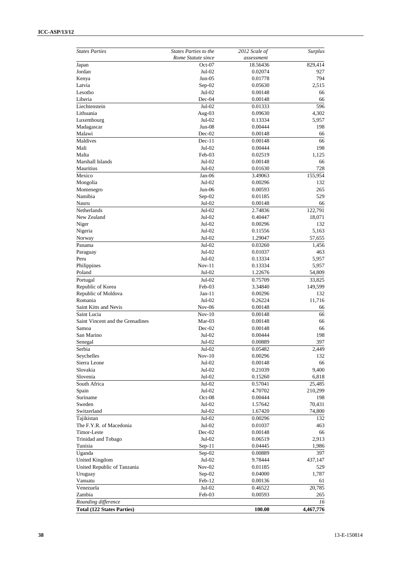| <b>States Parties</b>             | <b>States Parties to the</b>                   | 2012 Scale of          | Surplus          |
|-----------------------------------|------------------------------------------------|------------------------|------------------|
|                                   | Rome Statute since<br>Oct-07                   | assessment<br>18.56436 | 829,414          |
| Japan<br>Jordan                   | $Jul-02$                                       | 0.02074                | 927              |
| Kenya                             | $Jun-05$                                       | 0.01778                | 794              |
| Latvia                            | $\rm Sep\text{-}02$                            | 0.05630                | 2,515            |
| Lesotho                           | $Jul-02$                                       | 0.00148                | 66               |
| Liberia                           | Dec-04                                         | 0.00148                | 66               |
| Liechtenstein                     | $Jul-02$                                       | 0.01333                | 596              |
| Lithuania                         | Aug-03                                         | 0.09630                | 4,302            |
| Luxembourg                        | $Jul-02$                                       | 0.13334                | 5,957            |
| Madagascar                        | $_{\rm Jun-08}$                                | 0.00444                | 198              |
| Malawi                            | Dec-02                                         | 0.00148                | 66               |
| Maldives<br>Mali                  | $Dec-11$<br>$Jul-02$                           | 0.00148<br>0.00444     | 66<br>198        |
| Malta                             | Feb-03                                         | 0.02519                | 1,125            |
| Marshall Islands                  | $Jul-02$                                       | 0.00148                | 66               |
| Mauritius                         | $Jul-02$                                       | 0.01630                | 728              |
| Mexico                            | $Jan-06$                                       | 3.49063                | 155,954          |
| Mongolia                          | $\rm{Jul}\textrm{-}02$                         | 0.00296                | 132              |
| Montenegro                        | $Jun-06$                                       | 0.00593                | 265              |
| Namibia                           | $\rm Sep\text{-}02$                            | 0.01185                | 529              |
| Nauru                             | $\rm{Jul}\textrm{-}02$                         | 0.00148                | 66               |
| Netherlands                       | $\rm{Jul}\textrm{-}02$                         | 2.74836                | 122,791          |
| New Zealand                       | $\rm{Jul}\text{-}02$                           | 0.40447                | 18,071           |
| Niger                             | $\rm{Jul}\text{-}02$<br>$\rm{Jul}\textrm{-}02$ | 0.00296<br>0.11556     | 132<br>5,163     |
| Nigeria<br>Norway                 | $Jul-02$                                       | 1.29047                | 57,655           |
| Panama                            | $\rm{Jul}\textrm{-}02$                         | 0.03260                | 1,456            |
| Paraguay                          | $Jul-02$                                       | 0.01037                | 463              |
| Peru                              | $Jul-02$                                       | 0.13334                | 5,957            |
| Philippines                       | $Nov-11$                                       | 0.13334                | 5,957            |
| Poland                            | $Jul-02$                                       | 1.22676                | 54,809           |
| Portugal                          | $\rm{Jul}\textrm{-}02$                         | 0.75709                | 33,825           |
| Republic of Korea                 | $Feb-03$                                       | 3.34840                | 149,599          |
| Republic of Moldova               | $Jan-11$                                       | 0.00296                | 132              |
| Romania                           | $Jul-02$                                       | 0.26224                | 11,716           |
| Saint Kitts and Nevis             | $Nov-06$                                       | 0.00148                | 66               |
| Saint Lucia                       | $Nov-10$                                       | 0.00148                | 66               |
| Saint Vincent and the Grenadines  | Mar-03                                         | 0.00148                | 66               |
| Samoa                             | $\rm Dec\text{-}02$                            | 0.00148                | 66               |
| San Marino                        | $\rm{Jul}\textrm{-}02$<br>$Jul-02$             | 0.00444<br>0.00889     | 198<br>397       |
| Senegal<br>Serbia                 | $Jul-02$                                       | 0.05482                | 2,449            |
| Seychelles                        | $\,$ Nov-10 $\,$                               | 0.00296                | 132              |
| Sierra Leone                      | $Jul-02$                                       | 0.00148                | 66               |
| Slovakia                          | $\rm{Jul}\textrm{-}02$                         | 0.21039                | 9,400            |
| Slovenia                          | $\rm{Jul}\textrm{-}02$                         | 0.15260                | 6,818            |
| South Africa                      | $\rm{Jul}\textrm{-}02$                         | 0.57041                | 25,485           |
| Spain                             | $\rm{Jul}\textrm{-}02$                         | 4.70702                | 210,299          |
| Suriname                          | $Oct-08$                                       | 0.00444                | 198              |
| Sweden                            | $\rm{Jul}\textrm{-}02$                         | 1.57642                | 70,431           |
| Switzerland                       | $\rm{Jul}\textrm{-}02$                         | 1.67420                | 74,800           |
| Tajikistan                        | $\rm{Jul}\textrm{-}02$                         | 0.00296                | 132              |
| The F.Y.R. of Macedonia           | $\rm{Jul}\textrm{-}02$                         | 0.01037                | 463              |
| Timor-Leste                       | $Dec-02$                                       | 0.00148                | 66               |
| Trinidad and Tobago               | $\rm{Jul}\textrm{-}02$                         | 0.06519                | 2,913            |
| Tunisia                           | $Sep-11$                                       | 0.04445                | 1,986            |
| Uganda                            | $\rm Sep\text{-}02$                            | 0.00889                | $\overline{397}$ |
| <b>United Kingdom</b>             | $\rm{Jul}\textrm{-}02$                         | 9.78444                | 437,147          |
| United Republic of Tanzania       | $\,$ Nov-02                                    | 0.01185                | 529              |
| Uruguay                           | Sep-02                                         | 0.04000                | 1,787            |
| Vanuatu                           | Feb-12<br>$\rm{Jul}\textrm{-}02$               | 0.00136<br>0.46522     | 61<br>20,785     |
| Venezuela<br>Zambia               | Feb-03                                         | 0.00593                | 265              |
| Rounding difference               |                                                |                        | $\overline{16}$  |
|                                   |                                                |                        |                  |
| <b>Total (122 States Parties)</b> |                                                | 100.00                 | 4,467,776        |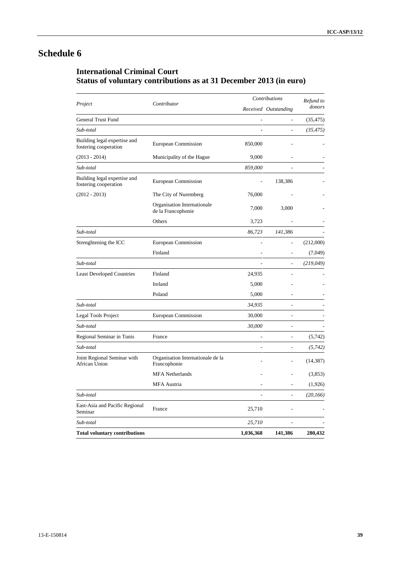# **International Criminal Court Status of voluntary contributions as at 31 December 2013 (in euro)**

| Project                                               | Contributor                                       | Contributions<br>Received Outstanding |                          | Refund to<br>donors      |  |  |
|-------------------------------------------------------|---------------------------------------------------|---------------------------------------|--------------------------|--------------------------|--|--|
| General Trust Fund                                    |                                                   | $\overline{\phantom{a}}$              | $\sim$                   | (35, 475)                |  |  |
| Sub-total                                             |                                                   | $\overline{\phantom{a}}$              | $\sim$                   | (35, 475)                |  |  |
| Building legal expertise and<br>fostering cooperation | European Commission                               | 850,000                               |                          |                          |  |  |
| $(2013 - 2014)$                                       | Municipality of the Hague                         | 9,000                                 | $\sim$                   |                          |  |  |
| Sub-total                                             |                                                   | 859,000                               | $\sim$                   |                          |  |  |
| Building legal expertise and<br>fostering cooperation | European Commission                               | $\overline{\phantom{a}}$              | 138,386                  |                          |  |  |
| $(2012 - 2013)$                                       | The City of Nuremberg                             | 76,000                                |                          |                          |  |  |
|                                                       | Organisation Internationale<br>de la Francophonie | 7,000                                 | 3,000                    |                          |  |  |
|                                                       | Others                                            | 3,723                                 | $\overline{\phantom{a}}$ |                          |  |  |
| Sub-total                                             |                                                   | 86,723                                | 141,386                  |                          |  |  |
| Strenghtening the ICC                                 | European Commission                               | $\overline{\phantom{a}}$              | $\overline{\phantom{a}}$ | (212,000)                |  |  |
|                                                       | Finland                                           | $\overline{\phantom{a}}$              |                          | (7,049)                  |  |  |
| Sub-total                                             |                                                   | $\overline{\phantom{a}}$              | $\sim$                   | (219,049)                |  |  |
| <b>Least Developed Countries</b>                      | Finland                                           | 24,935                                |                          |                          |  |  |
|                                                       | Ireland                                           | 5,000                                 |                          |                          |  |  |
|                                                       | Poland                                            | 5,000                                 | $\sim$                   |                          |  |  |
| Sub-total                                             |                                                   | 34,935                                | $\sim$                   |                          |  |  |
| Legal Tools Project                                   | European Commission                               | 30,000                                | $\sim$                   |                          |  |  |
| Sub-total                                             |                                                   | 30,000                                | $\sim$                   | $\overline{\phantom{a}}$ |  |  |
| Regional Seminar in Tunis                             | France                                            | $\overline{\phantom{a}}$              | $\sim$                   | (5,742)                  |  |  |
| Sub-total                                             |                                                   | $\overline{\phantom{a}}$              | $\sim$                   | (5, 742)                 |  |  |
| Joint Regional Seminar with<br>African Union          | Organisation Internationale de la<br>Francophonie | $\overline{\phantom{a}}$              | $\sim$                   | (14, 387)                |  |  |
|                                                       | MFA Netherlands                                   | $\overline{a}$                        |                          | (3,853)                  |  |  |
|                                                       | MFA Austria                                       | $\overline{\phantom{a}}$              |                          | (1,926)                  |  |  |
| Sub-total                                             |                                                   | $\overline{\phantom{a}}$              | $\overline{\phantom{a}}$ | (20, 166)                |  |  |
| East-Asia and Pacific Regional<br>Seminar             | France                                            | 25,710                                | $\sim$                   |                          |  |  |
| Sub-total                                             |                                                   | 25,710                                | $\overline{\phantom{a}}$ |                          |  |  |
| <b>Total voluntary contributions</b>                  |                                                   | 1,036,368                             | 141,386                  | 280,432                  |  |  |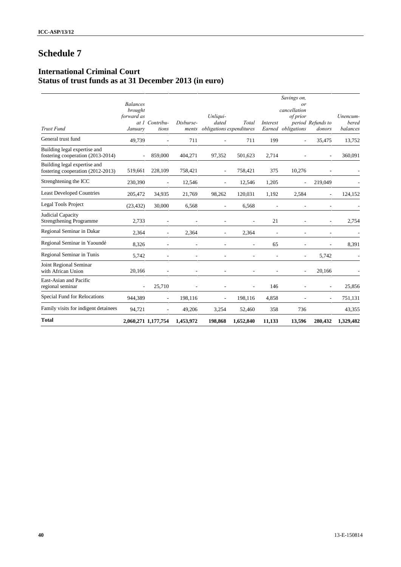# **International Criminal Court Status of trust funds as at 31 December 2013 (in euro)**

| <b>International Criminal Court</b><br>Status of trust funds as at 31 December 2013 (in euro)<br>Savings on,<br>Balances<br>or<br>brought<br>cancellation<br>forward as<br>Unliqui-<br>of prior<br>Unencum-<br>Disburse-<br>dated<br>Total<br>period Refunds to<br>bered<br>at 1 Contribu-<br>Interest<br>Trust Fund<br>ments obligations expenditures<br>Earned obligations<br>donors<br>balances<br>tions<br>January<br>General trust fund<br>49,739<br>711<br>711<br>199<br>35,475<br>13,752<br>$\overline{\phantom{a}}$<br>$\overline{\phantom{a}}$<br>Building legal expertise and<br>fostering cooperation (2013-2014)<br>2,714<br>859,000<br>404,271<br>97,352<br>501,623<br>360,091<br>$\sim$<br>$\overline{\phantom{a}}$<br>$\overline{\phantom{a}}$<br>Building legal expertise and<br>10,276<br>fostering cooperation (2012-2013)<br>228,109<br>758,421<br>758,421<br>375<br>519,661<br>$\overline{\phantom{a}}$<br>$\overline{\phantom{a}}$<br>Strenghtening the ICC<br>230,390<br>12,546<br>1,205<br>219,049<br>12,546<br>$\sim$<br>$\overline{\phantom{a}}$<br>$\sim$<br><b>Least Developed Countries</b><br>205,472<br>120,031<br>1,192<br>34,935<br>21,769<br>98,262<br>2,584<br>124,152<br>$\sim$<br>Legal Tools Project<br>30,000<br>(23, 432)<br>6,568<br>6,568<br>$\overline{\phantom{a}}$<br>$\sim$<br>$\overline{\phantom{a}}$<br>$\sim$<br>Judicial Capacity<br>21<br>Strengthening Programme<br>2,733<br>2,754<br>$\overline{\phantom{a}}$<br>$\overline{\phantom{a}}$<br>$\overline{\phantom{a}}$<br>÷<br>Regional Seminar in Dakar<br>2,364<br>2,364<br>2,364<br>$\overline{\phantom{a}}$<br>$\sim$<br>$\overline{\phantom{a}}$<br>Regional Seminar in Yaoundé<br>8,326<br>65<br>8,391<br>$\overline{\phantom{a}}$<br>$\overline{\phantom{a}}$<br>$\overline{\phantom{a}}$<br>۰<br>Regional Seminar in Tunis<br>5,742<br>5,742<br>$\overline{\phantom{a}}$<br>$\sim$<br>$\sim$<br>$\overline{\phantom{a}}$<br>$\overline{\phantom{a}}$<br>$\overline{\phantom{a}}$<br>$\overline{\phantom{a}}$<br>Joint Regional Seminar<br>with African Union<br>20,166<br>20,166<br>$\overline{\phantom{a}}$<br>East-Asian and Pacific<br>25,710<br>146<br>25,856<br>regional seminar<br>$\sim$<br>$\overline{\phantom{a}}$<br>$\overline{\phantom{a}}$<br>$\sim$<br>$\overline{\phantom{a}}$<br>$\sim$<br>Special Fund for Relocations<br>751,131<br>944,389<br>198,116<br>198,116<br>4,858<br>$\sim$<br>$\sim$<br>$\overline{\phantom{a}}$<br>$\sim$<br>Family visits for indigent detainees<br>94,721<br>49,206<br>3,254<br>52,460<br>358<br>736<br>43,355<br>$\sim$ |
|-------------------------------------------------------------------------------------------------------------------------------------------------------------------------------------------------------------------------------------------------------------------------------------------------------------------------------------------------------------------------------------------------------------------------------------------------------------------------------------------------------------------------------------------------------------------------------------------------------------------------------------------------------------------------------------------------------------------------------------------------------------------------------------------------------------------------------------------------------------------------------------------------------------------------------------------------------------------------------------------------------------------------------------------------------------------------------------------------------------------------------------------------------------------------------------------------------------------------------------------------------------------------------------------------------------------------------------------------------------------------------------------------------------------------------------------------------------------------------------------------------------------------------------------------------------------------------------------------------------------------------------------------------------------------------------------------------------------------------------------------------------------------------------------------------------------------------------------------------------------------------------------------------------------------------------------------------------------------------------------------------------------------------------------------------------------------------------------------------------------------------------------------------------------------------------------------------------------------------------------------------------------------------------------------------------------------------------------------------------------------------------------------------------------------------------------------------------------------------------------------------------------------------------------------------------------------------------|
|                                                                                                                                                                                                                                                                                                                                                                                                                                                                                                                                                                                                                                                                                                                                                                                                                                                                                                                                                                                                                                                                                                                                                                                                                                                                                                                                                                                                                                                                                                                                                                                                                                                                                                                                                                                                                                                                                                                                                                                                                                                                                                                                                                                                                                                                                                                                                                                                                                                                                                                                                                                     |
|                                                                                                                                                                                                                                                                                                                                                                                                                                                                                                                                                                                                                                                                                                                                                                                                                                                                                                                                                                                                                                                                                                                                                                                                                                                                                                                                                                                                                                                                                                                                                                                                                                                                                                                                                                                                                                                                                                                                                                                                                                                                                                                                                                                                                                                                                                                                                                                                                                                                                                                                                                                     |
|                                                                                                                                                                                                                                                                                                                                                                                                                                                                                                                                                                                                                                                                                                                                                                                                                                                                                                                                                                                                                                                                                                                                                                                                                                                                                                                                                                                                                                                                                                                                                                                                                                                                                                                                                                                                                                                                                                                                                                                                                                                                                                                                                                                                                                                                                                                                                                                                                                                                                                                                                                                     |
|                                                                                                                                                                                                                                                                                                                                                                                                                                                                                                                                                                                                                                                                                                                                                                                                                                                                                                                                                                                                                                                                                                                                                                                                                                                                                                                                                                                                                                                                                                                                                                                                                                                                                                                                                                                                                                                                                                                                                                                                                                                                                                                                                                                                                                                                                                                                                                                                                                                                                                                                                                                     |
|                                                                                                                                                                                                                                                                                                                                                                                                                                                                                                                                                                                                                                                                                                                                                                                                                                                                                                                                                                                                                                                                                                                                                                                                                                                                                                                                                                                                                                                                                                                                                                                                                                                                                                                                                                                                                                                                                                                                                                                                                                                                                                                                                                                                                                                                                                                                                                                                                                                                                                                                                                                     |
|                                                                                                                                                                                                                                                                                                                                                                                                                                                                                                                                                                                                                                                                                                                                                                                                                                                                                                                                                                                                                                                                                                                                                                                                                                                                                                                                                                                                                                                                                                                                                                                                                                                                                                                                                                                                                                                                                                                                                                                                                                                                                                                                                                                                                                                                                                                                                                                                                                                                                                                                                                                     |
|                                                                                                                                                                                                                                                                                                                                                                                                                                                                                                                                                                                                                                                                                                                                                                                                                                                                                                                                                                                                                                                                                                                                                                                                                                                                                                                                                                                                                                                                                                                                                                                                                                                                                                                                                                                                                                                                                                                                                                                                                                                                                                                                                                                                                                                                                                                                                                                                                                                                                                                                                                                     |
|                                                                                                                                                                                                                                                                                                                                                                                                                                                                                                                                                                                                                                                                                                                                                                                                                                                                                                                                                                                                                                                                                                                                                                                                                                                                                                                                                                                                                                                                                                                                                                                                                                                                                                                                                                                                                                                                                                                                                                                                                                                                                                                                                                                                                                                                                                                                                                                                                                                                                                                                                                                     |
|                                                                                                                                                                                                                                                                                                                                                                                                                                                                                                                                                                                                                                                                                                                                                                                                                                                                                                                                                                                                                                                                                                                                                                                                                                                                                                                                                                                                                                                                                                                                                                                                                                                                                                                                                                                                                                                                                                                                                                                                                                                                                                                                                                                                                                                                                                                                                                                                                                                                                                                                                                                     |
|                                                                                                                                                                                                                                                                                                                                                                                                                                                                                                                                                                                                                                                                                                                                                                                                                                                                                                                                                                                                                                                                                                                                                                                                                                                                                                                                                                                                                                                                                                                                                                                                                                                                                                                                                                                                                                                                                                                                                                                                                                                                                                                                                                                                                                                                                                                                                                                                                                                                                                                                                                                     |
|                                                                                                                                                                                                                                                                                                                                                                                                                                                                                                                                                                                                                                                                                                                                                                                                                                                                                                                                                                                                                                                                                                                                                                                                                                                                                                                                                                                                                                                                                                                                                                                                                                                                                                                                                                                                                                                                                                                                                                                                                                                                                                                                                                                                                                                                                                                                                                                                                                                                                                                                                                                     |
|                                                                                                                                                                                                                                                                                                                                                                                                                                                                                                                                                                                                                                                                                                                                                                                                                                                                                                                                                                                                                                                                                                                                                                                                                                                                                                                                                                                                                                                                                                                                                                                                                                                                                                                                                                                                                                                                                                                                                                                                                                                                                                                                                                                                                                                                                                                                                                                                                                                                                                                                                                                     |
|                                                                                                                                                                                                                                                                                                                                                                                                                                                                                                                                                                                                                                                                                                                                                                                                                                                                                                                                                                                                                                                                                                                                                                                                                                                                                                                                                                                                                                                                                                                                                                                                                                                                                                                                                                                                                                                                                                                                                                                                                                                                                                                                                                                                                                                                                                                                                                                                                                                                                                                                                                                     |
|                                                                                                                                                                                                                                                                                                                                                                                                                                                                                                                                                                                                                                                                                                                                                                                                                                                                                                                                                                                                                                                                                                                                                                                                                                                                                                                                                                                                                                                                                                                                                                                                                                                                                                                                                                                                                                                                                                                                                                                                                                                                                                                                                                                                                                                                                                                                                                                                                                                                                                                                                                                     |
|                                                                                                                                                                                                                                                                                                                                                                                                                                                                                                                                                                                                                                                                                                                                                                                                                                                                                                                                                                                                                                                                                                                                                                                                                                                                                                                                                                                                                                                                                                                                                                                                                                                                                                                                                                                                                                                                                                                                                                                                                                                                                                                                                                                                                                                                                                                                                                                                                                                                                                                                                                                     |
|                                                                                                                                                                                                                                                                                                                                                                                                                                                                                                                                                                                                                                                                                                                                                                                                                                                                                                                                                                                                                                                                                                                                                                                                                                                                                                                                                                                                                                                                                                                                                                                                                                                                                                                                                                                                                                                                                                                                                                                                                                                                                                                                                                                                                                                                                                                                                                                                                                                                                                                                                                                     |
| <b>Total</b><br>280,432 1,329,482                                                                                                                                                                                                                                                                                                                                                                                                                                                                                                                                                                                                                                                                                                                                                                                                                                                                                                                                                                                                                                                                                                                                                                                                                                                                                                                                                                                                                                                                                                                                                                                                                                                                                                                                                                                                                                                                                                                                                                                                                                                                                                                                                                                                                                                                                                                                                                                                                                                                                                                                                   |
| 2,060,271 1,177,754<br>1,453,972<br>198,868<br>1,652,840<br>11,133<br>13,596                                                                                                                                                                                                                                                                                                                                                                                                                                                                                                                                                                                                                                                                                                                                                                                                                                                                                                                                                                                                                                                                                                                                                                                                                                                                                                                                                                                                                                                                                                                                                                                                                                                                                                                                                                                                                                                                                                                                                                                                                                                                                                                                                                                                                                                                                                                                                                                                                                                                                                        |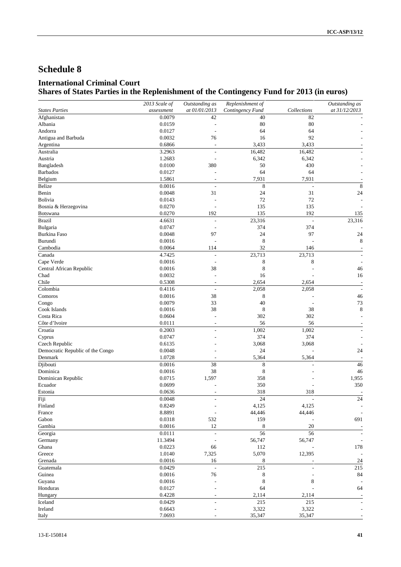## **International Criminal Court Shares of States Parties in the Replenishment of the Contingency Fund for 2013 (in euros)**

|                                                                                                                                  |                             |                                 |                                      |                          | <b>ICC-ASP/13/12</b>            |
|----------------------------------------------------------------------------------------------------------------------------------|-----------------------------|---------------------------------|--------------------------------------|--------------------------|---------------------------------|
|                                                                                                                                  |                             |                                 |                                      |                          |                                 |
| <b>Schedule 8</b>                                                                                                                |                             |                                 |                                      |                          |                                 |
|                                                                                                                                  |                             |                                 |                                      |                          |                                 |
| <b>International Criminal Court</b><br>Shares of States Parties in the Replenishment of the Contingency Fund for 2013 (in euros) |                             |                                 |                                      |                          |                                 |
| <b>States Parties</b>                                                                                                            | 2013 Scale of<br>assessment | Outstanding as<br>at 01/01/2013 | Replenishment of<br>Contingency Fund | Collections              | Outstanding as<br>at 31/12/2013 |
| Afghanistan                                                                                                                      | 0.0079                      | 42                              | 40                                   | 82                       |                                 |
| Albania                                                                                                                          | 0.0159                      |                                 | 80                                   | 80                       |                                 |
| Andorra                                                                                                                          | 0.0127                      | $\overline{\phantom{a}}$        | 64                                   | 64                       |                                 |
| Antigua and Barbuda                                                                                                              | 0.0032                      | 76                              | 16                                   | 92                       |                                 |
| Argentina                                                                                                                        | 0.6866                      | $\sim$                          | 3,433                                | 3,433                    |                                 |
| Australia                                                                                                                        | 3.2963                      | $\overline{\phantom{a}}$        | 16,482                               | 16,482                   |                                 |
| Austria                                                                                                                          | 1.2683                      | $\sim$                          | 6,342                                | 6,342                    |                                 |
|                                                                                                                                  |                             |                                 |                                      |                          |                                 |
| Bangladesh                                                                                                                       | 0.0100                      | 380                             | 50                                   | 430                      |                                 |
| <b>Barbados</b>                                                                                                                  | 0.0127                      | $\overline{\phantom{a}}$        | 64                                   | 64                       |                                 |
| Belgium                                                                                                                          | 1.5861                      | $\sim$                          | 7,931                                | 7,931                    |                                 |
| Belize                                                                                                                           | 0.0016                      | $\sim$                          | 8                                    | $\sim$                   | 8                               |
| Benin                                                                                                                            | 0.0048                      | 31                              | 24                                   | 31                       | 24                              |
| Bolivia                                                                                                                          | 0.0143                      | $\overline{\phantom{a}}$        | 72                                   | 72                       | $\overline{\phantom{a}}$        |
| Bosnia & Herzegovina                                                                                                             | 0.0270                      | $\overline{\phantom{a}}$        | 135                                  | 135                      | $\overline{\phantom{a}}$        |
|                                                                                                                                  | 0.0270                      |                                 |                                      | 192                      |                                 |
| <b>Botswana</b>                                                                                                                  |                             | 192                             | 135                                  |                          | 135                             |
| <b>Brazil</b>                                                                                                                    | 4.6631                      | $\overline{\phantom{a}}$        | 23,316                               | $\sim$                   | 23,316                          |
| Bulgaria                                                                                                                         | 0.0747                      | $\sim$                          | 374                                  | 374                      | $\overline{\phantom{a}}$        |
| Burkina Faso                                                                                                                     | 0.0048                      | 97                              | 24                                   | 97                       | 24                              |
| Burundi                                                                                                                          | 0.0016                      | $\overline{\phantom{a}}$        | 8                                    | $\sim$                   | 8                               |
| Cambodia                                                                                                                         | 0.0064                      | 114                             | 32                                   | 146                      | $\overline{\phantom{a}}$        |
| Canada                                                                                                                           | 4.7425                      | $\sim$                          | 23,713                               | 23,713                   |                                 |
| Cape Verde                                                                                                                       | 0.0016                      | $\overline{\phantom{a}}$        | 8                                    | 8                        | $\overline{\phantom{a}}$        |
|                                                                                                                                  | 0.0016                      | 38                              | 8                                    |                          |                                 |
| Central African Republic                                                                                                         |                             |                                 |                                      | $\overline{\phantom{a}}$ | 46                              |
| Chad                                                                                                                             | 0.0032                      | $\overline{\phantom{a}}$        | 16                                   | $\overline{\phantom{a}}$ | 16                              |
| Chile                                                                                                                            | 0.5308                      | $\sim$                          | 2,654                                | 2,654                    | $\sim$                          |
| Colombia                                                                                                                         | 0.4116                      | $\overline{\phantom{a}}$        | 2,058                                | 2,058                    | ÷,                              |
| Comoros                                                                                                                          | 0.0016                      | 38                              | 8                                    | $\overline{\phantom{a}}$ | 46                              |
| Congo                                                                                                                            | 0.0079                      | 33                              | 40                                   | $\sim$                   | 73                              |
| Cook Islands                                                                                                                     | 0.0016                      | 38                              | 8                                    | 38                       | 8                               |
|                                                                                                                                  |                             |                                 |                                      |                          |                                 |
| Costa Rica                                                                                                                       | 0.0604                      | $\overline{\phantom{a}}$        | 302                                  | 302                      |                                 |
| Côte d'Ivoire                                                                                                                    | 0.0111                      | $\overline{\phantom{a}}$        | 56                                   | 56                       |                                 |
| Croatia                                                                                                                          | 0.2003                      |                                 | 1,002                                | 1,002                    |                                 |
| Cyprus                                                                                                                           | 0.0747                      |                                 | 374                                  | 374                      |                                 |
| Czech Republic                                                                                                                   | 0.6135                      |                                 | 3,068                                | 3,068                    |                                 |
| Democratic Republic of the Congo                                                                                                 | 0.0048                      |                                 |                                      |                          |                                 |
|                                                                                                                                  |                             |                                 | 24                                   | $\sim$                   | 24                              |
| Denmark                                                                                                                          | 1.0728                      | $\sim$                          | 5,364                                | 5,364                    | $\overline{\phantom{a}}$        |
| Djibouti                                                                                                                         | 0.0016                      | $38\,$                          | $\,8\,$                              | $\sim$                   | 46                              |
| Dominica                                                                                                                         | 0.0016                      | $38\,$                          | 8                                    |                          | 46                              |
| Dominican Republic                                                                                                               | 0.0715                      | 1,597                           | 358                                  |                          | 1,955                           |
| Ecuador                                                                                                                          | 0.0699                      | $\sim$                          | 350                                  | $\sim$                   | 350                             |
| Estonia                                                                                                                          | 0.0636                      | $\sim$                          | 318                                  | 318                      | $\overline{\phantom{a}}$        |
|                                                                                                                                  |                             |                                 |                                      |                          |                                 |
| Fiji                                                                                                                             | 0.0048                      | $\sim$                          | 24                                   | $\sim$                   | 24                              |
| Finland                                                                                                                          | 0.8249                      | $\overline{\phantom{a}}$        | 4,125                                | 4,125                    | $\overline{\phantom{a}}$        |
| France                                                                                                                           | 8.8891                      | $\sim$                          | 44,446                               | 44,446                   | $\overline{\phantom{a}}$        |
| Gabon                                                                                                                            | 0.0318                      | 532                             | 159                                  | $\sim$                   | 691                             |
| Gambia                                                                                                                           | 0.0016                      | 12                              | 8                                    | 20                       | $\overline{\phantom{a}}$        |
| Georgia                                                                                                                          | 0.0111                      | $\overline{\phantom{a}}$        | 56                                   | 56                       | $\overline{\phantom{a}}$        |
| Germany                                                                                                                          | 11.3494                     | $\sim$                          | 56,747                               | 56,747                   | $\overline{\phantom{m}}$        |
|                                                                                                                                  | 0.0223                      | 66                              | 112                                  |                          | 178                             |
| Ghana                                                                                                                            |                             |                                 |                                      |                          |                                 |
| Greece                                                                                                                           | 1.0140                      | 7,325                           | 5,070                                | 12,395                   | $\sim$                          |
| Grenada                                                                                                                          | 0.0016                      | $16\,$                          | $\,8\,$                              | $\overline{\phantom{a}}$ | $\overline{24}$                 |
| Guatemala                                                                                                                        | 0.0429                      | $\sim$                          | 215                                  | $\sim$                   | $\overline{215}$                |
| Guinea                                                                                                                           | 0.0016                      | 76                              | 8                                    |                          | 84                              |
| Guyana                                                                                                                           | 0.0016                      | $\overline{\phantom{a}}$        | 8                                    | $\,8\,$                  | $\overline{\phantom{a}}$        |
| Honduras                                                                                                                         | 0.0127                      | $\sim$                          | 64                                   | $\sim$                   | 64                              |
|                                                                                                                                  | 0.4228                      | $\sim$                          | 2,114                                | 2,114                    | $\overline{\phantom{a}}$        |
|                                                                                                                                  |                             |                                 | 215                                  |                          |                                 |
| Hungary                                                                                                                          |                             | $\overline{\phantom{a}}$        |                                      | $215\,$                  |                                 |
| Iceland                                                                                                                          | 0.0429                      |                                 |                                      |                          |                                 |
| Ireland<br>Italy                                                                                                                 | 0.6643<br>7.0693            | $\overline{\phantom{a}}$        | 3,322<br>35,347                      | 3,322<br>35,347          |                                 |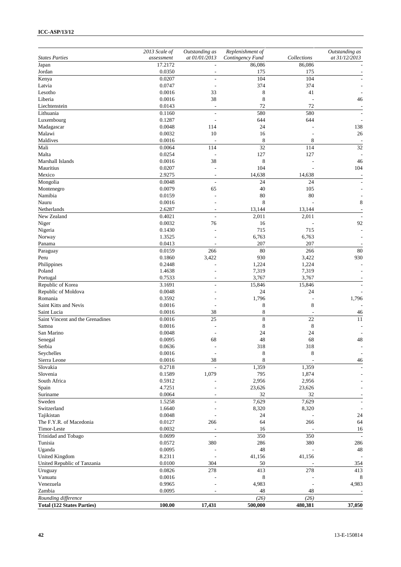### **ICC-ASP/13/12**

| <b>States Parties</b><br>Japan<br>Jordan<br>Latvia<br>Lesotho<br>Liechtenstein<br>Maldives<br>Malta          | 2013 Scale of<br>$\ensuremath{\mathit{assess}ment}\xspace$<br>17.2172<br>0.0350<br>0.0207<br>0.0747<br>0.0016<br>0.0016<br>0.0143<br>0.1160<br>0.1287<br>0.0048<br>0.0032<br>0.0016<br>0.0064 | Outstanding as<br>at 01/01/2013<br>$\overline{\phantom{a}}$<br>$\overline{\phantom{a}}$<br>$\overline{\phantom{a}}$<br>$\overline{\phantom{a}}$<br>33<br>38<br>$\overline{\phantom{a}}$<br>$\overline{\phantom{a}}$<br>$\overline{\phantom{a}}$<br>114<br>10 | Replenishment of<br>Contingency Fund<br>86,086<br>175<br>104<br>374<br>8<br>8<br>72<br>580<br>644 | Collections<br>86,086<br>175<br>104<br>374<br>41<br>72 | Outstanding as<br>at 31/12/2013 |
|--------------------------------------------------------------------------------------------------------------|-----------------------------------------------------------------------------------------------------------------------------------------------------------------------------------------------|--------------------------------------------------------------------------------------------------------------------------------------------------------------------------------------------------------------------------------------------------------------|---------------------------------------------------------------------------------------------------|--------------------------------------------------------|---------------------------------|
|                                                                                                              |                                                                                                                                                                                               |                                                                                                                                                                                                                                                              |                                                                                                   |                                                        |                                 |
|                                                                                                              |                                                                                                                                                                                               |                                                                                                                                                                                                                                                              |                                                                                                   |                                                        |                                 |
| Kenya<br>Liberia<br>Lithuania<br>Luxembourg<br>Madagascar<br>Malawi<br>Mali<br>Marshall Islands<br>Mauritius |                                                                                                                                                                                               |                                                                                                                                                                                                                                                              |                                                                                                   |                                                        |                                 |
|                                                                                                              |                                                                                                                                                                                               |                                                                                                                                                                                                                                                              |                                                                                                   |                                                        |                                 |
|                                                                                                              |                                                                                                                                                                                               |                                                                                                                                                                                                                                                              |                                                                                                   |                                                        |                                 |
|                                                                                                              |                                                                                                                                                                                               |                                                                                                                                                                                                                                                              |                                                                                                   |                                                        |                                 |
|                                                                                                              |                                                                                                                                                                                               |                                                                                                                                                                                                                                                              |                                                                                                   |                                                        |                                 |
|                                                                                                              |                                                                                                                                                                                               |                                                                                                                                                                                                                                                              |                                                                                                   |                                                        | 46                              |
|                                                                                                              |                                                                                                                                                                                               |                                                                                                                                                                                                                                                              |                                                                                                   |                                                        |                                 |
|                                                                                                              |                                                                                                                                                                                               |                                                                                                                                                                                                                                                              |                                                                                                   |                                                        |                                 |
|                                                                                                              |                                                                                                                                                                                               |                                                                                                                                                                                                                                                              |                                                                                                   | 580                                                    |                                 |
|                                                                                                              |                                                                                                                                                                                               |                                                                                                                                                                                                                                                              |                                                                                                   | 644                                                    |                                 |
|                                                                                                              |                                                                                                                                                                                               |                                                                                                                                                                                                                                                              | 24                                                                                                |                                                        | 138                             |
|                                                                                                              |                                                                                                                                                                                               |                                                                                                                                                                                                                                                              | 16                                                                                                |                                                        | 26                              |
|                                                                                                              |                                                                                                                                                                                               | $\overline{a}$                                                                                                                                                                                                                                               | 8                                                                                                 | 8                                                      | $\overline{\phantom{a}}$        |
|                                                                                                              |                                                                                                                                                                                               | 114                                                                                                                                                                                                                                                          | $32\,$                                                                                            | 114                                                    | $32\,$                          |
|                                                                                                              |                                                                                                                                                                                               |                                                                                                                                                                                                                                                              |                                                                                                   |                                                        |                                 |
|                                                                                                              | 0.0254                                                                                                                                                                                        | $\overline{\phantom{a}}$                                                                                                                                                                                                                                     | 127                                                                                               | 127                                                    | $\overline{\phantom{a}}$        |
|                                                                                                              | 0.0016                                                                                                                                                                                        | 38                                                                                                                                                                                                                                                           | 8                                                                                                 | $\sim$                                                 | 46                              |
|                                                                                                              | 0.0207                                                                                                                                                                                        | $\overline{\phantom{a}}$                                                                                                                                                                                                                                     | 104                                                                                               |                                                        | 104                             |
| Mexico                                                                                                       | 2.9275                                                                                                                                                                                        | $\overline{\phantom{a}}$                                                                                                                                                                                                                                     | 14,638                                                                                            | 14,638                                                 |                                 |
| Mongolia                                                                                                     | 0.0048                                                                                                                                                                                        | $\overline{\phantom{a}}$                                                                                                                                                                                                                                     | 24                                                                                                | 24                                                     |                                 |
|                                                                                                              | 0.0079                                                                                                                                                                                        |                                                                                                                                                                                                                                                              |                                                                                                   |                                                        |                                 |
| Montenegro                                                                                                   |                                                                                                                                                                                               | 65                                                                                                                                                                                                                                                           | 40                                                                                                | 105                                                    |                                 |
| Namibia                                                                                                      | 0.0159                                                                                                                                                                                        |                                                                                                                                                                                                                                                              | $80\,$                                                                                            | 80                                                     |                                 |
| Nauru                                                                                                        | 0.0016                                                                                                                                                                                        |                                                                                                                                                                                                                                                              | 8                                                                                                 |                                                        | 8                               |
| Netherlands                                                                                                  | 2.6287                                                                                                                                                                                        | $\overline{\phantom{a}}$                                                                                                                                                                                                                                     | 13,144                                                                                            | 13,144                                                 |                                 |
| New Zealand                                                                                                  | 0.4021                                                                                                                                                                                        | $\overline{\phantom{a}}$                                                                                                                                                                                                                                     | 2,011                                                                                             | 2,011                                                  |                                 |
|                                                                                                              |                                                                                                                                                                                               |                                                                                                                                                                                                                                                              |                                                                                                   |                                                        |                                 |
| Niger                                                                                                        | 0.0032                                                                                                                                                                                        | 76                                                                                                                                                                                                                                                           | 16                                                                                                |                                                        | 92                              |
| Nigeria                                                                                                      | 0.1430                                                                                                                                                                                        | $\overline{\phantom{a}}$                                                                                                                                                                                                                                     | 715                                                                                               | 715                                                    |                                 |
| Norway                                                                                                       | 1.3525                                                                                                                                                                                        |                                                                                                                                                                                                                                                              | 6,763                                                                                             | 6,763                                                  |                                 |
| Panama                                                                                                       | 0.0413                                                                                                                                                                                        | $\overline{\phantom{a}}$                                                                                                                                                                                                                                     | 207                                                                                               | 207                                                    |                                 |
|                                                                                                              | 0.0159                                                                                                                                                                                        | 266                                                                                                                                                                                                                                                          | 80                                                                                                | 266                                                    | $80\,$                          |
| Paraguay                                                                                                     |                                                                                                                                                                                               |                                                                                                                                                                                                                                                              |                                                                                                   |                                                        |                                 |
| Peru                                                                                                         | 0.1860                                                                                                                                                                                        | 3,422                                                                                                                                                                                                                                                        | 930                                                                                               | 3,422                                                  | 930                             |
| Philippines                                                                                                  | 0.2448                                                                                                                                                                                        | $\overline{\phantom{a}}$                                                                                                                                                                                                                                     | 1,224                                                                                             | 1,224                                                  |                                 |
| Poland                                                                                                       | 1.4638                                                                                                                                                                                        |                                                                                                                                                                                                                                                              | 7,319                                                                                             | 7,319                                                  |                                 |
| Portugal                                                                                                     | 0.7533                                                                                                                                                                                        | $\overline{\phantom{a}}$                                                                                                                                                                                                                                     | 3,767                                                                                             | 3,767                                                  |                                 |
|                                                                                                              |                                                                                                                                                                                               |                                                                                                                                                                                                                                                              |                                                                                                   |                                                        |                                 |
| Republic of Korea                                                                                            | 3.1691                                                                                                                                                                                        | $\sim$                                                                                                                                                                                                                                                       | 15,846                                                                                            | 15,846                                                 |                                 |
| Republic of Moldova                                                                                          | 0.0048                                                                                                                                                                                        |                                                                                                                                                                                                                                                              | 24                                                                                                | 24                                                     | $\overline{\phantom{a}}$        |
| Romania                                                                                                      | 0.3592                                                                                                                                                                                        |                                                                                                                                                                                                                                                              | 1,796                                                                                             |                                                        | 1,796                           |
| Saint Kitts and Nevis                                                                                        | 0.0016                                                                                                                                                                                        |                                                                                                                                                                                                                                                              | 8                                                                                                 | 8                                                      |                                 |
|                                                                                                              |                                                                                                                                                                                               |                                                                                                                                                                                                                                                              | 8                                                                                                 |                                                        |                                 |
| Saint Lucia                                                                                                  | 0.0016                                                                                                                                                                                        | 38                                                                                                                                                                                                                                                           |                                                                                                   |                                                        | 46                              |
| Saint Vincent and the Grenadines                                                                             | 0.0016                                                                                                                                                                                        | 25                                                                                                                                                                                                                                                           | 8                                                                                                 | 22                                                     | 11                              |
| Samoa                                                                                                        | 0.0016                                                                                                                                                                                        | $\overline{\phantom{a}}$                                                                                                                                                                                                                                     | 8                                                                                                 | 8                                                      | $\overline{\phantom{a}}$        |
| San Marino                                                                                                   | 0.0048                                                                                                                                                                                        | $\sim$                                                                                                                                                                                                                                                       | 24                                                                                                | 24                                                     | $\sim$                          |
|                                                                                                              |                                                                                                                                                                                               |                                                                                                                                                                                                                                                              |                                                                                                   |                                                        |                                 |
| Senegal                                                                                                      | 0.0095                                                                                                                                                                                        | 68                                                                                                                                                                                                                                                           | $\sqrt{48}$                                                                                       | 68                                                     | $\sqrt{48}$                     |
| Serbia                                                                                                       | 0.0636                                                                                                                                                                                        | $\overline{a}$                                                                                                                                                                                                                                               | 318                                                                                               | 318                                                    |                                 |
| Seychelles                                                                                                   | 0.0016                                                                                                                                                                                        | $\overline{\phantom{a}}$                                                                                                                                                                                                                                     | $8\phantom{.0}$                                                                                   | $8\,$                                                  | $\overline{\phantom{a}}$        |
| Sierra Leone                                                                                                 | 0.0016                                                                                                                                                                                        | 38                                                                                                                                                                                                                                                           | $\,8\,$                                                                                           |                                                        | 46                              |
|                                                                                                              |                                                                                                                                                                                               |                                                                                                                                                                                                                                                              |                                                                                                   |                                                        |                                 |
| Slovakia                                                                                                     | 0.2718                                                                                                                                                                                        | $\overline{\phantom{a}}$                                                                                                                                                                                                                                     | 1,359                                                                                             | 1,359                                                  |                                 |
| Slovenia                                                                                                     | 0.1589                                                                                                                                                                                        | 1,079                                                                                                                                                                                                                                                        | 795                                                                                               | 1,874                                                  |                                 |
| South Africa                                                                                                 | 0.5912                                                                                                                                                                                        | $\overline{\phantom{a}}$                                                                                                                                                                                                                                     | 2,956                                                                                             | 2,956                                                  |                                 |
| Spain                                                                                                        | 4.7251                                                                                                                                                                                        |                                                                                                                                                                                                                                                              | 23,626                                                                                            | 23,626                                                 |                                 |
| Suriname                                                                                                     | 0.0064                                                                                                                                                                                        | $\overline{\phantom{a}}$                                                                                                                                                                                                                                     | 32                                                                                                | 32                                                     |                                 |
|                                                                                                              |                                                                                                                                                                                               |                                                                                                                                                                                                                                                              |                                                                                                   |                                                        |                                 |
| Sweden                                                                                                       | 1.5258                                                                                                                                                                                        | $\overline{\phantom{a}}$                                                                                                                                                                                                                                     | 7,629                                                                                             | 7,629                                                  |                                 |
| Switzerland                                                                                                  | 1.6640                                                                                                                                                                                        | $\overline{\phantom{a}}$                                                                                                                                                                                                                                     | 8,320                                                                                             | 8,320                                                  |                                 |
| Tajikistan                                                                                                   | 0.0048                                                                                                                                                                                        | $\overline{\phantom{a}}$                                                                                                                                                                                                                                     | 24                                                                                                |                                                        | 24                              |
| The F.Y.R. of Macedonia                                                                                      | 0.0127                                                                                                                                                                                        | 266                                                                                                                                                                                                                                                          | 64                                                                                                | 266                                                    | 64                              |
|                                                                                                              |                                                                                                                                                                                               |                                                                                                                                                                                                                                                              |                                                                                                   |                                                        |                                 |
| Timor-Leste                                                                                                  | 0.0032                                                                                                                                                                                        | $\sim$                                                                                                                                                                                                                                                       | 16                                                                                                | $\sim$                                                 | 16                              |
| Trinidad and Tobago                                                                                          | 0.0699                                                                                                                                                                                        | $\overline{\phantom{a}}$                                                                                                                                                                                                                                     | 350                                                                                               | 350                                                    | $\sim$                          |
| Tunisia                                                                                                      | 0.0572                                                                                                                                                                                        | 380                                                                                                                                                                                                                                                          | 286                                                                                               | 380                                                    | 286                             |
| Uganda                                                                                                       | 0.0095                                                                                                                                                                                        | $\overline{\phantom{a}}$                                                                                                                                                                                                                                     | 48                                                                                                |                                                        | 48                              |
| United Kingdom                                                                                               |                                                                                                                                                                                               |                                                                                                                                                                                                                                                              |                                                                                                   |                                                        |                                 |
|                                                                                                              | 8.2311                                                                                                                                                                                        | $\overline{\phantom{a}}$                                                                                                                                                                                                                                     | 41,156                                                                                            | 41,156                                                 | $\overline{\phantom{a}}$        |
| United Republic of Tanzania                                                                                  | 0.0100                                                                                                                                                                                        | 304                                                                                                                                                                                                                                                          | 50                                                                                                | $\overline{\phantom{a}}$                               | 354                             |
| Uruguay                                                                                                      | 0.0826                                                                                                                                                                                        | 278                                                                                                                                                                                                                                                          | 413                                                                                               | 278                                                    | 413                             |
| Vanuatu                                                                                                      | 0.0016                                                                                                                                                                                        | $\overline{\phantom{a}}$                                                                                                                                                                                                                                     | 8                                                                                                 |                                                        | $\boldsymbol{8}$                |
|                                                                                                              |                                                                                                                                                                                               |                                                                                                                                                                                                                                                              |                                                                                                   |                                                        |                                 |
| Venezuela                                                                                                    | 0.9965                                                                                                                                                                                        | $\overline{\phantom{a}}$                                                                                                                                                                                                                                     | 4,983                                                                                             |                                                        | 4,983                           |
| Zambia                                                                                                       | 0.0095                                                                                                                                                                                        | $\sim$                                                                                                                                                                                                                                                       | 48                                                                                                | 48                                                     | $\overline{a}$                  |
| Rounding difference                                                                                          |                                                                                                                                                                                               |                                                                                                                                                                                                                                                              | (26)                                                                                              | (26)                                                   |                                 |
| <b>Total (122 States Parties)</b>                                                                            | 100.00                                                                                                                                                                                        | 17,431                                                                                                                                                                                                                                                       | 500,000                                                                                           | 480,381                                                | 37,050                          |
|                                                                                                              |                                                                                                                                                                                               |                                                                                                                                                                                                                                                              |                                                                                                   |                                                        |                                 |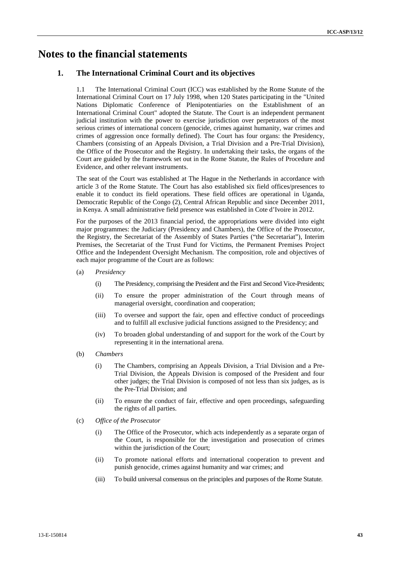# **Notes to the financial statements**

### **1. The International Criminal Court and its objectives**

**EXAMPLE 10: ICA-ASPY AND CONTRAPHE IS A CONSULTER CONSULTER CONSULTER CONSULTER CONSULTER CONSULTER CONSULTER CONSULTER CONSULTER CONSULTER CONSULTER CONSULTER CONSULTER CONSULTER CONSULTER CONSULTER CONSULTER CONSULTE** 1.1 The International Criminal Court (ICC) was established by the Rome Statute of the International Criminal Court on 17 July 1998, when 120 States participating in the "United Nations Diplomatic Conference of Plenipotentiaries on the Establishment of an International Criminal Court" adopted the Statute. The Court is an independent permanent judicial institution with the power to exercise jurisdiction over perpetrators of the most serious crimes of international concern (genocide, crimes against humanity, war crimes and crimes of aggression once formally defined). The Court has four organs: the Presidency, Chambers (consisting of an Appeals Division, a Trial Division and a Pre-Trial Division), the Office of the Prosecutor and the Registry. In undertaking their tasks, the organs of the Court are guided by the framework set out in the Rome Statute, the Rules of Procedure and Evidence, and other relevant instruments.

The seat of the Court was established at The Hague in the Netherlands in accordance with article 3 of the Rome Statute. The Court has also established six field offices/presences to enable it to conduct its field operations. These field offices are operational in Uganda, Democratic Republic of the Congo (2), Central African Republic and since December 2011, in Kenya. A small administrative field presence was established in Cote d'Ivoire in 2012.

For the purposes of the 2013 financial period, the appropriations were divided into eight major programmes: the Judiciary (Presidency and Chambers), the Office of the Prosecutor, the Registry, the Secretariat of the Assembly of States Parties ("the Secretariat"), Interim Premises, the Secretariat of the Trust Fund for Victims, the Permanent Premises Project Office and the Independent Oversight Mechanism. The composition, role and objectives of each major programme of the Court are as follows:

- (a) *Presidency*
	- (i) The Presidency, comprising the President and the First and Second Vice-Presidents;
	- (ii) To ensure the proper administration of the Court through means of managerial oversight, coordination and cooperation;
	- (iii) To oversee and support the fair, open and effective conduct of proceedings and to fulfill all exclusive judicial functions assigned to the Presidency; and
	- (iv) To broaden global understanding of and support for the work of the Court by representing it in the international arena.
- (b) *Chambers*
	- (i) The Chambers, comprising an Appeals Division, a Trial Division and a Pre- Trial Division, the Appeals Division is composed of the President and four other judges; the Trial Division is composed of not less than six judges, as is the Pre-Trial Division; and
	- (ii) To ensure the conduct of fair, effective and open proceedings, safeguarding the rights of all parties.
- (c) *Office of the Prosecutor*
	- (i) The Office of the Prosecutor, which acts independently as a separate organ of the Court, is responsible for the investigation and prosecution of crimes within the jurisdiction of the Court;
	- (ii) To promote national efforts and international cooperation to prevent and punish genocide, crimes against humanity and war crimes; and
	- (iii) To build universal consensus on the principles and purposes of the Rome Statute.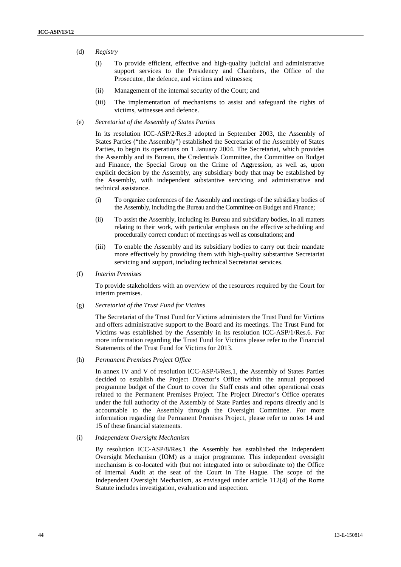#### (d) *Registry*

- (i) To provide efficient, effective and high-quality judicial and administrative support services to the Presidency and Chambers, the Office of the Prosecutor, the defence, and victims and witnesses;
- (ii) Management of the internal security of the Court; and
- (iii) The implementation of mechanisms to assist and safeguard the rights of victims, witnesses and defence.
- (e) *Secretariat of the Assembly of States Parties*

**44**  $\alpha$ -sections 1<br> **44**  $\alpha$ -section and the section and n-p-section points points on a summer sum of  $\alpha$  is the section of the section and the section of the section of the section of the section of the section of  $\$ In its resolution ICC-ASP/2/Res.3 adopted in September 2003, the Assembly of States Parties ("the Assembly") established the Secretariat of the Assembly of States Parties, to begin its operations on 1 January 2004. The Secretariat, which provides the Assembly and its Bureau, the Credentials Committee, the Committee on Budget and Finance, the Special Group on the Crime of Aggression, as well as, upon explicit decision by the Assembly, any subsidiary body that may be established by the Assembly, with independent substantive servicing and administrative and technical assistance.

- (i) To organize conferences of the Assembly and meetings of the subsidiary bodies of the Assembly, including the Bureau and the Committee on Budget and Finance;
- (ii) To assist the Assembly, including its Bureau and subsidiary bodies, in all matters relating to their work, with particular emphasis on the effective scheduling and procedurally correct conduct of meetings as well as consultations; and
- (iii) To enable the Assembly and its subsidiary bodies to carry out their mandate more effectively by providing them with high-quality substantive Secretariat servicing and support, including technical Secretariat services.
- (f) *Interim Premises*

To provide stakeholders with an overview of the resources required by the Court for interim premises.

(g) *Secretariat of the Trust Fund for Victims*

The Secretariat of the Trust Fund for Victims administers the Trust Fund for Victims and offers administrative support to the Board and its meetings. The Trust Fund for Victims was established by the Assembly in its resolution ICC-ASP/1/Res.6. For more information regarding the Trust Fund for Victims please refer to the Financial Statements of the Trust Fund for Victims for 2013.

(h) *Permanent Premises Project Office*

In annex IV and V of resolution ICC-ASP/6/Res,1, the Assembly of States Parties decided to establish the Project Director's Office within the annual proposed programme budget of the Court to cover the Staff costs and other operational costs related to the Permanent Premises Project. The Project Director's Office operates under the full authority of the Assembly of State Parties and reports directly and is accountable to the Assembly through the Oversight Committee. For more information regarding the Permanent Premises Project, please refer to notes 14 and 15 of these financial statements.

(i) *Independent Oversight Mechanism*

By resolution ICC-ASP/8/Res.1 the Assembly has established the Independent Oversight Mechanism (IOM) as a major programme. This independent oversight mechanism is co-located with (but not integrated into or subordinate to) the Office of Internal Audit at the seat of the Court in The Hague. The scope of the Independent Oversight Mechanism, as envisaged under article 112(4) of the Rome Statute includes investigation, evaluation and inspection.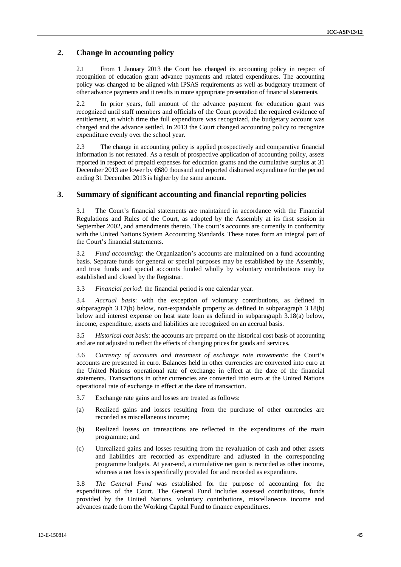### **2. Change in accounting policy**

2.1 From 1 January 2013 the Court has changed its accounting policy in respect of recognition of education grant advance payments and related expenditures. The accounting policy was changed to be aligned with IPSAS requirements as well as budgetary treatment of other advance payments and it results in more appropriate presentation of financial statements.

2.2 In prior years, full amount of the advance payment for education grant was recognized until staff members and officials of the Court provided the required evidence of entitlement, at which time the full expenditure was recognized, the budgetary account was charged and the advance settled. In 2013 the Court changed accounting policy to recognize expenditure evenly over the school year.

2.3 The change in accounting policy is applied prospectively and comparative financial information is not restated. As a result of prospective application of accounting policy, assets reported in respect of prepaid expenses for education grants and the cumulative surplus at 31 December 2013 are lower by €680 thousand and reported disbursed expenditure for the period ending 31 December 2013 is higher by the same amount.

#### **3. Summary of significant accounting and financial reporting policies**

**2. Change fn accounting policy**<br>
2. **Change in accounting policy**<br>
2.2 **Prop.** 15 January 2013 **2x** Cost has changed in accounting policy in maps of  $\alpha$ <br>
measures of stations parameterizes in each experiment in a constr 3.1 The Court's financial statements are maintained in accordance with the Financial Regulations and Rules of the Court, as adopted by the Assembly at its first session in September 2002, and amendments thereto. The court's accounts are currently in conformity with the United Nations System Accounting Standards. These notes form an integral part of the Court's financial statements.

3.2 *Fund accounting*: the Organization's accounts are maintained on a fund accounting basis. Separate funds for general or special purposes may be established by the Assembly, and trust funds and special accounts funded wholly by voluntary contributions may be established and closed by the Registrar.

3.3 *Financial period*: the financial period is one calendar year.

3.4 *Accrual basis*: with the exception of voluntary contributions, as defined in subparagraph 3.17(b) below, non-expandable property as defined in subparagraph 3.18(b) below and interest expense on host state loan as defined in subparagraph 3.18(a) below, income, expenditure, assets and liabilities are recognized on an accrual basis.

3.5 *Historical cost basis*: the accounts are prepared on the historical cost basis of accounting and are not adjusted to reflect the effects of changing prices for goods and services.

3.6 *Currency of accounts and treatment of exchange rate movements*: the Court's accounts are presented in euro. Balances held in other currencies are converted into euro at the United Nations operational rate of exchange in effect at the date of the financial statements. Transactions in other currencies are converted into euro at the United Nations operational rate of exchange in effect at the date of transaction.

- 3.7 Exchange rate gains and losses are treated as follows:
- (a) Realized gains and losses resulting from the purchase of other currencies are recorded as miscellaneous income;
- (b) Realized losses on transactions are reflected in the expenditures of the main programme; and
- (c) Unrealized gains and losses resulting from the revaluation of cash and other assets and liabilities are recorded as expenditure and adjusted in the corresponding programme budgets. At year-end, a cumulative net gain is recorded as other income, whereas a net loss is specifically provided for and recorded as expenditure.

3.8 *The General Fund* was established for the purpose of accounting for the expenditures of the Court. The General Fund includes assessed contributions, funds provided by the United Nations, voluntary contributions, miscellaneous income and advances made from the Working Capital Fund to finance expenditures.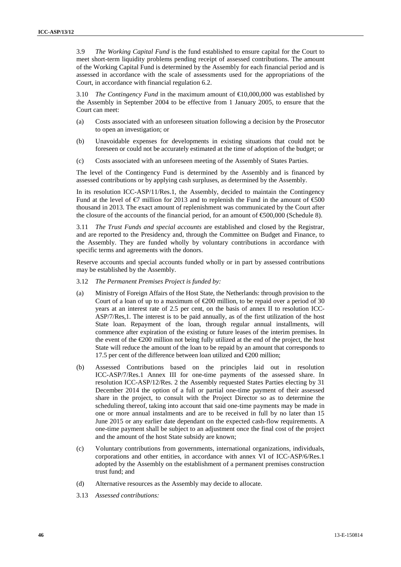3.9 *The Working Capital Fund* is the fund established to ensure capital for the Court to meet short-term liquidity problems pending receipt of assessed contributions. The amount of the Working Capital Fund is determined by the Assembly for each financial period and is assessed in accordance with the scale of assessments used for the appropriations of the Court, in accordance with financial regulation 6.2.

3.10 *The Contingency Fund* in the maximum amount of €10,000,000 was established by the Assembly in September 2004 to be effective from 1 January 2005, to ensure that the Court can meet:

- (a) Costs associated with an unforeseen situation following a decision by the Prosecutor to open an investigation; or
- (b) Unavoidable expenses for developments in existing situations that could not be foreseen or could not be accurately estimated at the time of adoption of the budget; or
- (c) Costs associated with an unforeseen meeting of the Assembly of States Parties.

The level of the Contingency Fund is determined by the Assembly and is financed by assessed contributions or by applying cash surpluses, as determined by the Assembly.

In its resolution ICC-ASP/11/Res.1, the Assembly, decided to maintain the Contingency Fund at the level of  $\epsilon$ 7 million for 2013 and to replenish the Fund in the amount of  $\epsilon$ 500 thousand in 2013. The exact amount of replenishment was communicated by the Court after the closure of the accounts of the financial period, for an amount of  $\epsilon$ 600,000 (Schedule 8).

3.11 *The Trust Funds and special accounts* are established and closed by the Registrar, and are reported to the Presidency and, through the Committee on Budget and Finance, to the Assembly. They are funded wholly by voluntary contributions in accordance with specific terms and agreements with the donors.

Reserve accounts and special accounts funded wholly or in part by assessed contributions may be established by the Assembly.

- 3.12 *The Permanent Premises Project is funded by:*
- (a) Ministry of Foreign Affairs of the Host State, the Netherlands: through provision to the Court of a loan of up to a maximum of  $\epsilon$ 200 million, to be repaid over a period of 30 years at an interest rate of 2.5 per cent, on the basis of annex II to resolution ICC- ASP/7/Res,1. The interest is to be paid annually, as of the first utilization of the host State loan. Repayment of the loan, through regular annual installments, will commence after expiration of the existing or future leases of the interim premises. In the event of the  $\epsilon$ 200 million not being fully utilized at the end of the project, the host State will reduce the amount of the loan to be repaid by an amount that corresponds to 17.5 per cent of the difference between loan utilized and  $\epsilon$ 200 million;
- **ASSEMBLY AND THE VERTIFY AND STRAIN ASSEMBLED AS CONSULTER AND ASSEMBLED AS CONSULTER AND ASSEMBLED AS CONSULTER AND ASSEMBLED AS CONSULTER AND ASSEMBLED AS CONSULTER AND ASSEMBLED AS CONSULTER AND ASSEMBLED AS CONSULTER** (b) Assessed Contributions based on the principles laid out in resolution ICC-ASP/7/Res.1 Annex III for one-time payments of the assessed share. In resolution ICC-ASP/12/Res. 2 the Assembly requested States Parties electing by 31 December 2014 the option of a full or partial one-time payment of their assessed share in the project, to consult with the Project Director so as to determine the scheduling thereof, taking into account that said one-time payments may be made in one or more annual instalments and are to be received in full by no later than 15 June 2015 or any earlier date dependant on the expected cash-flow requirements. A one-time payment shall be subject to an adjustment once the final cost of the project and the amount of the host State subsidy are known;
	- (c) Voluntary contributions from governments, international organizations, individuals, corporations and other entities, in accordance with annex VI of ICC-ASP/6/Res.1 adopted by the Assembly on the establishment of a permanent premises construction trust fund; and
	- (d) Alternative resources as the Assembly may decide to allocate.
	- 3.13 *Assessed contributions:*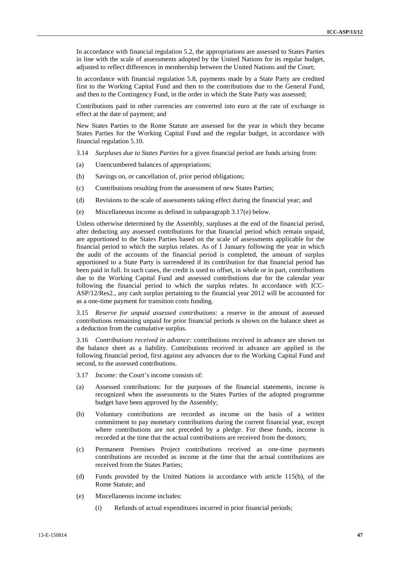In accordance with financial regulation 5.2, the appropriations are assessed to States Parties in line with the scale of assessments adopted by the United Nations for its regular budget, adjusted to reflect differences in membership between the United Nations and the Court;

In accordance with financial regulation 5.8, payments made by a State Party are credited first to the Working Capital Fund and then to the contributions due to the General Fund, and then to the Contingency Fund, in the order in which the State Party was assessed;

Contributions paid in other currencies are converted into euro at the rate of exchange in effect at the date of payment; and

New States Parties to the Rome Statute are assessed for the year in which they became States Parties for the Working Capital Fund and the regular budget, in accordance with financial regulation 5.10.

- 3.14 *Surpluses due to States Parties* for a given financial period are funds arising from:
- (a) Unencumbered balances of appropriations;
- (b) Savings on, or cancellation of, prior period obligations;
- (c) Contributions resulting from the assessment of new States Parties;
- (d) Revisions to the scale of assessments taking effect during the financial year; and
- (e) Miscellaneous income as defined in subparagraph 3.17(e) below.

16) accordings with framework in particular and the approximation and activity of the structure of the structure of the structure of the structure of the structure of the structure of the structure of the structure of the Unless otherwise determined by the Assembly, surpluses at the end of the financial period, after deducting any assessed contributions for that financial period which remain unpaid, are apportioned to the States Parties based on the scale of assessments applicable for the financial period to which the surplus relates. As of 1 January following the year in which the audit of the accounts of the financial period is completed, the amount of surplus apportioned to a State Party is surrendered if its contribution for that financial period has been paid in full. In such cases, the credit is used to offset, in whole or in part, contributions due to the Working Capital Fund and assessed contributions due for the calendar year following the financial period to which the surplus relates. In accordance with ICC- ASP/12/Res2., any cash surplus pertaining to the financial year 2012 will be accounted for as a one-time payment for transition costs funding.

3.15 *Reserve for unpaid assessed contributions:* a reserve in the amount of assessed contributions remaining unpaid for prior financial periods is shown on the balance sheet as a deduction from the cumulative surplus.

3.16 *Contributions received in advance:* contributions received in advance are shown on the balance sheet as a liability. Contributions received in advance are applied in the following financial period, first against any advances due to the Working Capital Fund and second, to the assessed contributions.

3.17 *Income:* the Court's income consists of:

- (a) Assessed contributions: for the purposes of the financial statements, income is recognized when the assessments to the States Parties of the adopted programme budget have been approved by the Assembly;
- (b) Voluntary contributions are recorded as income on the basis of a written commitment to pay monetary contributions during the current financial year, except where contributions are not preceded by a pledge. For these funds, income is recorded at the time that the actual contributions are received from the donors;
- (c) Permanent Premises Project contributions received as one-time payments contributions are recorded as income at the time that the actual contributions are received from the States Parties;
- (d) Funds provided by the United Nations in accordance with article 115(b), of the Rome Statute; and
- (e) Miscellaneous income includes:
	- (i) Refunds of actual expenditures incurred in prior financial periods;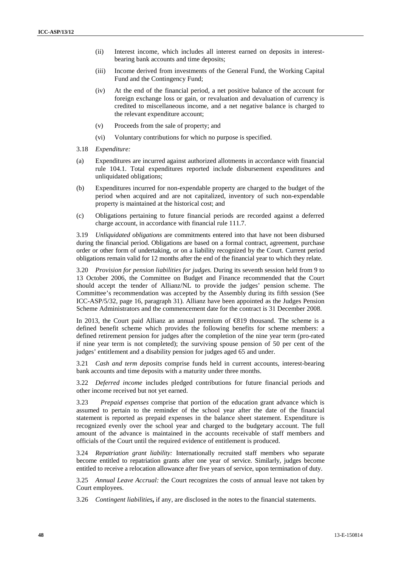- (ii) Interest income, which includes all interest earned on deposits in interest bearing bank accounts and time deposits;
- (iii) Income derived from investments of the General Fund, the Working Capital Fund and the Contingency Fund;
- (iv) At the end of the financial period, a net positive balance of the account for foreign exchange loss or gain, or revaluation and devaluation of currency is credited to miscellaneous income, and a net negative balance is charged to the relevant expenditure account;
- (v) Proceeds from the sale of property; and
- (vi) Voluntary contributions for which no purpose is specified.
- 3.18 *Expenditure:*
- (a) Expenditures are incurred against authorized allotments in accordance with financial rule 104.1. Total expenditures reported include disbursement expenditures and unliquidated obligations;
- (b) Expenditures incurred for non-expendable property are charged to the budget of the period when acquired and are not capitalized, inventory of such non-expendable property is maintained at the historical cost; and
- (c) Obligations pertaining to future financial periods are recorded against a deferred charge account, in accordance with financial rule 111.7.

3.19 *Unliquidated obligations* are commitments entered into that have not been disbursed during the financial period. Obligations are based on a formal contract, agreement, purchase order or other form of undertaking, or on a liability recognized by the Court. Current period obligations remain valid for 12 months after the end of the financial year to which they relate.

3.20 *Provision for pension liabilities for judges.* During its seventh session held from 9 to 13 October 2006, the Committee on Budget and Finance recommended that the Court should accept the tender of Allianz/NL to provide the judges' pension scheme. The Committee's recommendation was accepted by the Assembly during its fifth session (See ICC-ASP/5/32, page 16, paragraph 31). Allianz have been appointed as the Judges Pension Scheme Administrators and the commencement date for the contract is 31 December 2008.

In 2013, the Court paid Allianz an annual premium of €819 thousand. The scheme is a defined benefit scheme which provides the following benefits for scheme members: a defined retirement pension for judges after the completion of the nine year term (pro-rated if nine year term is not completed); the surviving spouse pension of 50 per cent of the judges' entitlement and a disability pension for judges aged 65 and under.

3.21 *Cash and term deposits* comprise funds held in current accounts, interest-bearing bank accounts and time deposits with a maturity under three months.

3.22 *Deferred income* includes pledged contributions for future financial periods and other income received but not yet earned.

**EXAMPELY:**<br> **48** 18 **Example Solution** the simulate ail means cannot an adjoin simulate the simulate of the simulate of the simulate of the simulate of the simulate of the simulate of the simulate of the simulate of the 3.23 *Prepaid expenses* comprise that portion of the education grant advance which is assumed to pertain to the reminder of the school year after the date of the financial statement is reported as prepaid expenses in the balance sheet statement. Expenditure is recognized evenly over the school year and charged to the budgetary account. The full amount of the advance is maintained in the accounts receivable of staff members and officials of the Court until the required evidence of entitlement is produced.

3.24 *Repatriation grant liability:* Internationally recruited staff members who separate become entitled to repatriation grants after one year of service. Similarly, judges become entitled to receive a relocation allowance after five years of service, upon termination of duty.

3.25 *Annual Leave Accrual:* the Court recognizes the costs of annual leave not taken by Court employees.

3.26 *Contingent liabilities***,** if any, are disclosed in the notes to the financial statements.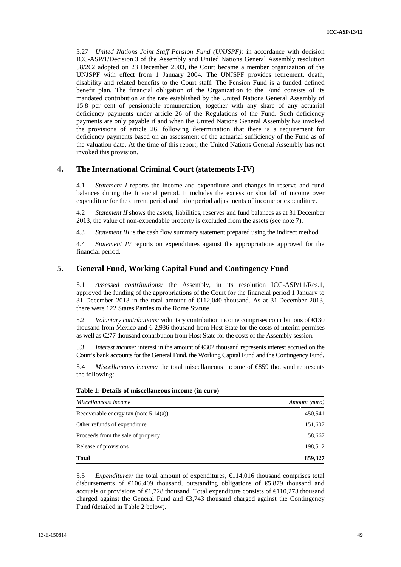13-22 annota American American Spain Formula and 1990 *F*  $\mu$  Constraine with the Constraine Constraine Constraine Constraine Constraine Constraine Constraine Constraine Constraine Constraine Constraine Constraine Constra 3.27 *United Nations Joint Staff Pension Fund (UNJSPF):* in accordance with decision ICC-ASP/1/Decision 3 of the Assembly and United Nations General Assembly resolution 58/262 adopted on 23 December 2003, the Court became a member organization of the UNJSPF with effect from 1 January 2004. The UNJSPF provides retirement, death, disability and related benefits to the Court staff. The Pension Fund is a funded defined benefit plan. The financial obligation of the Organization to the Fund consists of its mandated contribution at the rate established by the United Nations General Assembly of 15.8 per cent of pensionable remuneration, together with any share of any actuarial deficiency payments under article 26 of the Regulations of the Fund. Such deficiency payments are only payable if and when the United Nations General Assembly has invoked the provisions of article 26, following determination that there is a requirement for deficiency payments based on an assessment of the actuarial sufficiency of the Fund as of the valuation date. At the time of this report, the United Nations General Assembly has not invoked this provision.

### **4. The International Criminal Court (statements I-IV)**

4.1 *Statement I* reports the income and expenditure and changes in reserve and fund balances during the financial period. It includes the excess or shortfall of income over expenditure for the current period and prior period adjustments of income or expenditure.

4.2 *Statement II* shows the assets, liabilities, reserves and fund balances as at 31 December 2013, the value of non-expendable property is excluded from the assets (see note 7).

4.3 *Statement III* is the cash flow summary statement prepared using the indirect method.

4.4 *Statement IV* reports on expenditures against the appropriations approved for the financial period.

### **5. General Fund, Working Capital Fund and Contingency Fund**

5.1 *Assessed contributions:* the Assembly, in its resolution ICC-ASP/11/Res.1, approved the funding of the appropriations of the Court for the financial period 1 January to 31 December 2013 in the total amount of  $\bigoplus$  12,040 thousand. As at 31 December 2013, there were 122 States Parties to the Rome Statute.

5.2 *Voluntary contributions:* voluntary contribution income comprises contributions of €130 thousand from Mexico and  $E2,936$  thousand from Host State for the costs of interim permises as well as €277 thousand contribution from Host State for the costs of the Assembly session.

5.3 *Interest income:* interest in the amount of €302 thousand represents interest accrued on the Court's bank accounts for the General Fund, the Working Capital Fund and the Contingency Fund.

5.4 *Miscellaneous income:* the total miscellaneous income of €859 thousand represents the following:

| Miscellaneous income                     | Amount (euro) |
|------------------------------------------|---------------|
| Recoverable energy tax (note $5.14(a)$ ) | 450,541       |
| Other refunds of expenditure             | 151,607       |
| Proceeds from the sale of property       | 58,667        |
| Release of provisions                    | 198,512       |
| <b>Total</b>                             | 859,327       |

**Table 1: Details of miscellaneous income (in euro)**

5.5 *Expenditures:* the total amount of expenditures, €114,016 thousand comprises total disbursements of  $\bigoplus 06,409$  thousand, outstanding obligations of  $\bigoplus$ , 879 thousand and accruals or provisions of  $\epsilon$ 1,728 thousand. Total expenditure consists of  $\epsilon$ 10,273 thousand charged against the General Fund and  $\epsilon$ 3,743 thousand charged against the Contingency Fund (detailed in Table 2 below).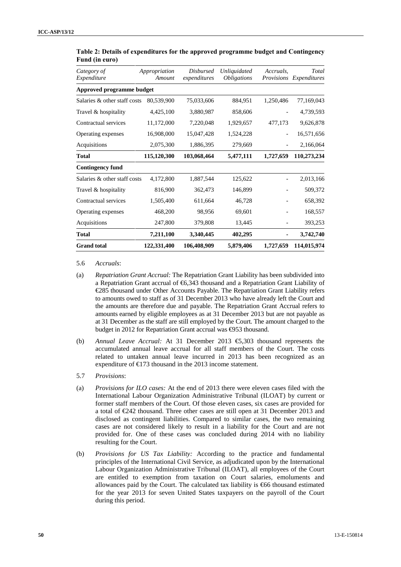|                    | Approved programme budget<br>Salaries & other staff costs                                                                                                                                                                                                                                                                                                                                                                                                                                                                                                                                                                                                                                                                                                                                                                                                                                                                                                                                                                                                                                                                                                                                                                                                                                                                                                                                                                                    |             |             |                                                                           |           |                       |
|--------------------|----------------------------------------------------------------------------------------------------------------------------------------------------------------------------------------------------------------------------------------------------------------------------------------------------------------------------------------------------------------------------------------------------------------------------------------------------------------------------------------------------------------------------------------------------------------------------------------------------------------------------------------------------------------------------------------------------------------------------------------------------------------------------------------------------------------------------------------------------------------------------------------------------------------------------------------------------------------------------------------------------------------------------------------------------------------------------------------------------------------------------------------------------------------------------------------------------------------------------------------------------------------------------------------------------------------------------------------------------------------------------------------------------------------------------------------------|-------------|-------------|---------------------------------------------------------------------------|-----------|-----------------------|
|                    |                                                                                                                                                                                                                                                                                                                                                                                                                                                                                                                                                                                                                                                                                                                                                                                                                                                                                                                                                                                                                                                                                                                                                                                                                                                                                                                                                                                                                                              |             |             |                                                                           |           |                       |
|                    |                                                                                                                                                                                                                                                                                                                                                                                                                                                                                                                                                                                                                                                                                                                                                                                                                                                                                                                                                                                                                                                                                                                                                                                                                                                                                                                                                                                                                                              | 80,539,900  | 75,033,606  | 884,951                                                                   | 1,250,486 | 77,169,043            |
|                    | Travel & hospitality                                                                                                                                                                                                                                                                                                                                                                                                                                                                                                                                                                                                                                                                                                                                                                                                                                                                                                                                                                                                                                                                                                                                                                                                                                                                                                                                                                                                                         | 4,425,100   | 3,880,987   | 858,606                                                                   |           | 4,739,593             |
|                    | Contractual services                                                                                                                                                                                                                                                                                                                                                                                                                                                                                                                                                                                                                                                                                                                                                                                                                                                                                                                                                                                                                                                                                                                                                                                                                                                                                                                                                                                                                         | 11,172,000  | 7,220,048   | 1,929,657                                                                 | 477,173   | 9,626,878             |
|                    | Operating expenses                                                                                                                                                                                                                                                                                                                                                                                                                                                                                                                                                                                                                                                                                                                                                                                                                                                                                                                                                                                                                                                                                                                                                                                                                                                                                                                                                                                                                           | 16,908,000  | 15,047,428  | 1,524,228                                                                 |           | 16,571,656            |
| Acquisitions       |                                                                                                                                                                                                                                                                                                                                                                                                                                                                                                                                                                                                                                                                                                                                                                                                                                                                                                                                                                                                                                                                                                                                                                                                                                                                                                                                                                                                                                              | 2,075,300   | 1,886,395   | 279,669                                                                   |           | 2,166,064             |
| <b>Total</b>       |                                                                                                                                                                                                                                                                                                                                                                                                                                                                                                                                                                                                                                                                                                                                                                                                                                                                                                                                                                                                                                                                                                                                                                                                                                                                                                                                                                                                                                              | 115,120,300 | 103,068,464 | 5,477,111                                                                 |           | 1,727,659 110,273,234 |
|                    | <b>Contingency fund</b>                                                                                                                                                                                                                                                                                                                                                                                                                                                                                                                                                                                                                                                                                                                                                                                                                                                                                                                                                                                                                                                                                                                                                                                                                                                                                                                                                                                                                      |             |             |                                                                           |           |                       |
|                    | Salaries & other staff costs                                                                                                                                                                                                                                                                                                                                                                                                                                                                                                                                                                                                                                                                                                                                                                                                                                                                                                                                                                                                                                                                                                                                                                                                                                                                                                                                                                                                                 | 4,172,800   | 1,887,544   | 125,622                                                                   |           | 2,013,166             |
|                    | Travel & hospitality                                                                                                                                                                                                                                                                                                                                                                                                                                                                                                                                                                                                                                                                                                                                                                                                                                                                                                                                                                                                                                                                                                                                                                                                                                                                                                                                                                                                                         | 816,900     | 362,473     | 146,899                                                                   |           | 509,372               |
|                    | Contractual services                                                                                                                                                                                                                                                                                                                                                                                                                                                                                                                                                                                                                                                                                                                                                                                                                                                                                                                                                                                                                                                                                                                                                                                                                                                                                                                                                                                                                         | 1,505,400   | 611,664     | 46,728                                                                    |           | 658,392               |
|                    | Operating expenses                                                                                                                                                                                                                                                                                                                                                                                                                                                                                                                                                                                                                                                                                                                                                                                                                                                                                                                                                                                                                                                                                                                                                                                                                                                                                                                                                                                                                           | 468,200     | 98,956      | 69,601                                                                    |           | 168,557               |
| Acquisitions       |                                                                                                                                                                                                                                                                                                                                                                                                                                                                                                                                                                                                                                                                                                                                                                                                                                                                                                                                                                                                                                                                                                                                                                                                                                                                                                                                                                                                                                              | 247,800     | 379,808     | 13,445                                                                    |           | 393,253               |
| <b>Total</b>       |                                                                                                                                                                                                                                                                                                                                                                                                                                                                                                                                                                                                                                                                                                                                                                                                                                                                                                                                                                                                                                                                                                                                                                                                                                                                                                                                                                                                                                              | 7,211,100   | 3,340,445   | 402,295                                                                   |           | 3,742,740             |
| <b>Grand</b> total |                                                                                                                                                                                                                                                                                                                                                                                                                                                                                                                                                                                                                                                                                                                                                                                                                                                                                                                                                                                                                                                                                                                                                                                                                                                                                                                                                                                                                                              | 122,331,400 | 106,408,909 | 5,879,406                                                                 |           | 1,727,659 114,015,974 |
| (b)<br>5.7<br>(a)  | to amounts owed to staff as of 31 December 2013 who have already left the Court and<br>the amounts are therefore due and payable. The Repatriation Grant Accrual refers to<br>amounts earned by eligible employees as at 31 December 2013 but are not payable as<br>at 31 December as the staff are still employed by the Court. The amount charged to the<br>budget in 2012 for Repatriation Grant accrual was ⊕53 thousand.<br>Annual Leave Accrual: At 31 December 2013 $\text{\textsterling}5,303$ thousand represents the<br>accumulated annual leave accrual for all staff members of the Court. The costs<br>related to untaken annual leave incurred in 2013 has been recognized as an<br>expenditure of $\epsilon$ 173 thousand in the 2013 income statement.<br>Provisions:<br><i>Provisions for ILO cases:</i> At the end of 2013 there were eleven cases filed with the<br>International Labour Organization Administrative Tribunal (ILOAT) by current or<br>former staff members of the Court. Of those eleven cases, six cases are provided for<br>a total of $E42$ thousand. Three other cases are still open at 31 December 2013 and<br>disclosed as contingent liabilities. Compared to similar cases, the two remaining<br>cases are not considered likely to result in a liability for the Court and are not<br>provided for. One of these cases was concluded during 2014 with no liability<br>resulting for the Court. |             |             |                                                                           |           |                       |
| (b)                | Provisions for US Tax Liability: According to the practice and fundamental<br>principles of the International Civil Service, as adjudicated upon by the International<br>Labour Organization Administrative Tribunal (ILOAT), all employees of the Court                                                                                                                                                                                                                                                                                                                                                                                                                                                                                                                                                                                                                                                                                                                                                                                                                                                                                                                                                                                                                                                                                                                                                                                     |             |             | are entitled to exemption from taxation on Court salaries, emoluments and |           |                       |

**Table 2: Details of expenditures for the approved programme budget and Contingency Fund (in euro)**

#### 5.6 *Accruals*:

- (a) *Repatriation Grant Accrual:* The Repatriation Grant Liability has been subdivided into a Repatriation Grant accrual of €6,343 thousand and a Repatriation Grant Liability of €285 thousand under Other Accounts Payable. The Repatriation Grant Liability refers to amounts owed to staff as of 31 December 2013 who have already left the Court and the amounts are therefore due and payable. The Repatriation Grant Accrual refers to amounts earned by eligible employees as at 31 December 2013 but are not payable as at 31 December as the staff are still employed by the Court. The amount charged to the budget in 2012 for Repatriation Grant accrual was €953 thousand.
- (b) *Annual Leave Accrual:* At 31 December 2013 €5,303 thousand represents the accumulated annual leave accrual for all staff members of the Court. The costs related to untaken annual leave incurred in 2013 has been recognized as an expenditure of  $\text{E}73$  thousand in the 2013 income statement.
- 5.7 *Provisions*:
- (a) *Provisions for ILO cases:* At the end of 2013 there were eleven cases filed with the International Labour Organization Administrative Tribunal (ILOAT) by current or former staff members of the Court. Of those eleven cases, six cases are provided for a total of €242 thousand. Three other cases are still open at 31 December 2013 and disclosed as contingent liabilities. Compared to similar cases, the two remaining cases are not considered likely to result in a liability for the Court and are not provided for. One of these cases was concluded during 2014 with no liability resulting for the Court.
- (b) *Provisions for US Tax Liability:* According to the practice and fundamental principles of the International Civil Service, as adjudicated upon by the International Labour Organization Administrative Tribunal (ILOAT), all employees of the Court are entitled to exemption from taxation on Court salaries, emoluments and allowances paid by the Court. The calculated tax liability is €66 thousand estimated for the year 2013 for seven United States taxpayers on the payroll of the Court during this period.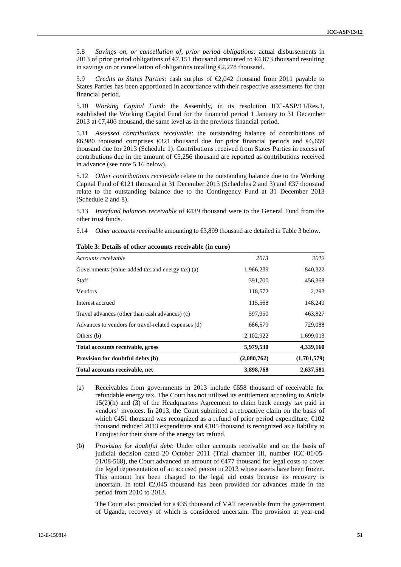|             | 5.8        | Savings on, or cancellation of, prior period obligations: actual disbursements in<br>2013 of prior period obligations of $\epsilon$ , 151 thousand amounted to $\epsilon$ 4,873 thousand resulting<br>in savings on or cancellation of obligations totalling $\epsilon$ 2,278 thousand.                                                                                                                                                                                                                                                                                                                            |             |             |    |
|-------------|------------|--------------------------------------------------------------------------------------------------------------------------------------------------------------------------------------------------------------------------------------------------------------------------------------------------------------------------------------------------------------------------------------------------------------------------------------------------------------------------------------------------------------------------------------------------------------------------------------------------------------------|-------------|-------------|----|
|             | 5.9        | <i>Credits to States Parties:</i> cash surplus of $\bigoplus$ , 042 thousand from 2011 payable to<br>States Parties has been apportioned in accordance with their respective assessments for that<br>financial period.                                                                                                                                                                                                                                                                                                                                                                                             |             |             |    |
|             |            | 5.10 Working Capital Fund: the Assembly, in its resolution ICC-ASP/11/Res.1,<br>established the Working Capital Fund for the financial period 1 January to 31 December<br>2013 at $\epsilon$ 7,406 thousand, the same level as in the previous financial period.                                                                                                                                                                                                                                                                                                                                                   |             |             |    |
|             |            | 5.11 Assessed contributions receivable: the outstanding balance of contributions of<br>€6,980 thousand comprises €321 thousand due for prior financial periods and €6,659<br>thousand due for 2013 (Schedule 1). Contributions received from States Parties in excess of<br>contributions due in the amount of $\epsilon$ ,256 thousand are reported as contributions received<br>in advance (see note 5.16 below).                                                                                                                                                                                                |             |             |    |
|             |            | 5.12 Other contributions receivable relate to the outstanding balance due to the Working<br>Capital Fund of $\bigoplus$ 21 thousand at 31 December 2013 (Schedules 2 and 3) and $\bigoplus$ 7 thousand<br>relate to the outstanding balance due to the Contingency Fund at 31 December 2013<br>(Schedule 2 and 8).                                                                                                                                                                                                                                                                                                 |             |             |    |
|             |            | 5.13 Interfund balances receivable of $\bigoplus$ 439 thousand were to the General Fund from the<br>other trust funds.                                                                                                                                                                                                                                                                                                                                                                                                                                                                                             |             |             |    |
|             | 5.14       | Other accounts receivable amounting to $\bigoplus$ , 899 thousand are detailed in Table 3 below.                                                                                                                                                                                                                                                                                                                                                                                                                                                                                                                   |             |             |    |
|             |            | Table 3: Details of other accounts receivable (in euro)                                                                                                                                                                                                                                                                                                                                                                                                                                                                                                                                                            |             |             |    |
|             |            | Accounts receivable                                                                                                                                                                                                                                                                                                                                                                                                                                                                                                                                                                                                | 2013        | 2012        |    |
|             |            | Governments (value-added tax and energy tax) (a)                                                                                                                                                                                                                                                                                                                                                                                                                                                                                                                                                                   | 1,966,239   | 840,322     |    |
|             | Staff      |                                                                                                                                                                                                                                                                                                                                                                                                                                                                                                                                                                                                                    | 391,700     | 456,368     |    |
|             | Vendors    |                                                                                                                                                                                                                                                                                                                                                                                                                                                                                                                                                                                                                    | 118,572     | 2,293       |    |
|             |            | Interest accrued                                                                                                                                                                                                                                                                                                                                                                                                                                                                                                                                                                                                   | 115,568     | 148,249     |    |
|             |            | Travel advances (other than cash advances) (c)                                                                                                                                                                                                                                                                                                                                                                                                                                                                                                                                                                     | 597,950     | 463,827     |    |
|             |            | Advances to vendors for travel-related expenses (d)                                                                                                                                                                                                                                                                                                                                                                                                                                                                                                                                                                | 686,579     | 729,088     |    |
|             | Others (b) |                                                                                                                                                                                                                                                                                                                                                                                                                                                                                                                                                                                                                    | 2,102,922   | 1,699,013   |    |
|             |            | Total accounts receivable, gross                                                                                                                                                                                                                                                                                                                                                                                                                                                                                                                                                                                   | 5,979,530   | 4,339,160   |    |
|             |            | Provision for doubtful debts (b)                                                                                                                                                                                                                                                                                                                                                                                                                                                                                                                                                                                   | (2,080,762) | (1,701,579) |    |
|             |            | Total accounts receivable, net                                                                                                                                                                                                                                                                                                                                                                                                                                                                                                                                                                                     | 3,898,768   | 2,637,581   |    |
|             | (a)        | Receivables from governments in 2013 include $658$ thousand of receivable for<br>refundable energy tax. The Court has not utilized its entitlement according to Article<br>$15(2)(h)$ and (3) of the Headquarters Agreement to claim back energy tax paid in<br>vendors' invoices. In 2013, the Court submitted a retroactive claim on the basis of<br>which $\epsilon$ 451 thousand was recognized as a refund of prior period expenditure, $\epsilon$ 102<br>thousand reduced 2013 expenditure and $\bigoplus$ 05 thousand is recognized as a liability to<br>Eurojust for their share of the energy tax refund. |             |             |    |
|             | (b)        | Provision for doubtful debt: Under other accounts receivable and on the basis of<br>judicial decision dated 20 October 2011 (Trial chamber III, number ICC-01/05-<br>01/08-568), the Court advanced an amount of $\bigoplus$ 477 thousand for legal costs to cover<br>the legal representation of an accused person in 2013 whose assets have been frozen.<br>This amount has been charged to the legal aid costs because its recovery is<br>uncertain. In total $\epsilon$ 2,045 thousand has been provided for advances made in the<br>period from 2010 to 2013.                                                 |             |             |    |
|             |            | The Court also provided for a $\text{\textsterling}5$ thousand of VAT receivable from the government<br>of Uganda, recovery of which is considered uncertain. The provision at year-end                                                                                                                                                                                                                                                                                                                                                                                                                            |             |             |    |
| 13-E-150814 |            |                                                                                                                                                                                                                                                                                                                                                                                                                                                                                                                                                                                                                    |             |             | 51 |

**Table 3: Details of other accounts receivable (in euro)**

- (a) Receivables from governments in 2013 include  $658$  thousand of receivable for refundable energy tax. The Court has not utilized its entitlement according to Article 15(2)(h) and (3) of the Headquarters Agreement to claim back energy tax paid in vendors' invoices. In 2013, the Court submitted a retroactive claim on the basis of which  $\epsilon$ 451 thousand was recognized as a refund of prior period expenditure,  $\epsilon$ 102 thousand reduced 2013 expenditure and  $\bigoplus$  05 thousand is recognized as a liability to Eurojust for their share of the energy tax refund.
- (b) *Provision for doubtful debt*: Under other accounts receivable and on the basis of judicial decision dated 20 October 2011 (Trial chamber III, number ICC-01/05- 01/08-568), the Court advanced an amount of  $\bigoplus$  477 thousand for legal costs to cover the legal representation of an accused person in 2013 whose assets have been frozen. This amount has been charged to the legal aid costs because its recovery is uncertain. In total €2,045 thousand has been provided for advances made in the period from 2010 to 2013.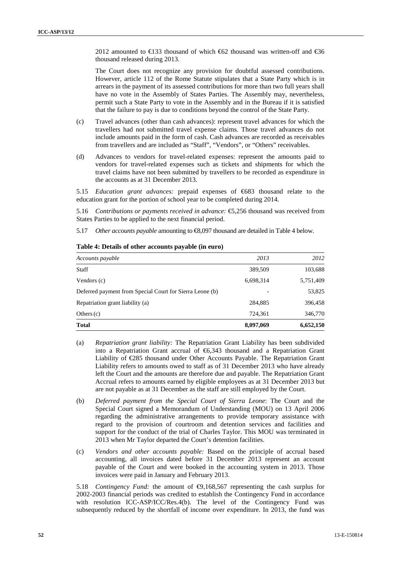- (c) Travel advances (other than cash advances): represent travel advances for which the travellers had not submitted travel expense claims. Those travel advances do not include amounts paid in the form of cash. Cash advances are recorded as receivables from travellers and are included as "Staff", "Vendors", or "Others" receivables.
- (d) Advances to vendors for travel-related expenses: represent the amounts paid to vendors for travel-related expenses such as tickets and shipments for which the travel claims have not been submitted by travellers to be recorded as expenditure in the accounts as at 31 December 2013.

| 2012 amounted to $\in$ 33 thousand of which $\in$ 2 thousand was written-off and $\in$ 66<br>thousand released during 2013.<br>The Court does not recognize any provision for doubtful assessed contributions.<br>However, article 112 of the Rome Statute stipulates that a State Party which is in<br>arrears in the payment of its assessed contributions for more than two full years shall<br>have no vote in the Assembly of States Parties. The Assembly may, nevertheless,<br>permit such a State Party to vote in the Assembly and in the Bureau if it is satisfied<br>that the failure to pay is due to conditions beyond the control of the State Party.<br>Travel advances (other than cash advances): represent travel advances for which the<br>(c)<br>travellers had not submitted travel expense claims. Those travel advances do not<br>include amounts paid in the form of cash. Cash advances are recorded as receivables<br>from travellers and are included as "Staff", "Vendors", or "Others" receivables.<br>Advances to vendors for travel-related expenses: represent the amounts paid to<br>(d)<br>vendors for travel-related expenses such as tickets and shipments for which the<br>travel claims have not been submitted by travellers to be recorded as expenditure in<br>the accounts as at 31 December 2013.<br>5.15 <i>Education grant advances:</i> prepaid expenses of $683$ thousand relate to the<br>education grant for the portion of school year to be completed during 2014.<br>Contributions or payments received in advance: $\epsilon$ ,256 thousand was received from<br>5.16<br>States Parties to be applied to the next financial period.<br>Other accounts payable amounting to $\textcircled{4}$ ,097 thousand are detailed in Table 4 below.<br>5.17<br>Table 4: Details of other accounts payable (in euro)<br>2013<br>2012<br>Accounts payable<br>Staff<br>103,688<br>389,509<br>6,698,314<br>Vendors (c)<br>5,751,409<br>Deferred payment from Special Court for Sierra Leone (b)<br>53,825<br>284,885<br>Repatriation grant liability (a)<br>396,458<br>724,361<br>346,770<br>Others $(c)$<br>8,097,069<br>6,652,150<br><b>Total</b><br>Repatriation grant liability: The Repatriation Grant Liability has been subdivided<br>(a)<br>into a Repatriation Grant accrual of 66,343 thousand and a Repatriation Grant<br>Liability of €285 thousand under Other Accounts Payable. The Repatriation Grant<br>Liability refers to amounts owed to staff as of 31 December 2013 who have already<br>left the Court and the amounts are therefore due and payable. The Repatriation Grant<br>Accrual refers to amounts earned by eligible employees as at 31 December 2013 but<br>are not payable as at 31 December as the staff are still employed by the Court.<br>Deferred payment from the Special Court of Sierra Leone: The Court and the<br>(b)<br>Special Court signed a Memorandum of Understanding (MOU) on 13 April 2006<br>regarding the administrative arrangements to provide temporary assistance with<br>regard to the provision of courtroom and detention services and facilities and | <b>ICC-ASP/13/12</b> |  |             |  |
|--------------------------------------------------------------------------------------------------------------------------------------------------------------------------------------------------------------------------------------------------------------------------------------------------------------------------------------------------------------------------------------------------------------------------------------------------------------------------------------------------------------------------------------------------------------------------------------------------------------------------------------------------------------------------------------------------------------------------------------------------------------------------------------------------------------------------------------------------------------------------------------------------------------------------------------------------------------------------------------------------------------------------------------------------------------------------------------------------------------------------------------------------------------------------------------------------------------------------------------------------------------------------------------------------------------------------------------------------------------------------------------------------------------------------------------------------------------------------------------------------------------------------------------------------------------------------------------------------------------------------------------------------------------------------------------------------------------------------------------------------------------------------------------------------------------------------------------------------------------------------------------------------------------------------------------------------------------------------------------------------------------------------------------------------------------------------------------------------------------------------------------------------------------------------------------------------------------------------------------------------------------------------------------------------------------------------------------------------------------------------------------------------------------------------------------------------------------------------------------------------------------------------------------------------------------------------------------------------------------------------------------------------------------------------------------------------------------------------------------------------------------------------------------------------------------------------------------------------------------------------------------------------------------------------------------------------------------------------------------------------------------------------------------------------------------------------------------------------------------------------------------------------------|----------------------|--|-------------|--|
|                                                                                                                                                                                                                                                                                                                                                                                                                                                                                                                                                                                                                                                                                                                                                                                                                                                                                                                                                                                                                                                                                                                                                                                                                                                                                                                                                                                                                                                                                                                                                                                                                                                                                                                                                                                                                                                                                                                                                                                                                                                                                                                                                                                                                                                                                                                                                                                                                                                                                                                                                                                                                                                                                                                                                                                                                                                                                                                                                                                                                                                                                                                                                        |                      |  |             |  |
|                                                                                                                                                                                                                                                                                                                                                                                                                                                                                                                                                                                                                                                                                                                                                                                                                                                                                                                                                                                                                                                                                                                                                                                                                                                                                                                                                                                                                                                                                                                                                                                                                                                                                                                                                                                                                                                                                                                                                                                                                                                                                                                                                                                                                                                                                                                                                                                                                                                                                                                                                                                                                                                                                                                                                                                                                                                                                                                                                                                                                                                                                                                                                        |                      |  |             |  |
|                                                                                                                                                                                                                                                                                                                                                                                                                                                                                                                                                                                                                                                                                                                                                                                                                                                                                                                                                                                                                                                                                                                                                                                                                                                                                                                                                                                                                                                                                                                                                                                                                                                                                                                                                                                                                                                                                                                                                                                                                                                                                                                                                                                                                                                                                                                                                                                                                                                                                                                                                                                                                                                                                                                                                                                                                                                                                                                                                                                                                                                                                                                                                        |                      |  |             |  |
|                                                                                                                                                                                                                                                                                                                                                                                                                                                                                                                                                                                                                                                                                                                                                                                                                                                                                                                                                                                                                                                                                                                                                                                                                                                                                                                                                                                                                                                                                                                                                                                                                                                                                                                                                                                                                                                                                                                                                                                                                                                                                                                                                                                                                                                                                                                                                                                                                                                                                                                                                                                                                                                                                                                                                                                                                                                                                                                                                                                                                                                                                                                                                        |                      |  |             |  |
|                                                                                                                                                                                                                                                                                                                                                                                                                                                                                                                                                                                                                                                                                                                                                                                                                                                                                                                                                                                                                                                                                                                                                                                                                                                                                                                                                                                                                                                                                                                                                                                                                                                                                                                                                                                                                                                                                                                                                                                                                                                                                                                                                                                                                                                                                                                                                                                                                                                                                                                                                                                                                                                                                                                                                                                                                                                                                                                                                                                                                                                                                                                                                        |                      |  |             |  |
|                                                                                                                                                                                                                                                                                                                                                                                                                                                                                                                                                                                                                                                                                                                                                                                                                                                                                                                                                                                                                                                                                                                                                                                                                                                                                                                                                                                                                                                                                                                                                                                                                                                                                                                                                                                                                                                                                                                                                                                                                                                                                                                                                                                                                                                                                                                                                                                                                                                                                                                                                                                                                                                                                                                                                                                                                                                                                                                                                                                                                                                                                                                                                        |                      |  |             |  |
|                                                                                                                                                                                                                                                                                                                                                                                                                                                                                                                                                                                                                                                                                                                                                                                                                                                                                                                                                                                                                                                                                                                                                                                                                                                                                                                                                                                                                                                                                                                                                                                                                                                                                                                                                                                                                                                                                                                                                                                                                                                                                                                                                                                                                                                                                                                                                                                                                                                                                                                                                                                                                                                                                                                                                                                                                                                                                                                                                                                                                                                                                                                                                        |                      |  |             |  |
|                                                                                                                                                                                                                                                                                                                                                                                                                                                                                                                                                                                                                                                                                                                                                                                                                                                                                                                                                                                                                                                                                                                                                                                                                                                                                                                                                                                                                                                                                                                                                                                                                                                                                                                                                                                                                                                                                                                                                                                                                                                                                                                                                                                                                                                                                                                                                                                                                                                                                                                                                                                                                                                                                                                                                                                                                                                                                                                                                                                                                                                                                                                                                        |                      |  |             |  |
|                                                                                                                                                                                                                                                                                                                                                                                                                                                                                                                                                                                                                                                                                                                                                                                                                                                                                                                                                                                                                                                                                                                                                                                                                                                                                                                                                                                                                                                                                                                                                                                                                                                                                                                                                                                                                                                                                                                                                                                                                                                                                                                                                                                                                                                                                                                                                                                                                                                                                                                                                                                                                                                                                                                                                                                                                                                                                                                                                                                                                                                                                                                                                        |                      |  |             |  |
|                                                                                                                                                                                                                                                                                                                                                                                                                                                                                                                                                                                                                                                                                                                                                                                                                                                                                                                                                                                                                                                                                                                                                                                                                                                                                                                                                                                                                                                                                                                                                                                                                                                                                                                                                                                                                                                                                                                                                                                                                                                                                                                                                                                                                                                                                                                                                                                                                                                                                                                                                                                                                                                                                                                                                                                                                                                                                                                                                                                                                                                                                                                                                        |                      |  |             |  |
|                                                                                                                                                                                                                                                                                                                                                                                                                                                                                                                                                                                                                                                                                                                                                                                                                                                                                                                                                                                                                                                                                                                                                                                                                                                                                                                                                                                                                                                                                                                                                                                                                                                                                                                                                                                                                                                                                                                                                                                                                                                                                                                                                                                                                                                                                                                                                                                                                                                                                                                                                                                                                                                                                                                                                                                                                                                                                                                                                                                                                                                                                                                                                        |                      |  |             |  |
|                                                                                                                                                                                                                                                                                                                                                                                                                                                                                                                                                                                                                                                                                                                                                                                                                                                                                                                                                                                                                                                                                                                                                                                                                                                                                                                                                                                                                                                                                                                                                                                                                                                                                                                                                                                                                                                                                                                                                                                                                                                                                                                                                                                                                                                                                                                                                                                                                                                                                                                                                                                                                                                                                                                                                                                                                                                                                                                                                                                                                                                                                                                                                        |                      |  |             |  |
|                                                                                                                                                                                                                                                                                                                                                                                                                                                                                                                                                                                                                                                                                                                                                                                                                                                                                                                                                                                                                                                                                                                                                                                                                                                                                                                                                                                                                                                                                                                                                                                                                                                                                                                                                                                                                                                                                                                                                                                                                                                                                                                                                                                                                                                                                                                                                                                                                                                                                                                                                                                                                                                                                                                                                                                                                                                                                                                                                                                                                                                                                                                                                        |                      |  |             |  |
|                                                                                                                                                                                                                                                                                                                                                                                                                                                                                                                                                                                                                                                                                                                                                                                                                                                                                                                                                                                                                                                                                                                                                                                                                                                                                                                                                                                                                                                                                                                                                                                                                                                                                                                                                                                                                                                                                                                                                                                                                                                                                                                                                                                                                                                                                                                                                                                                                                                                                                                                                                                                                                                                                                                                                                                                                                                                                                                                                                                                                                                                                                                                                        |                      |  |             |  |
|                                                                                                                                                                                                                                                                                                                                                                                                                                                                                                                                                                                                                                                                                                                                                                                                                                                                                                                                                                                                                                                                                                                                                                                                                                                                                                                                                                                                                                                                                                                                                                                                                                                                                                                                                                                                                                                                                                                                                                                                                                                                                                                                                                                                                                                                                                                                                                                                                                                                                                                                                                                                                                                                                                                                                                                                                                                                                                                                                                                                                                                                                                                                                        |                      |  |             |  |
|                                                                                                                                                                                                                                                                                                                                                                                                                                                                                                                                                                                                                                                                                                                                                                                                                                                                                                                                                                                                                                                                                                                                                                                                                                                                                                                                                                                                                                                                                                                                                                                                                                                                                                                                                                                                                                                                                                                                                                                                                                                                                                                                                                                                                                                                                                                                                                                                                                                                                                                                                                                                                                                                                                                                                                                                                                                                                                                                                                                                                                                                                                                                                        |                      |  |             |  |
|                                                                                                                                                                                                                                                                                                                                                                                                                                                                                                                                                                                                                                                                                                                                                                                                                                                                                                                                                                                                                                                                                                                                                                                                                                                                                                                                                                                                                                                                                                                                                                                                                                                                                                                                                                                                                                                                                                                                                                                                                                                                                                                                                                                                                                                                                                                                                                                                                                                                                                                                                                                                                                                                                                                                                                                                                                                                                                                                                                                                                                                                                                                                                        |                      |  |             |  |
| invoices were paid in January and February 2013.<br>5.18 <i>Contingency Fund:</i> the amount of $\Theta$ , 168, 567 representing the cash surplus for<br>2002-2003 financial periods was credited to establish the Contingency Fund in accordance<br>with resolution ICC-ASP/ICC/Res.4(b). The level of the Contingency Fund was<br>subsequently reduced by the shortfall of income over expenditure. In 2013, the fund was                                                                                                                                                                                                                                                                                                                                                                                                                                                                                                                                                                                                                                                                                                                                                                                                                                                                                                                                                                                                                                                                                                                                                                                                                                                                                                                                                                                                                                                                                                                                                                                                                                                                                                                                                                                                                                                                                                                                                                                                                                                                                                                                                                                                                                                                                                                                                                                                                                                                                                                                                                                                                                                                                                                            |                      |  | 13-E-150814 |  |

**Table 4: Details of other accounts payable (in euro)**

- (a) *Repatriation grant liability:* The Repatriation Grant Liability has been subdivided into a Repatriation Grant accrual of €6,343 thousand and a Repatriation Grant Liability of €285 thousand under Other Accounts Payable. The Repatriation Grant Liability refers to amounts owed to staff as of 31 December 2013 who have already left the Court and the amounts are therefore due and payable. The Repatriation Grant Accrual refers to amounts earned by eligible employees as at 31 December 2013 but are not payable as at 31 December as the staff are still employed by the Court.
- (b) *Deferred payment from the Special Court of Sierra Leone*: The Court and the Special Court signed a Memorandum of Understanding (MOU) on 13 April 2006 regarding the administrative arrangements to provide temporary assistance with regard to the provision of courtroom and detention services and facilities and support for the conduct of the trial of Charles Taylor. This MOU was terminated in 2013 when Mr Taylor departed the Court's detention facilities.
- (c) *Vendors and other accounts payable:* Based on the principle of accrual based accounting, all invoices dated before 31 December 2013 represent an account payable of the Court and were booked in the accounting system in 2013. Those invoices were paid in January and February 2013.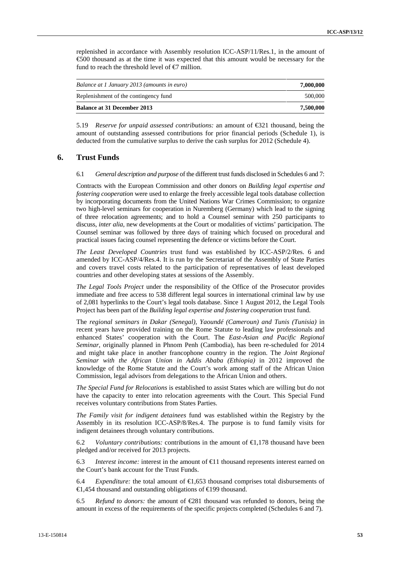replenished in accordance with Assembly resolution ICC-ASP/11/Res.1, in the amount of €500 thousand as at the time it was expected that this amount would be necessary for the fund to reach the threshold level of  $\epsilon$  million.

| Balance at 1 January 2013 (amounts in euro) | 7,000,000 |
|---------------------------------------------|-----------|
| Replenishment of the contingency fund       | 500,000   |
| <b>Balance at 31 December 2013</b>          | 7.500.000 |

5.19 *Reserve for unpaid assessed contributions:* an amount of €321 thousand, being the amount of outstanding assessed contributions for prior financial periods (Schedule 1), is deducted from the cumulative surplus to derive the cash surplus for 2012 (Schedule 4).

### **6. Trust Funds**

6.1 *General description and purpose* of the different trust funds disclosed in Schedules 6 and 7:

**Example in the content with A vectoring contents (CASP).13641. In the animal set of the state of the state of the state of the state of the state of the state of the state of the state of the state of the state of the st** Contracts with the European Commission and other donors on *Building legal expertise and fostering cooperation* were used to enlarge the freely accessible legal tools database collection by incorporating documents from the United Nations War Crimes Commission; to organize two high-level seminars for cooperation in Nuremberg (Germany) which lead to the signing of three relocation agreements; and to hold a Counsel seminar with 250 participants to discuss, *inter alia*, new developments at the Court or modalities of victims' participation. The Counsel seminar was followed by three days of training which focused on procedural and practical issues facing counsel representing the defence or victims before the Court.

*The Least Developed Countries* trust fund was established by ICC-ASP/2/Res. 6 and amended by ICC-ASP/4/Res.4. It is run by the Secretariat of the Assembly of State Parties and covers travel costs related to the participation of representatives of least developed countries and other developing states at sessions of the Assembly.

*The Legal Tools Project* under the responsibility of the Office of the Prosecutor provides immediate and free access to 538 different legal sources in international criminal law by use of 2,081 hyperlinks to the Court's legal tools database. Since 1 August 2012, the Legal Tools Project has been part of the *Building legal expertise and fostering cooperation* trust fund.

The *regional seminars in Dakar (Senegal), Yaoundé (Cameroun) and Tunis (Tunisia)* in recent years have provided training on the Rome Statute to leading law professionals and enhanced States' cooperation with the Court. The *East-Asian and Pacific Regional Seminar,* originally planned in Phnom Penh (Cambodia), has been re-scheduled for 2014 and might take place in another francophone country in the region. The *Joint Regional Seminar with the African Union in Addis Ababa (Ethiopia)* in 2012 improved the knowledge of the Rome Statute and the Court's work among staff of the African Union Commission, legal advisors from delegations to the African Union and others.

*The Special Fund for Relocations* is established to assist States which are willing but do not have the capacity to enter into relocation agreements with the Court. This Special Fund receives voluntary contributions from States Parties.

*The Family visit for indigent detainees* fund was established within the Registry by the Assembly in its resolution ICC-ASP/8/Res.4. The purpose is to fund family visits for indigent detainees through voluntary contributions.

6.2 *Voluntary contributions:* contributions in the amount of  $\bigoplus$ , 178 thousand have been pledged and/or received for 2013 projects.

6.3 *Interest income:* interest in the amount of  $\bigoplus$  1 thousand represents interest earned on the Court's bank account for the Trust Funds.

6.4 *Expenditure:* the total amount of  $\bigoplus$ ,653 thousand comprises total disbursements of  $\triangleq$ ,454 thousand and outstanding obligations of  $\triangleq$ 99 thousand.

6.5 *Refund to donors:* the amount of  $\bigotimes 81$  thousand was refunded to donors, being the amount in excess of the requirements of the specific projects completed (Schedules 6 and 7).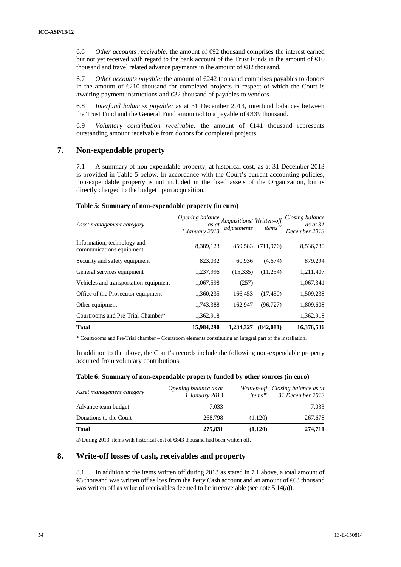### **7. Non-expendable property**

#### **Table 5: Summary of non-expendable property (in euro)**

| <b>ICC-ASP/13/12</b> |                                                                                                                                                                                                                                                                                                                                     |                                                                                 |                     |                   |                                                       |             |  |
|----------------------|-------------------------------------------------------------------------------------------------------------------------------------------------------------------------------------------------------------------------------------------------------------------------------------------------------------------------------------|---------------------------------------------------------------------------------|---------------------|-------------------|-------------------------------------------------------|-------------|--|
|                      | Other accounts receivable: the amount of $\bigoplus$ 2 thousand comprises the interest earned<br>6.6<br>but not yet received with regard to the bank account of the Trust Funds in the amount of $\epsilon 0$<br>thousand and travel related advance payments in the amount of $\text{\textregistered}2$ thousand.                  |                                                                                 |                     |                   |                                                       |             |  |
|                      | Other accounts payable: the amount of $E$ 42 thousand comprises payables to donors<br>6.7<br>in the amount of $\epsilon 210$ thousand for completed projects in respect of which the Court is<br>awaiting payment instructions and $\epsilon$ 32 thousand of payables to vendors.                                                   |                                                                                 |                     |                   |                                                       |             |  |
|                      | Interfund balances payable: as at 31 December 2013, interfund balances between<br>6.8<br>the Trust Fund and the General Fund amounted to a payable of €439 thousand.                                                                                                                                                                |                                                                                 |                     |                   |                                                       |             |  |
|                      | Voluntary contribution receivable: the amount of $\in$ 141 thousand represents<br>6.9<br>outstanding amount receivable from donors for completed projects.                                                                                                                                                                          |                                                                                 |                     |                   |                                                       |             |  |
| 7.                   | Non-expendable property                                                                                                                                                                                                                                                                                                             |                                                                                 |                     |                   |                                                       |             |  |
|                      | 7.1<br>A summary of non-expendable property, at historical cost, as at 31 December 2013<br>is provided in Table 5 below. In accordance with the Court's current accounting policies,<br>non-expendable property is not included in the fixed assets of the Organization, but is<br>directly charged to the budget upon acquisition. |                                                                                 |                     |                   |                                                       |             |  |
|                      | Table 5: Summary of non-expendable property (in euro)                                                                                                                                                                                                                                                                               |                                                                                 |                     |                   |                                                       |             |  |
|                      | Asset management category                                                                                                                                                                                                                                                                                                           | Opening balance Acquisitions/Written-off<br>as at<br>1 January 2013 adjustments |                     | items $\omega$    | Closing balance<br>as at 31<br>December 2013          |             |  |
|                      | Information, technology and<br>communications equipment                                                                                                                                                                                                                                                                             | 8,389,123                                                                       |                     | 859,583 (711,976) | 8,536,730                                             |             |  |
|                      | Security and safety equipment                                                                                                                                                                                                                                                                                                       | 823,032                                                                         | 60,936              | (4,674)           | 879,294                                               |             |  |
|                      | General services equipment                                                                                                                                                                                                                                                                                                          | 1,237,996                                                                       | (15,335)            | (11,254)          | 1,211,407                                             |             |  |
|                      | Vehicles and transportation equipment                                                                                                                                                                                                                                                                                               | 1,067,598                                                                       | (257)               |                   | 1,067,341                                             |             |  |
|                      | Office of the Prosecutor equipment                                                                                                                                                                                                                                                                                                  | 1,360,235                                                                       | 166,453             | (17, 450)         | 1,509,238                                             |             |  |
|                      | Other equipment                                                                                                                                                                                                                                                                                                                     | 1,743,388                                                                       | 162,947             | (96, 727)         | 1,809,608                                             |             |  |
|                      | Courtrooms and Pre-Trial Chamber*                                                                                                                                                                                                                                                                                                   | 1,362,918                                                                       |                     |                   | 1,362,918                                             |             |  |
|                      | <b>Total</b>                                                                                                                                                                                                                                                                                                                        | 15,984,290                                                                      | 1,234,327 (842,081) |                   | 16,376,536                                            |             |  |
|                      | * Courtrooms and Pre-Trial chamber - Courtroom elements constituting an integral part of the installation.                                                                                                                                                                                                                          |                                                                                 |                     |                   |                                                       |             |  |
|                      | In addition to the above, the Court's records include the following non-expendable property<br>acquired from voluntary contributions:<br>Table 6: Summary of non-expendable property funded by other sources (in euro)                                                                                                              |                                                                                 |                     |                   |                                                       |             |  |
|                      | Asset management category                                                                                                                                                                                                                                                                                                           | Opening balance as at<br>1 January 2013                                         |                     | items $\omega$    | Written-off Closing balance as at<br>31 December 2013 |             |  |
|                      | Advance team budget                                                                                                                                                                                                                                                                                                                 | 7,033                                                                           |                     |                   | 7,033                                                 |             |  |
|                      | Donations to the Court                                                                                                                                                                                                                                                                                                              | 268,798                                                                         |                     | (1,120)           | 267,678                                               |             |  |
|                      | <b>Total</b>                                                                                                                                                                                                                                                                                                                        | 275,831                                                                         |                     | (1,120)           | 274,711                                               |             |  |
|                      | a) During 2013, items with historical cost of $\in$ 843 thousand had been written off.                                                                                                                                                                                                                                              |                                                                                 |                     |                   |                                                       |             |  |
| 8.                   | Write-off losses of cash, receivables and property                                                                                                                                                                                                                                                                                  |                                                                                 |                     |                   |                                                       |             |  |
|                      | In addition to the items written off during 2013 as stated in 7.1 above, a total amount of<br>8.1<br>€ thousand was written off as loss from the Petty Cash account and an amount of €63 thousand<br>was written off as value of receivables deemed to be irrecoverable (see note 5.14(a)).                                         |                                                                                 |                     |                   |                                                       |             |  |
|                      |                                                                                                                                                                                                                                                                                                                                     |                                                                                 |                     |                   |                                                       |             |  |
| 54                   |                                                                                                                                                                                                                                                                                                                                     |                                                                                 |                     |                   |                                                       | 13-E-150814 |  |

| Table 6: Summary of non-expendable property funded by other sources (in euro) |  |
|-------------------------------------------------------------------------------|--|
|-------------------------------------------------------------------------------|--|

| Asset management category | Opening balance as at<br>1 January 2013 | items <sup><math>a</math></sup> | Written-off Closing balance as at<br>31 December 2013 |
|---------------------------|-----------------------------------------|---------------------------------|-------------------------------------------------------|
| Advance team budget       | 7,033                                   |                                 | 7,033                                                 |
| Donations to the Court    | 268,798                                 | (1,120)                         | 267,678                                               |
| Total                     | 275,831                                 | (1,120)                         | 274,711                                               |

### **8. Write-off losses of cash, receivables and property**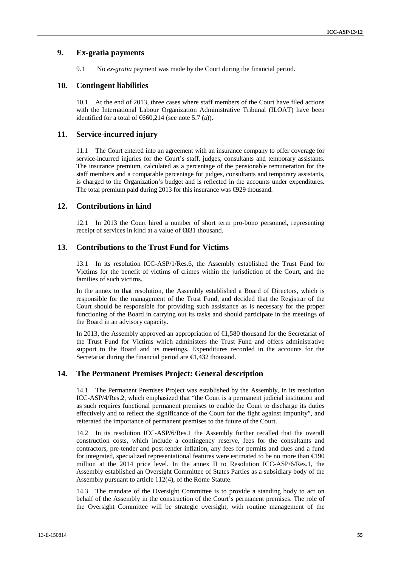## **9. Ex-gratia payments**

9.1 No *ex-gratia* payment was made by the Court during the financial period.

### **10. Contingent liabilities**

10.1 At the end of 2013, three cases where staff members of the Court have filed actions with the International Labour Organization Administrative Tribunal (ILOAT) have been identified for a total of  $\bigoplus 660.214$  (see note 5.7 (a)).

### **11. Service-incurred injury**

11.1 The Court entered into an agreement with an insurance company to offer coverage for service-incurred injuries for the Court's staff, judges, consultants and temporary assistants. The insurance premium, calculated as a percentage of the pensionable remuneration for the staff members and a comparable percentage for judges, consultants and temporary assistants, is charged to the Organization's budget and is reflected in the accounts under expenditures. The total premium paid during 2013 for this insurance was  $\Theta$ 29 thousand.

### **12. Contributions in kind**

12.1 In 2013 the Court hired a number of short term pro-bono personnel, representing receipt of services in kind at a value of €831 thousand.

### **13. Contributions to the Trust Fund for Victims**

13.1 In its resolution ICC-ASP/1/Res.6, the Assembly established the Trust Fund for Victims for the benefit of victims of crimes within the jurisdiction of the Court, and the families of such victims.

In the annex to that resolution, the Assembly established a Board of Directors, which is responsible for the management of the Trust Fund, and decided that the Registrar of the Court should be responsible for providing such assistance as is necessary for the proper functioning of the Board in carrying out its tasks and should participate in the meetings of the Board in an advisory capacity.

In 2013, the Assembly approved an appropriation of €1,580 thousand for the Secretariat of the Trust Fund for Victims which administers the Trust Fund and offers administrative support to the Board and its meetings. Expenditures recorded in the accounts for the Secretariat during the financial period are  $\epsilon$ 1,432 thousand.

### **14. The Permanent Premises Project: General description**

14.1 The Permanent Premises Project was established by the Assembly, in its resolution ICC-ASP/4/Res.2, which emphasized that "the Court is a permanent judicial institution and as such requires functional permanent premises to enable the Court to discharge its duties effectively and to reflect the significance of the Court for the fight against impunity", and reiterated the importance of permanent premises to the future of the Court.

**16. Contribution** to the France Fourist of the state of the state of the state of the state of the state of the state of the state of the state of the state of the state of the state of the state of the state of the st 14.2 In its resolution ICC-ASP/6/Res.1 the Assembly further recalled that the overall construction costs, which include a contingency reserve, fees for the consultants and contractors, pre-tender and post-tender inflation, any fees for permits and dues and a fund for integrated, specialized representational features were estimated to be no more than  $\epsilon 190$ million at the 2014 price level. In the annex II to Resolution ICC-ASP/6/Res.1, the Assembly established an Oversight Committee of States Parties as a subsidiary body of the Assembly pursuant to article 112(4), of the Rome Statute.

14.3 The mandate of the Oversight Committee is to provide a standing body to act on behalf of the Assembly in the construction of the Court's permanent premises. The role of the Oversight Committee will be strategic oversight, with routine management of the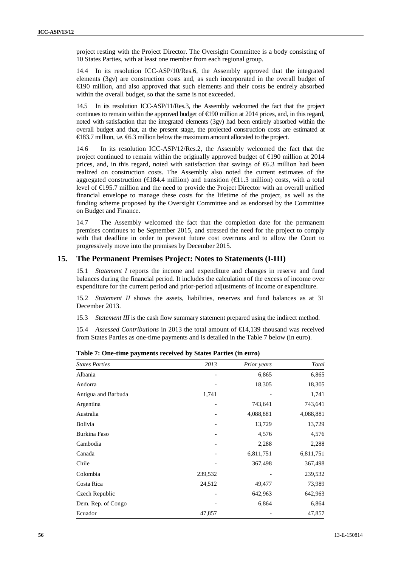### **15. The Permanent Premises Project: Notes to Statements (I-III)**

|            | project resting with the Project Director. The Oversight Committee is a body consisting of<br>10 States Parties, with at least one member from each regional group.                                                                                                                                                                                                                                                                                                                                                                                                                                                                                                                                                                            |                                                                             |                   |                   |
|------------|------------------------------------------------------------------------------------------------------------------------------------------------------------------------------------------------------------------------------------------------------------------------------------------------------------------------------------------------------------------------------------------------------------------------------------------------------------------------------------------------------------------------------------------------------------------------------------------------------------------------------------------------------------------------------------------------------------------------------------------------|-----------------------------------------------------------------------------|-------------------|-------------------|
|            | 14.4 In its resolution ICC-ASP/10/Res.6, the Assembly approved that the integrated<br>elements (3gv) are construction costs and, as such incorporated in the overall budget of<br>€190 million, and also approved that such elements and their costs be entirely absorbed<br>within the overall budget, so that the same is not exceeded.                                                                                                                                                                                                                                                                                                                                                                                                      |                                                                             |                   |                   |
|            | 14.5 In its resolution ICC-ASP/11/Res.3, the Assembly welcomed the fact that the project<br>continues to remain within the approved budget of $\trianglelefteq 90$ million at 2014 prices, and, in this regard,<br>noted with satisfaction that the integrated elements (3gv) had been entirely absorbed within the<br>overall budget and that, at the present stage, the projected construction costs are estimated at<br>$\triangle$ 83.7 million, i.e. $\triangle$ 6.3 million below the maximum amount allocated to the project.                                                                                                                                                                                                           |                                                                             |                   |                   |
|            | 14.6<br>project continued to remain within the originally approved budget of $\bigoplus$ 90 million at 2014<br>prices, and, in this regard, noted with satisfaction that savings of $6.3$ million had been<br>realized on construction costs. The Assembly also noted the current estimates of the<br>aggregated construction ( $\bigoplus$ 84.4 million) and transition ( $\bigoplus$ 1.3 million) costs, with a total<br>level of $\bigoplus$ 95.7 million and the need to provide the Project Director with an overall unified<br>financial envelope to manage these costs for the lifetime of the project, as well as the<br>funding scheme proposed by the Oversight Committee and as endorsed by the Committee<br>on Budget and Finance. | In its resolution ICC-ASP/12/Res.2, the Assembly welcomed the fact that the |                   |                   |
|            | 14.7<br>premises continues to be September 2015, and stressed the need for the project to comply<br>with that deadline in order to prevent future cost overruns and to allow the Court to<br>progressively move into the premises by December 2015.                                                                                                                                                                                                                                                                                                                                                                                                                                                                                            | The Assembly welcomed the fact that the completion date for the permanent   |                   |                   |
| <b>15.</b> | The Permanent Premises Project: Notes to Statements (I-III)                                                                                                                                                                                                                                                                                                                                                                                                                                                                                                                                                                                                                                                                                    |                                                                             |                   |                   |
|            | 15.1 Statement I reports the income and expenditure and changes in reserve and fund                                                                                                                                                                                                                                                                                                                                                                                                                                                                                                                                                                                                                                                            |                                                                             |                   |                   |
|            | balances during the financial period. It includes the calculation of the excess of income over<br>expenditure for the current period and prior-period adjustments of income or expenditure.<br>15.2 Statement II shows the assets, liabilities, reserves and fund balances as at 31<br>December 2013.<br>15.3 Statement III is the cash flow summary statement prepared using the indirect method.<br>15.4 Assessed Contributions in 2013 the total amount of €14,139 thousand was received<br>from States Parties as one-time payments and is detailed in the Table 7 below (in euro).                                                                                                                                                        |                                                                             |                   |                   |
|            | Table 7: One-time payments received by States Parties (in euro)                                                                                                                                                                                                                                                                                                                                                                                                                                                                                                                                                                                                                                                                                |                                                                             |                   |                   |
|            | <b>States Parties</b>                                                                                                                                                                                                                                                                                                                                                                                                                                                                                                                                                                                                                                                                                                                          | 2013                                                                        | Prior years       | Total             |
|            | Albania                                                                                                                                                                                                                                                                                                                                                                                                                                                                                                                                                                                                                                                                                                                                        |                                                                             | 6,865             | 6,865             |
|            | Andorra                                                                                                                                                                                                                                                                                                                                                                                                                                                                                                                                                                                                                                                                                                                                        |                                                                             | 18,305            | 18,305            |
|            | Antigua and Barbuda                                                                                                                                                                                                                                                                                                                                                                                                                                                                                                                                                                                                                                                                                                                            | 1,741                                                                       |                   | 1,741             |
|            | Argentina                                                                                                                                                                                                                                                                                                                                                                                                                                                                                                                                                                                                                                                                                                                                      |                                                                             | 743,641           | 743,641           |
|            | Australia                                                                                                                                                                                                                                                                                                                                                                                                                                                                                                                                                                                                                                                                                                                                      |                                                                             | 4,088,881         | 4,088,881         |
|            | Bolivia                                                                                                                                                                                                                                                                                                                                                                                                                                                                                                                                                                                                                                                                                                                                        | $\overline{\phantom{0}}$                                                    | 13,729            | 13,729            |
|            | Burkina Faso                                                                                                                                                                                                                                                                                                                                                                                                                                                                                                                                                                                                                                                                                                                                   |                                                                             | 4,576             | 4,576             |
|            | Cambodia                                                                                                                                                                                                                                                                                                                                                                                                                                                                                                                                                                                                                                                                                                                                       |                                                                             | 2,288             | 2,288             |
|            | Canada                                                                                                                                                                                                                                                                                                                                                                                                                                                                                                                                                                                                                                                                                                                                         |                                                                             | 6,811,751         | 6,811,751         |
|            | Chile                                                                                                                                                                                                                                                                                                                                                                                                                                                                                                                                                                                                                                                                                                                                          |                                                                             | 367,498           | 367,498           |
|            | Colombia                                                                                                                                                                                                                                                                                                                                                                                                                                                                                                                                                                                                                                                                                                                                       | 239,532                                                                     | $\blacksquare$    | 239,532           |
|            |                                                                                                                                                                                                                                                                                                                                                                                                                                                                                                                                                                                                                                                                                                                                                |                                                                             |                   |                   |
|            | Costa Rica<br>Czech Republic                                                                                                                                                                                                                                                                                                                                                                                                                                                                                                                                                                                                                                                                                                                   | 24,512                                                                      | 49,477<br>642,963 | 73,989<br>642,963 |
|            | Dem. Rep. of Congo                                                                                                                                                                                                                                                                                                                                                                                                                                                                                                                                                                                                                                                                                                                             |                                                                             | 6,864             | 6,864             |

**Table 7: One-time payments received by States Parties (in euro)**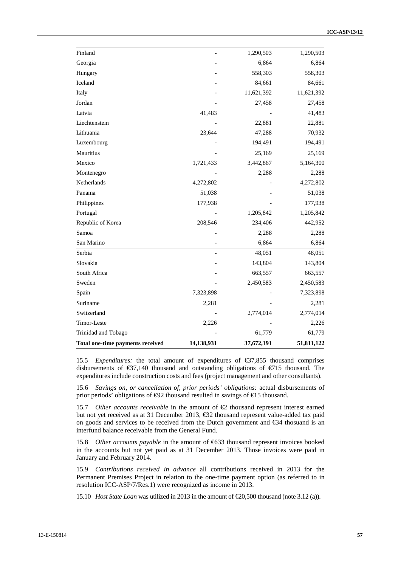| Finland                                                                                                                                                                                                                                                                                                                                                                                                                                                                                          | $\blacksquare$                                                                           | 1,290,503                | 1,290,503  |
|--------------------------------------------------------------------------------------------------------------------------------------------------------------------------------------------------------------------------------------------------------------------------------------------------------------------------------------------------------------------------------------------------------------------------------------------------------------------------------------------------|------------------------------------------------------------------------------------------|--------------------------|------------|
| Georgia                                                                                                                                                                                                                                                                                                                                                                                                                                                                                          |                                                                                          | 6,864                    | 6,864      |
| Hungary                                                                                                                                                                                                                                                                                                                                                                                                                                                                                          |                                                                                          | 558,303                  | 558,303    |
| Iceland                                                                                                                                                                                                                                                                                                                                                                                                                                                                                          |                                                                                          | 84,661                   | 84,661     |
| Italy                                                                                                                                                                                                                                                                                                                                                                                                                                                                                            | $\blacksquare$                                                                           | 11,621,392               | 11,621,392 |
| Jordan                                                                                                                                                                                                                                                                                                                                                                                                                                                                                           | $\overline{\phantom{a}}$                                                                 | 27,458                   | 27,458     |
| Latvia                                                                                                                                                                                                                                                                                                                                                                                                                                                                                           | 41,483                                                                                   |                          | 41,483     |
| Liechtenstein                                                                                                                                                                                                                                                                                                                                                                                                                                                                                    | $\blacksquare$                                                                           | 22,881                   | 22,881     |
| Lithuania                                                                                                                                                                                                                                                                                                                                                                                                                                                                                        | 23,644                                                                                   | 47,288                   | 70,932     |
| Luxembourg                                                                                                                                                                                                                                                                                                                                                                                                                                                                                       | $\blacksquare$                                                                           | 194,491                  | 194,491    |
| Mauritius                                                                                                                                                                                                                                                                                                                                                                                                                                                                                        | $\overline{\phantom{0}}$                                                                 | 25,169                   | 25,169     |
| Mexico                                                                                                                                                                                                                                                                                                                                                                                                                                                                                           | 1,721,433                                                                                | 3,442,867                | 5,164,300  |
| Montenegro                                                                                                                                                                                                                                                                                                                                                                                                                                                                                       | $\overline{\phantom{a}}$                                                                 | 2,288                    | 2,288      |
| Netherlands                                                                                                                                                                                                                                                                                                                                                                                                                                                                                      | 4,272,802                                                                                |                          | 4,272,802  |
| Panama                                                                                                                                                                                                                                                                                                                                                                                                                                                                                           | 51,038                                                                                   |                          | 51,038     |
| Philippines                                                                                                                                                                                                                                                                                                                                                                                                                                                                                      | 177,938                                                                                  | $\blacksquare$           | 177,938    |
| Portugal                                                                                                                                                                                                                                                                                                                                                                                                                                                                                         | $\blacksquare$                                                                           | 1,205,842                | 1,205,842  |
| Republic of Korea                                                                                                                                                                                                                                                                                                                                                                                                                                                                                | 208,546                                                                                  | 234,406                  | 442,952    |
| Samoa                                                                                                                                                                                                                                                                                                                                                                                                                                                                                            |                                                                                          | 2,288                    | 2,288      |
| San Marino                                                                                                                                                                                                                                                                                                                                                                                                                                                                                       |                                                                                          | 6,864                    | 6,864      |
| Serbia                                                                                                                                                                                                                                                                                                                                                                                                                                                                                           | $\overline{\phantom{a}}$                                                                 | 48,051                   | 48,051     |
| Slovakia                                                                                                                                                                                                                                                                                                                                                                                                                                                                                         |                                                                                          | 143,804                  | 143,804    |
| South Africa                                                                                                                                                                                                                                                                                                                                                                                                                                                                                     |                                                                                          | 663,557                  | 663,557    |
| Sweden                                                                                                                                                                                                                                                                                                                                                                                                                                                                                           | $\overline{\phantom{a}}$                                                                 | 2,450,583                | 2,450,583  |
| Spain                                                                                                                                                                                                                                                                                                                                                                                                                                                                                            | 7,323,898                                                                                |                          | 7,323,898  |
| Suriname                                                                                                                                                                                                                                                                                                                                                                                                                                                                                         | 2,281                                                                                    | $\overline{\phantom{a}}$ | 2,281      |
| Switzerland                                                                                                                                                                                                                                                                                                                                                                                                                                                                                      | $\overline{\phantom{a}}$                                                                 | 2,774,014                | 2,774,014  |
| Timor-Leste                                                                                                                                                                                                                                                                                                                                                                                                                                                                                      | 2,226                                                                                    |                          | 2,226      |
| Trinidad and Tobago                                                                                                                                                                                                                                                                                                                                                                                                                                                                              |                                                                                          | 61,779                   | 61,779     |
| Total one-time payments received                                                                                                                                                                                                                                                                                                                                                                                                                                                                 | 14,138,931                                                                               | 37,672,191               | 51,811,122 |
| 15.5 <i>Expenditures:</i> the total amount of expenditures of €37,855 thousand comprises<br>disbursements of $\epsilon$ 37,140 thousand and outstanding obligations of $\epsilon$ 715 thousand. The<br>expenditures include construction costs and fees (project management and other consultants).<br>15.6 Savings on, or cancellation of, prior periods' obligations: actual disbursements of<br>prior periods' obligations of $\Theta$ 2 thousand resulted in savings of $\Theta$ 5 thousand. |                                                                                          |                          |            |
| Other accounts receivable in the amount of $\epsilon$ thousand represent interest earned<br>15.7<br>but not yet received as at 31 December 2013, $\text{\textsterling}2$ thousand represent value-added tax paid<br>on goods and services to be received from the Dutch government and $\epsilon$ 34 thosuand is an<br>interfund balance receivable from the General Fund.                                                                                                                       |                                                                                          |                          |            |
| 15.8 Other accounts payable in the amount of €633 thousand represent invoices booked<br>in the accounts but not yet paid as at 31 December 2013. Those invoices were paid in<br>January and February 2014.                                                                                                                                                                                                                                                                                       |                                                                                          |                          |            |
| 15.9 Contributions received in advance all contributions received in 2013 for the                                                                                                                                                                                                                                                                                                                                                                                                                | Permanent Premises Project in relation to the one-time payment option (as referred to in |                          |            |
| resolution ICC-ASP/7/Res.1) were recognized as income in 2013.                                                                                                                                                                                                                                                                                                                                                                                                                                   |                                                                                          |                          |            |
| 15.10 <i>Host State Loan</i> was utilized in 2013 in the amount of €20,500 thousand (note 3.12 (a)).                                                                                                                                                                                                                                                                                                                                                                                             |                                                                                          |                          |            |